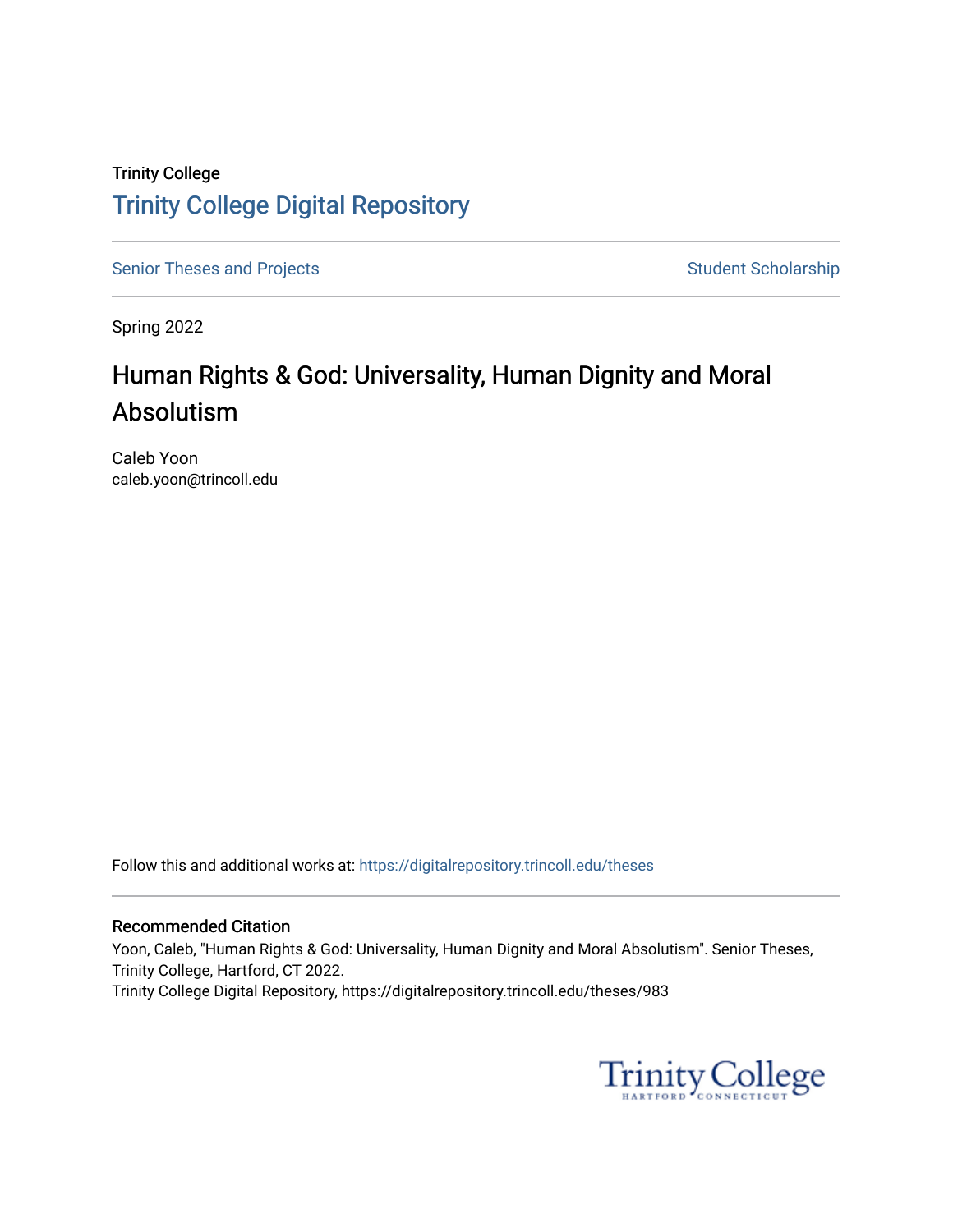## Trinity College [Trinity College Digital Repository](https://digitalrepository.trincoll.edu/)

[Senior Theses and Projects](https://digitalrepository.trincoll.edu/theses) Senior Student Scholarship

Spring 2022

# Human Rights & God: Universality, Human Dignity and Moral Absolutism

Caleb Yoon caleb.yoon@trincoll.edu

Follow this and additional works at: [https://digitalrepository.trincoll.edu/theses](https://digitalrepository.trincoll.edu/theses?utm_source=digitalrepository.trincoll.edu%2Ftheses%2F983&utm_medium=PDF&utm_campaign=PDFCoverPages)

### Recommended Citation

Yoon, Caleb, "Human Rights & God: Universality, Human Dignity and Moral Absolutism". Senior Theses, Trinity College, Hartford, CT 2022. Trinity College Digital Repository, https://digitalrepository.trincoll.edu/theses/983

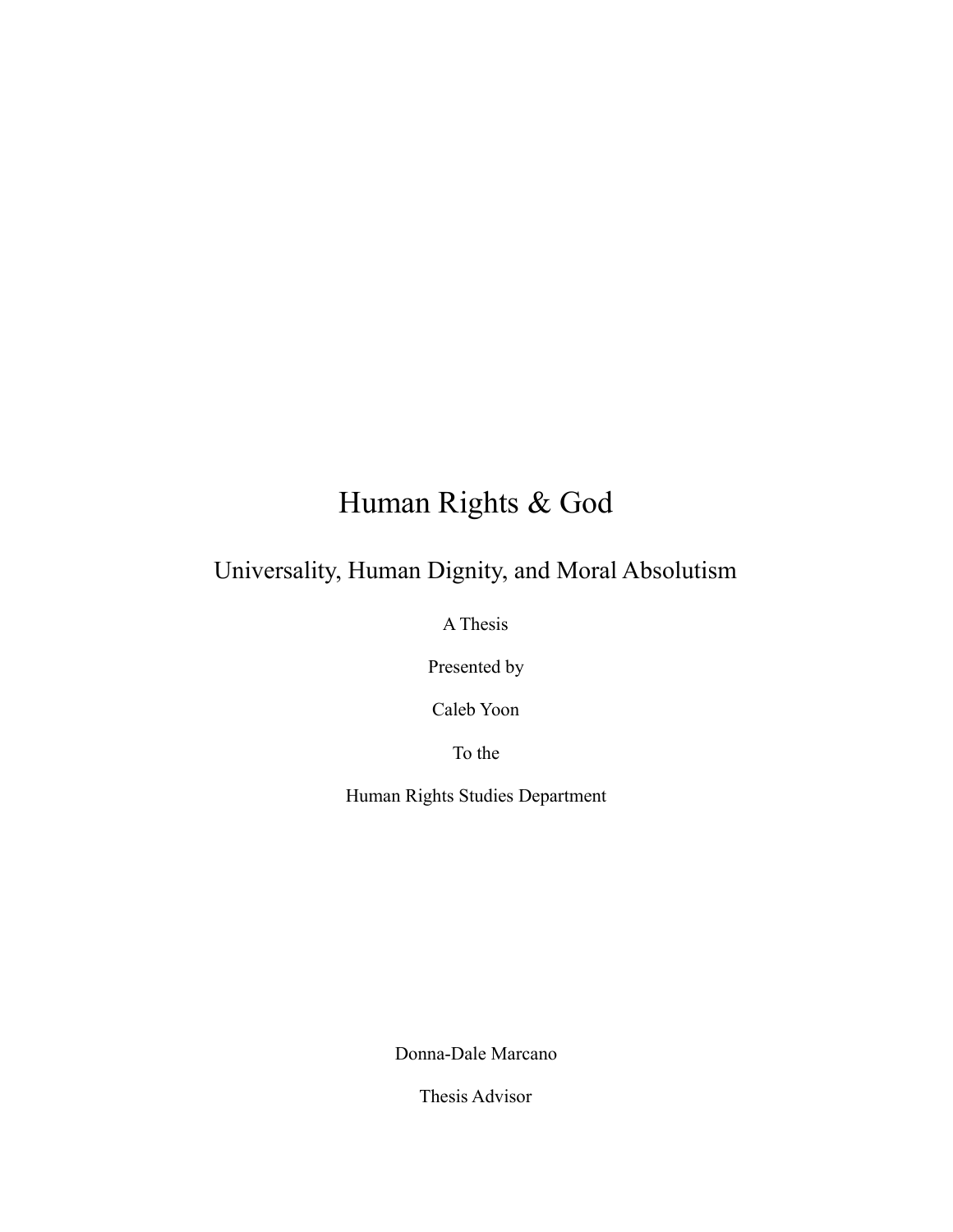# Human Rights & God

# Universality, Human Dignity, and Moral Absolutism

A Thesis

Presented by

Caleb Yoon

To the

Human Rights Studies Department

Donna-Dale Marcano

Thesis Advisor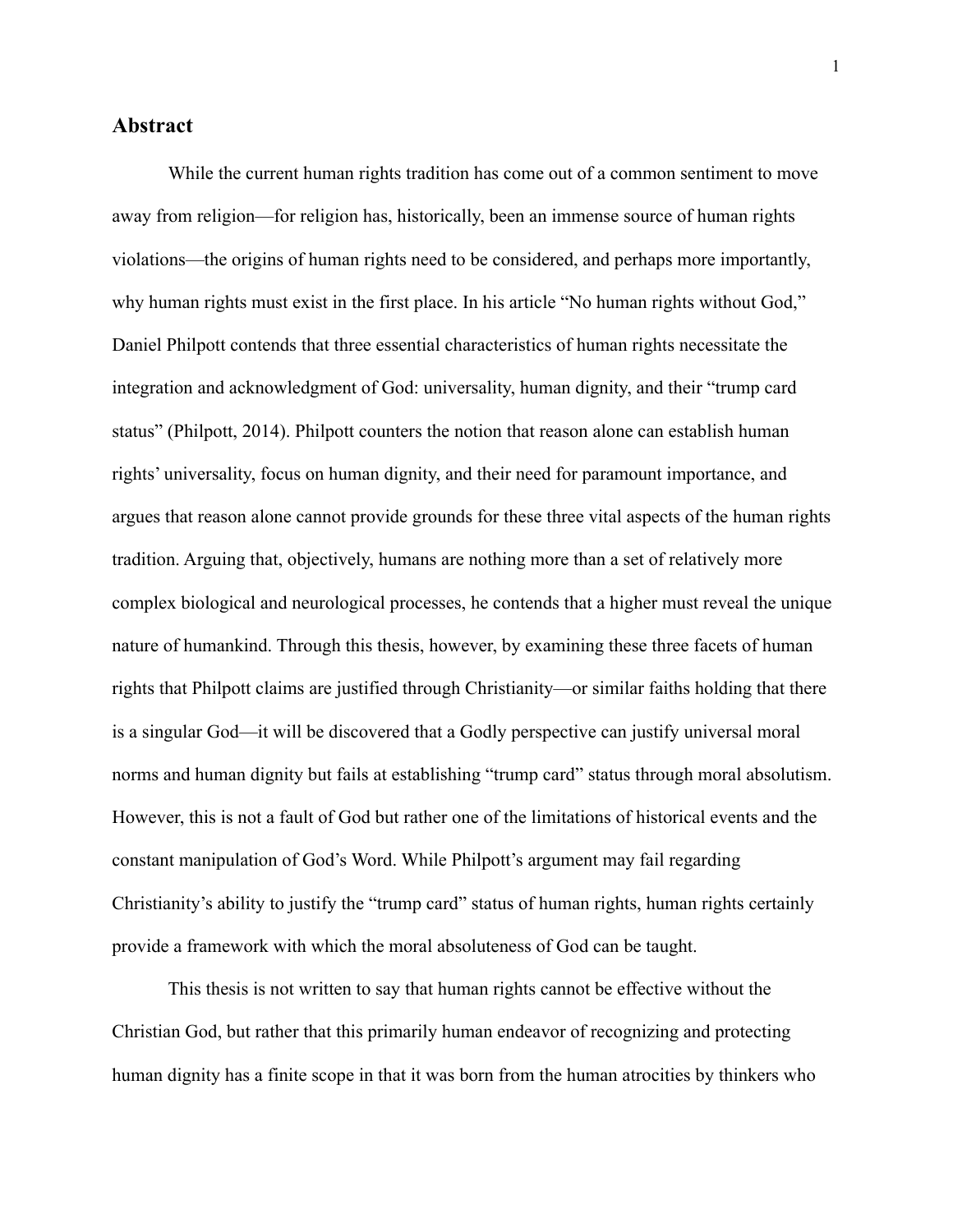### **Abstract**

While the current human rights tradition has come out of a common sentiment to move away from religion—for religion has, historically, been an immense source of human rights violations—the origins of human rights need to be considered, and perhaps more importantly, why human rights must exist in the first place. In his article "No human rights without God," Daniel Philpott contends that three essential characteristics of human rights necessitate the integration and acknowledgment of God: universality, human dignity, and their "trump card status" (Philpott, 2014). Philpott counters the notion that reason alone can establish human rights' universality, focus on human dignity, and their need for paramount importance, and argues that reason alone cannot provide grounds for these three vital aspects of the human rights tradition. Arguing that, objectively, humans are nothing more than a set of relatively more complex biological and neurological processes, he contends that a higher must reveal the unique nature of humankind. Through this thesis, however, by examining these three facets of human rights that Philpott claims are justified through Christianity—or similar faiths holding that there is a singular God—it will be discovered that a Godly perspective can justify universal moral norms and human dignity but fails at establishing "trump card" status through moral absolutism. However, this is not a fault of God but rather one of the limitations of historical events and the constant manipulation of God's Word. While Philpott's argument may fail regarding Christianity's ability to justify the "trump card" status of human rights, human rights certainly provide a framework with which the moral absoluteness of God can be taught.

This thesis is not written to say that human rights cannot be effective without the Christian God, but rather that this primarily human endeavor of recognizing and protecting human dignity has a finite scope in that it was born from the human atrocities by thinkers who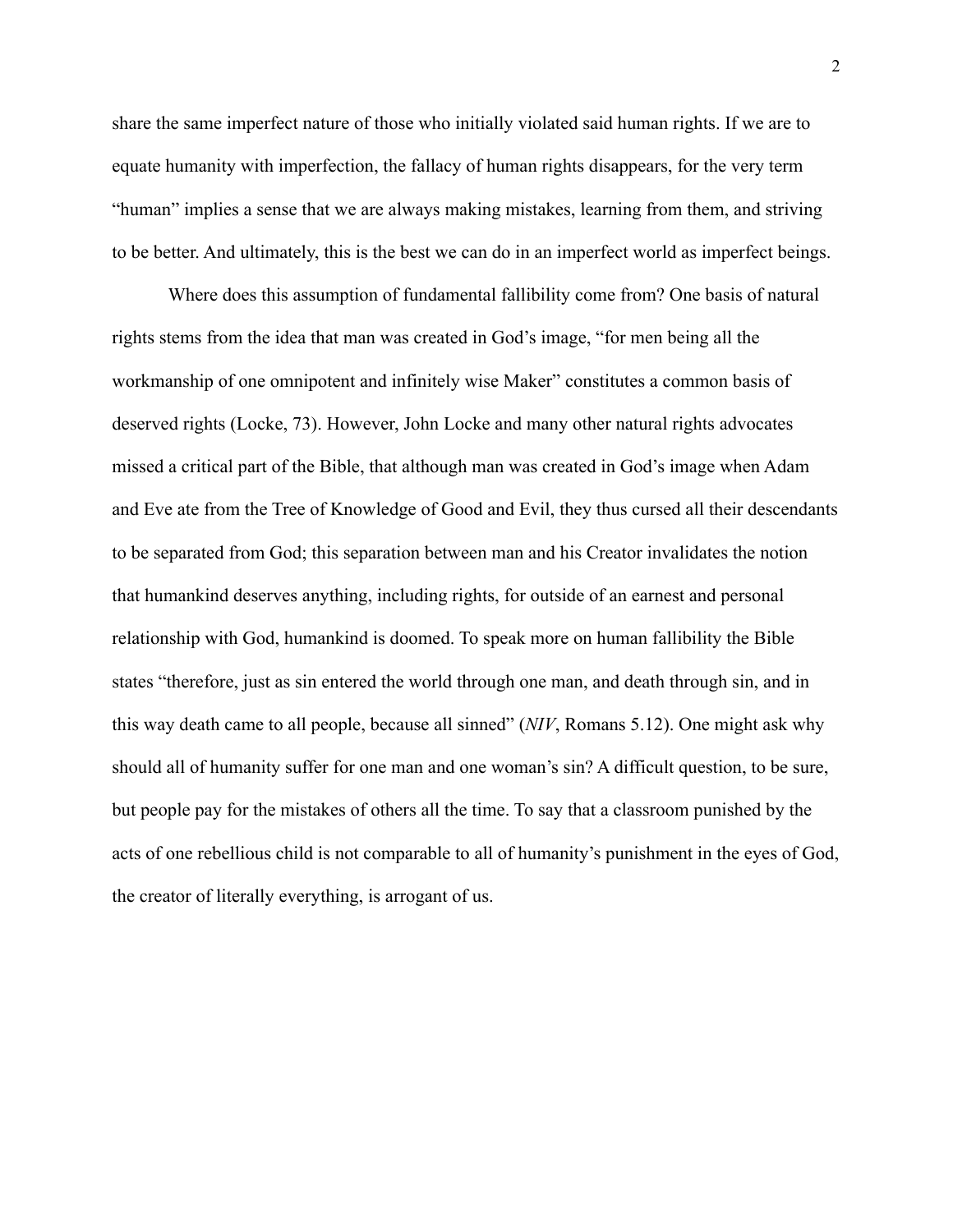share the same imperfect nature of those who initially violated said human rights. If we are to equate humanity with imperfection, the fallacy of human rights disappears, for the very term "human" implies a sense that we are always making mistakes, learning from them, and striving to be better. And ultimately, this is the best we can do in an imperfect world as imperfect beings.

Where does this assumption of fundamental fallibility come from? One basis of natural rights stems from the idea that man was created in God's image, "for men being all the workmanship of one omnipotent and infinitely wise Maker" constitutes a common basis of deserved rights (Locke, 73). However, John Locke and many other natural rights advocates missed a critical part of the Bible, that although man was created in God's image when Adam and Eve ate from the Tree of Knowledge of Good and Evil, they thus cursed all their descendants to be separated from God; this separation between man and his Creator invalidates the notion that humankind deserves anything, including rights, for outside of an earnest and personal relationship with God, humankind is doomed. To speak more on human fallibility the Bible states "therefore, just as sin entered the world through one man, and death through sin, and in this way death came to all people, because all sinned" (*NIV*, Romans 5.12). One might ask why should all of humanity suffer for one man and one woman's sin? A difficult question, to be sure, but people pay for the mistakes of others all the time. To say that a classroom punished by the acts of one rebellious child is not comparable to all of humanity's punishment in the eyes of God, the creator of literally everything, is arrogant of us.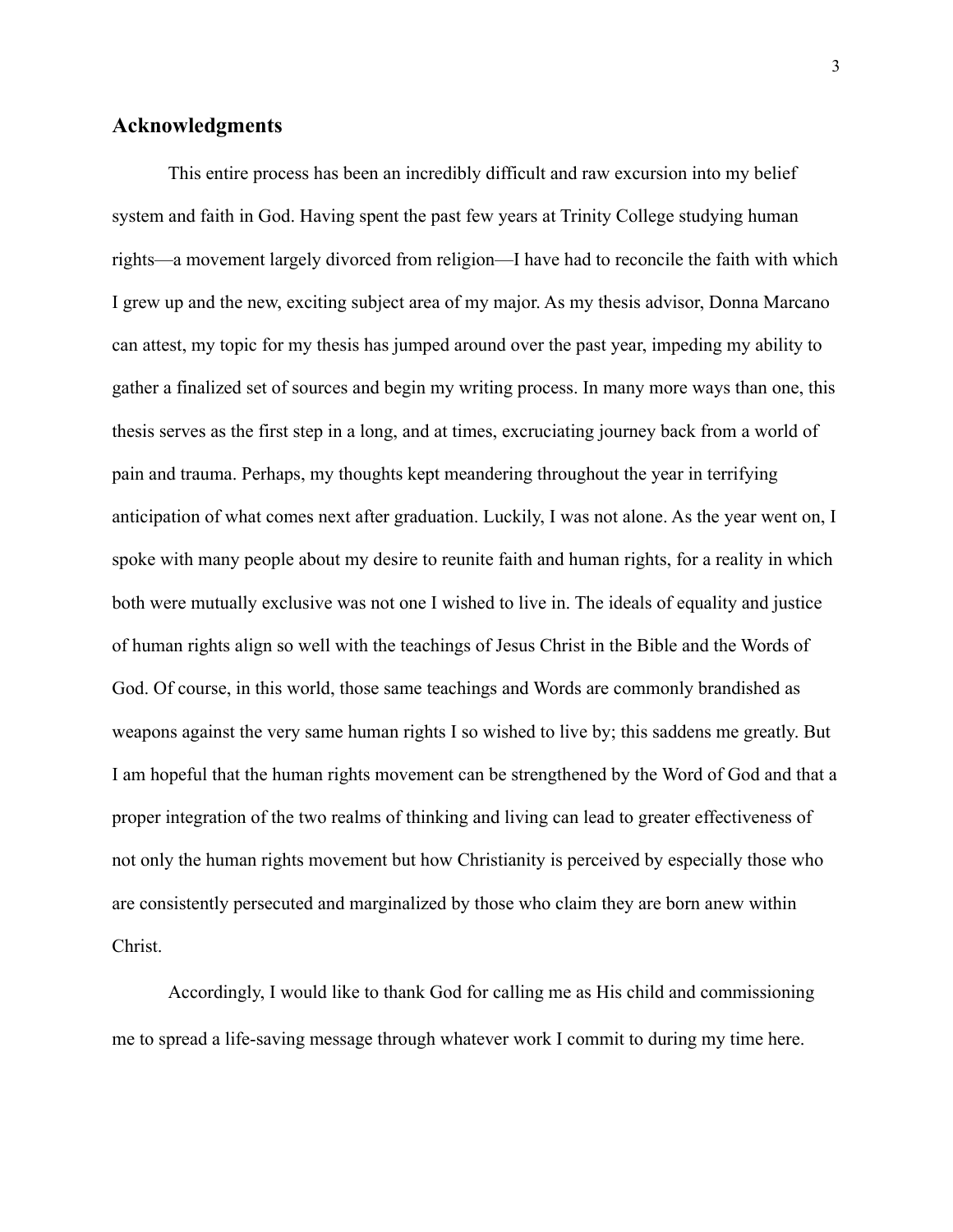### **Acknowledgments**

This entire process has been an incredibly difficult and raw excursion into my belief system and faith in God. Having spent the past few years at Trinity College studying human rights—a movement largely divorced from religion—I have had to reconcile the faith with which I grew up and the new, exciting subject area of my major. As my thesis advisor, Donna Marcano can attest, my topic for my thesis has jumped around over the past year, impeding my ability to gather a finalized set of sources and begin my writing process. In many more ways than one, this thesis serves as the first step in a long, and at times, excruciating journey back from a world of pain and trauma. Perhaps, my thoughts kept meandering throughout the year in terrifying anticipation of what comes next after graduation. Luckily, I was not alone. As the year went on, I spoke with many people about my desire to reunite faith and human rights, for a reality in which both were mutually exclusive was not one I wished to live in. The ideals of equality and justice of human rights align so well with the teachings of Jesus Christ in the Bible and the Words of God. Of course, in this world, those same teachings and Words are commonly brandished as weapons against the very same human rights I so wished to live by; this saddens me greatly. But I am hopeful that the human rights movement can be strengthened by the Word of God and that a proper integration of the two realms of thinking and living can lead to greater effectiveness of not only the human rights movement but how Christianity is perceived by especially those who are consistently persecuted and marginalized by those who claim they are born anew within Christ.

Accordingly, I would like to thank God for calling me as His child and commissioning me to spread a life-saving message through whatever work I commit to during my time here.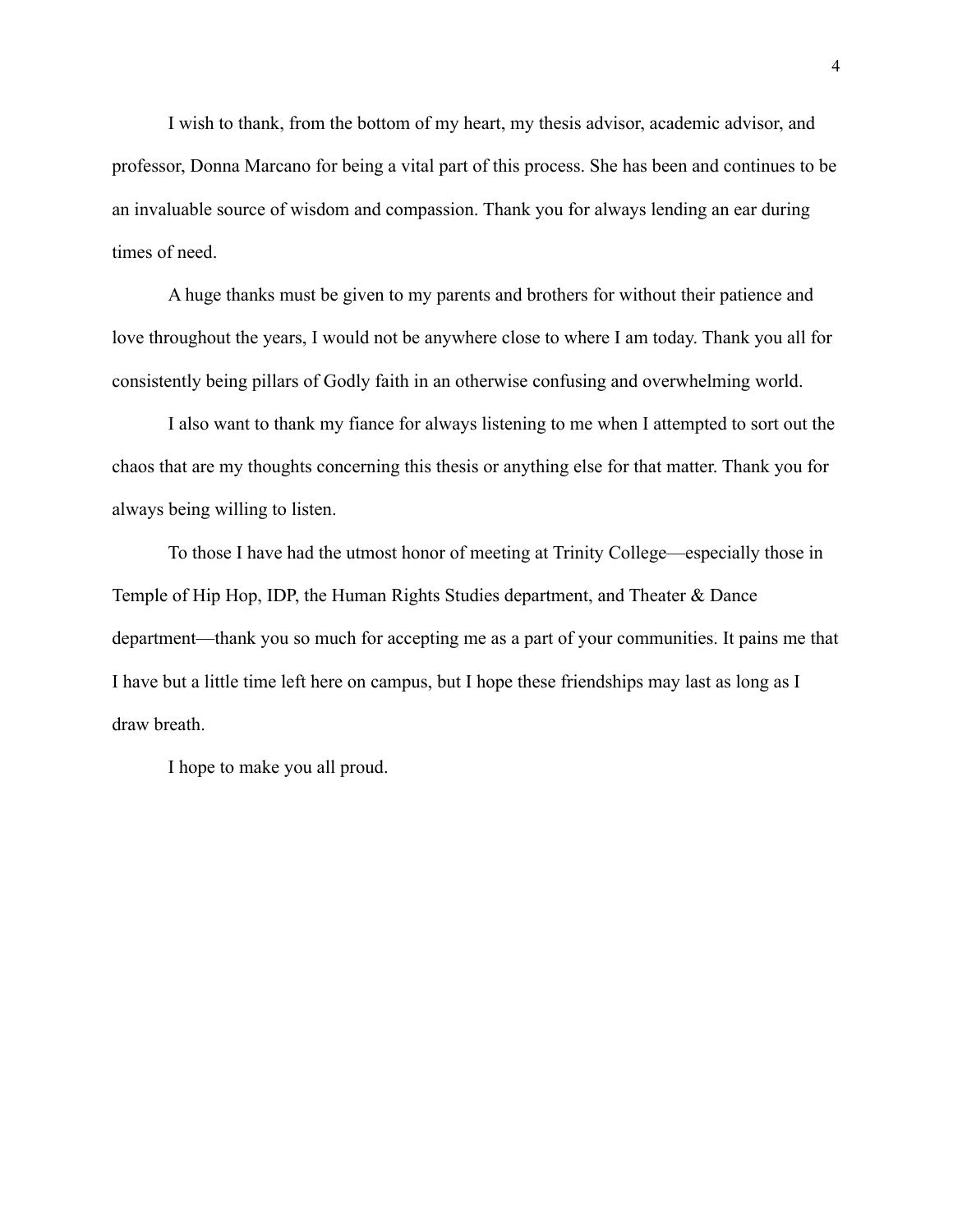I wish to thank, from the bottom of my heart, my thesis advisor, academic advisor, and professor, Donna Marcano for being a vital part of this process. She has been and continues to be an invaluable source of wisdom and compassion. Thank you for always lending an ear during times of need.

A huge thanks must be given to my parents and brothers for without their patience and love throughout the years, I would not be anywhere close to where I am today. Thank you all for consistently being pillars of Godly faith in an otherwise confusing and overwhelming world.

I also want to thank my fiance for always listening to me when I attempted to sort out the chaos that are my thoughts concerning this thesis or anything else for that matter. Thank you for always being willing to listen.

To those I have had the utmost honor of meeting at Trinity College—especially those in Temple of Hip Hop, IDP, the Human Rights Studies department, and Theater & Dance department—thank you so much for accepting me as a part of your communities. It pains me that I have but a little time left here on campus, but I hope these friendships may last as long as I draw breath.

I hope to make you all proud.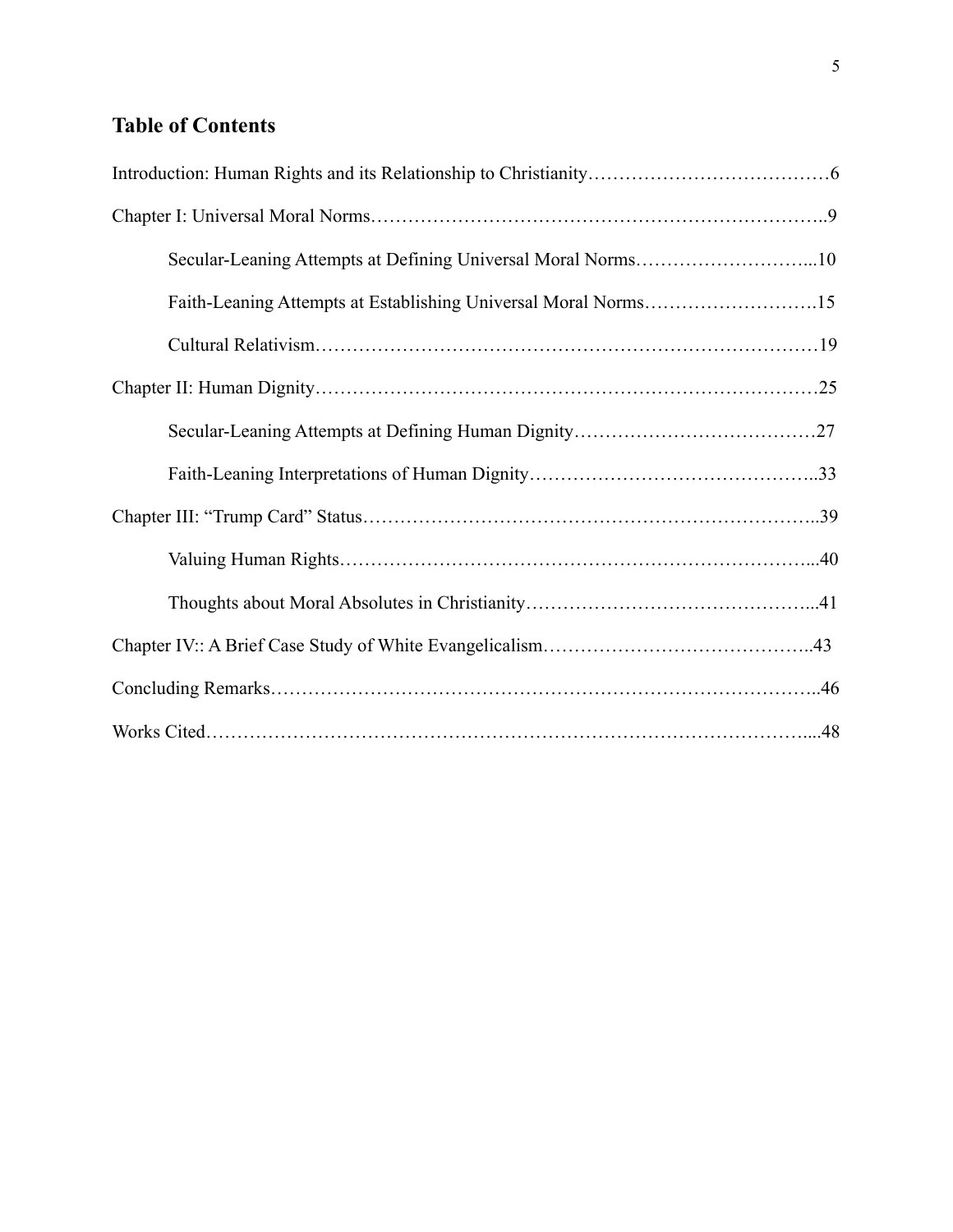## **Table of Contents**

| Secular-Leaning Attempts at Defining Universal Moral Norms10   |  |
|----------------------------------------------------------------|--|
| Faith-Leaning Attempts at Establishing Universal Moral Norms15 |  |
|                                                                |  |
|                                                                |  |
|                                                                |  |
|                                                                |  |
|                                                                |  |
|                                                                |  |
|                                                                |  |
|                                                                |  |
|                                                                |  |
|                                                                |  |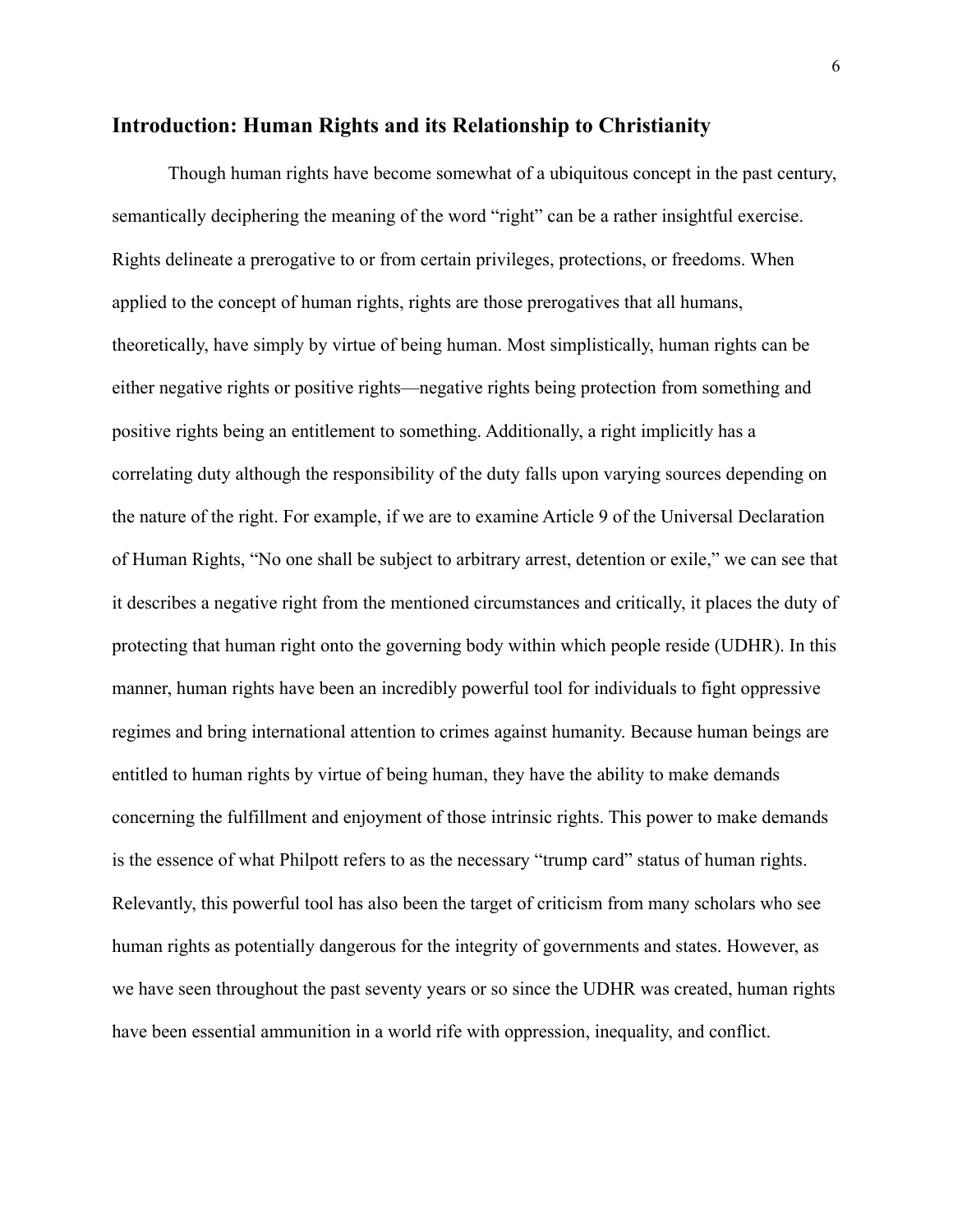### **Introduction: Human Rights and its Relationship to Christianity**

Though human rights have become somewhat of a ubiquitous concept in the past century, semantically deciphering the meaning of the word "right" can be a rather insightful exercise. Rights delineate a prerogative to or from certain privileges, protections, or freedoms. When applied to the concept of human rights, rights are those prerogatives that all humans, theoretically, have simply by virtue of being human. Most simplistically, human rights can be either negative rights or positive rights—negative rights being protection from something and positive rights being an entitlement to something. Additionally, a right implicitly has a correlating duty although the responsibility of the duty falls upon varying sources depending on the nature of the right. For example, if we are to examine Article 9 of the Universal Declaration of Human Rights, "No one shall be subject to arbitrary arrest, detention or exile," we can see that it describes a negative right from the mentioned circumstances and critically, it places the duty of protecting that human right onto the governing body within which people reside (UDHR). In this manner, human rights have been an incredibly powerful tool for individuals to fight oppressive regimes and bring international attention to crimes against humanity. Because human beings are entitled to human rights by virtue of being human, they have the ability to make demands concerning the fulfillment and enjoyment of those intrinsic rights. This power to make demands is the essence of what Philpott refers to as the necessary "trump card" status of human rights. Relevantly, this powerful tool has also been the target of criticism from many scholars who see human rights as potentially dangerous for the integrity of governments and states. However, as we have seen throughout the past seventy years or so since the UDHR was created, human rights have been essential ammunition in a world rife with oppression, inequality, and conflict.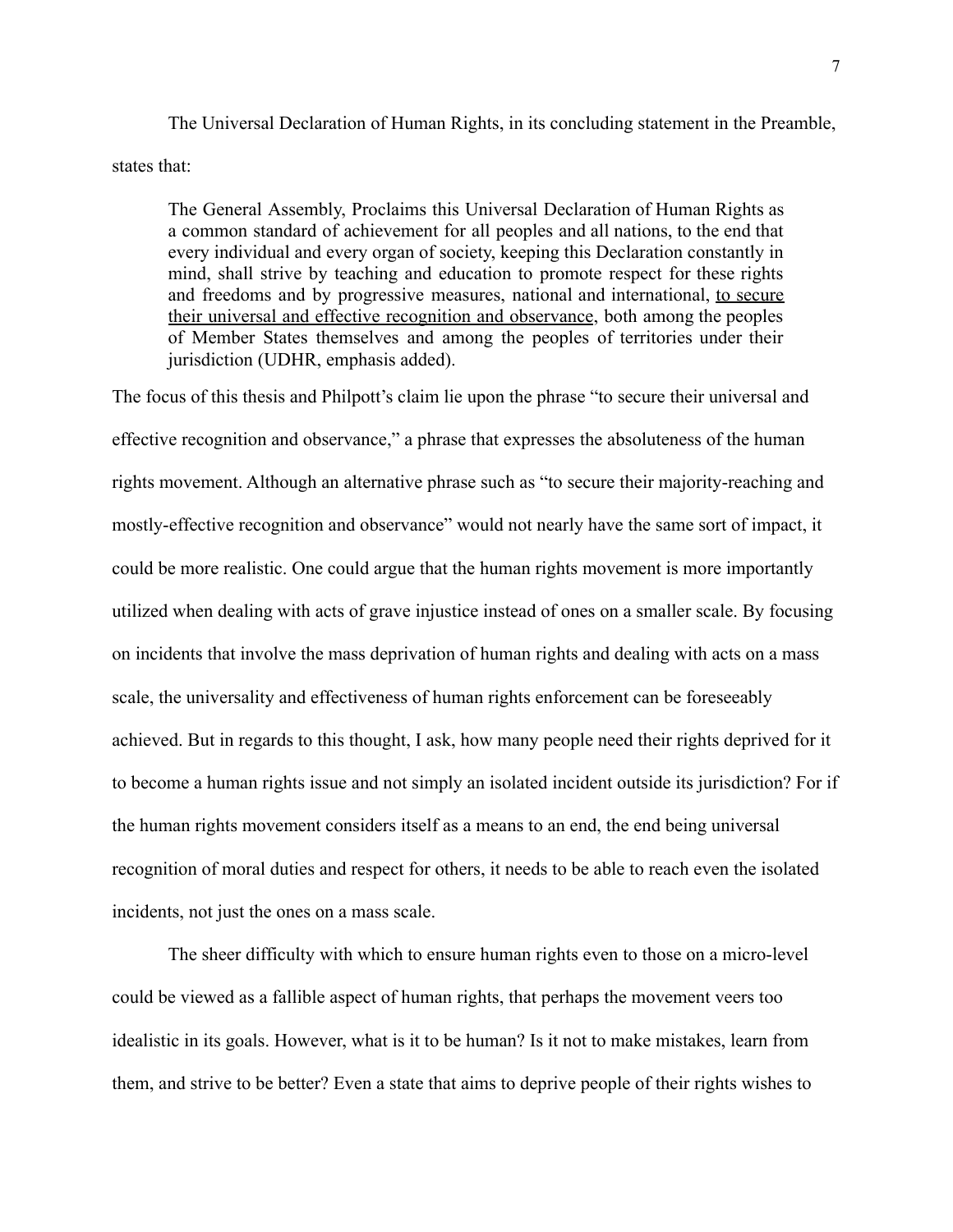The Universal Declaration of Human Rights, in its concluding statement in the Preamble, states that:

The General Assembly, Proclaims this Universal Declaration of Human Rights as a common standard of achievement for all peoples and all nations, to the end that every individual and every organ of society, keeping this Declaration constantly in mind, shall strive by teaching and education to promote respect for these rights and freedoms and by progressive measures, national and international, to secure their universal and effective recognition and observance, both among the peoples of Member States themselves and among the peoples of territories under their jurisdiction (UDHR, emphasis added).

The focus of this thesis and Philpott's claim lie upon the phrase "to secure their universal and effective recognition and observance," a phrase that expresses the absoluteness of the human rights movement. Although an alternative phrase such as "to secure their majority-reaching and mostly-effective recognition and observance" would not nearly have the same sort of impact, it could be more realistic. One could argue that the human rights movement is more importantly utilized when dealing with acts of grave injustice instead of ones on a smaller scale. By focusing on incidents that involve the mass deprivation of human rights and dealing with acts on a mass scale, the universality and effectiveness of human rights enforcement can be foreseeably achieved. But in regards to this thought, I ask, how many people need their rights deprived for it to become a human rights issue and not simply an isolated incident outside its jurisdiction? For if the human rights movement considers itself as a means to an end, the end being universal recognition of moral duties and respect for others, it needs to be able to reach even the isolated incidents, not just the ones on a mass scale.

The sheer difficulty with which to ensure human rights even to those on a micro-level could be viewed as a fallible aspect of human rights, that perhaps the movement veers too idealistic in its goals. However, what is it to be human? Is it not to make mistakes, learn from them, and strive to be better? Even a state that aims to deprive people of their rights wishes to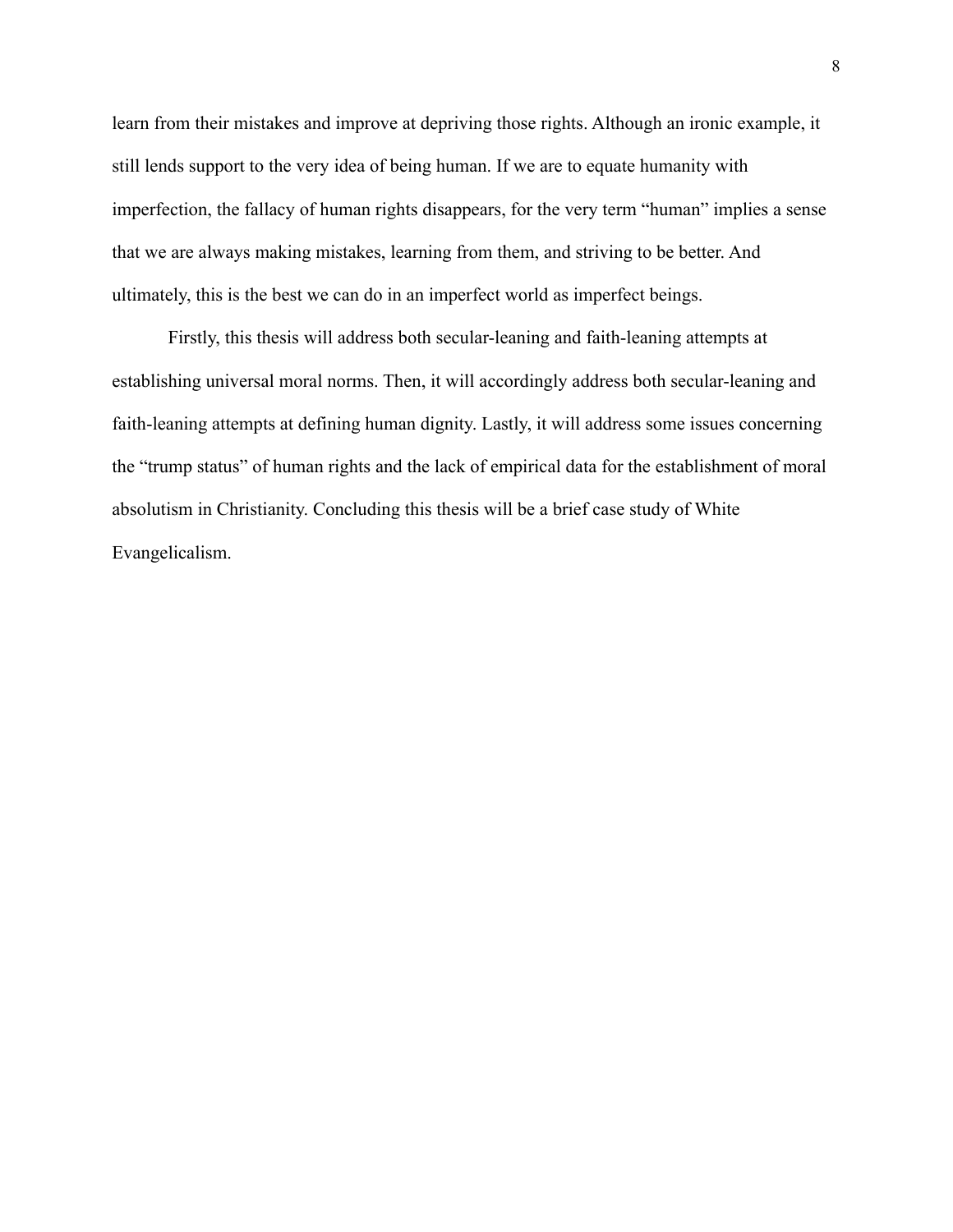learn from their mistakes and improve at depriving those rights. Although an ironic example, it still lends support to the very idea of being human. If we are to equate humanity with imperfection, the fallacy of human rights disappears, for the very term "human" implies a sense that we are always making mistakes, learning from them, and striving to be better. And ultimately, this is the best we can do in an imperfect world as imperfect beings.

Firstly, this thesis will address both secular-leaning and faith-leaning attempts at establishing universal moral norms. Then, it will accordingly address both secular-leaning and faith-leaning attempts at defining human dignity. Lastly, it will address some issues concerning the "trump status" of human rights and the lack of empirical data for the establishment of moral absolutism in Christianity. Concluding this thesis will be a brief case study of White Evangelicalism.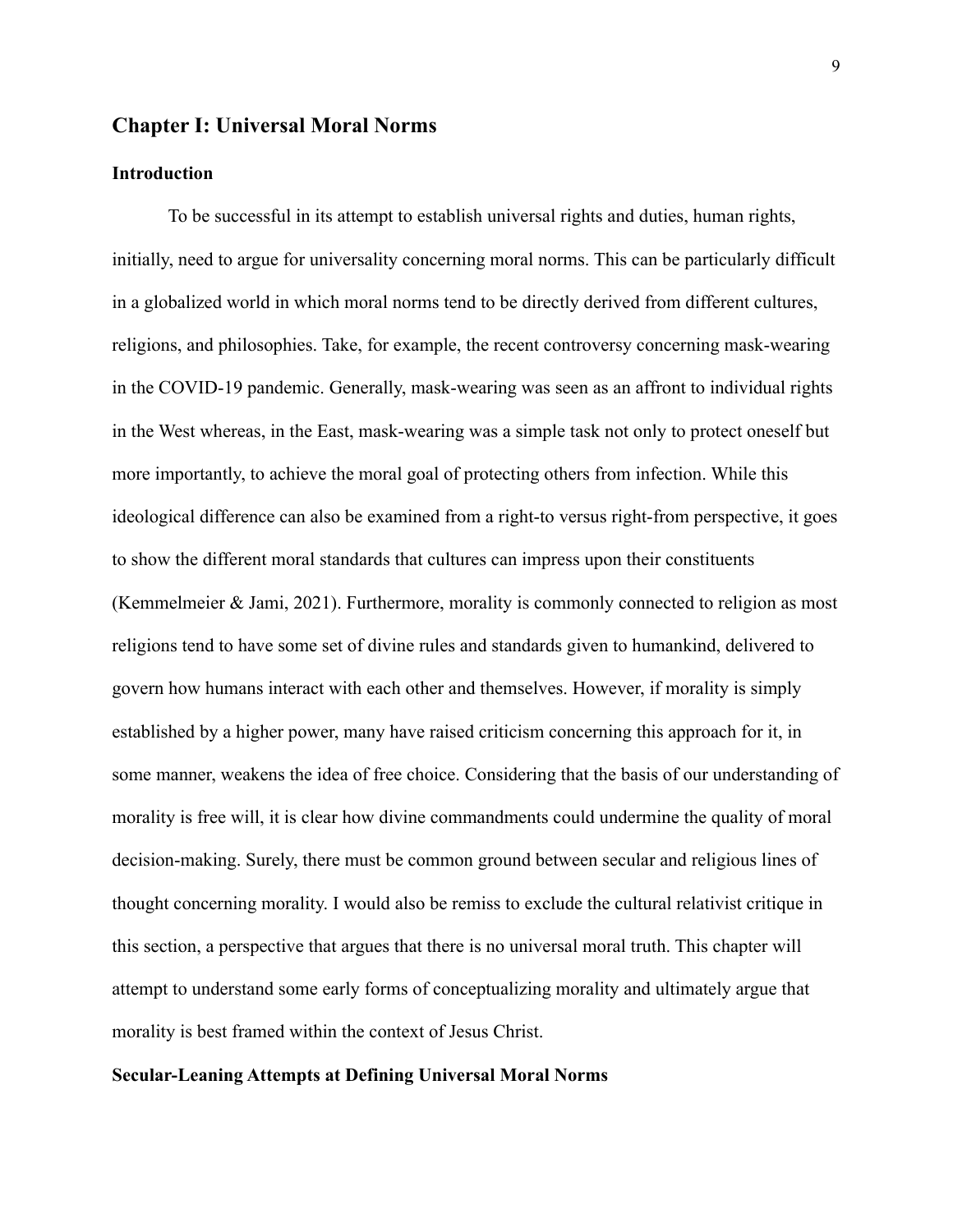### **Chapter I: Universal Moral Norms**

### **Introduction**

To be successful in its attempt to establish universal rights and duties, human rights, initially, need to argue for universality concerning moral norms. This can be particularly difficult in a globalized world in which moral norms tend to be directly derived from different cultures, religions, and philosophies. Take, for example, the recent controversy concerning mask-wearing in the COVID-19 pandemic. Generally, mask-wearing was seen as an affront to individual rights in the West whereas, in the East, mask-wearing was a simple task not only to protect oneself but more importantly, to achieve the moral goal of protecting others from infection. While this ideological difference can also be examined from a right-to versus right-from perspective, it goes to show the different moral standards that cultures can impress upon their constituents (Kemmelmeier & Jami, 2021). Furthermore, morality is commonly connected to religion as most religions tend to have some set of divine rules and standards given to humankind, delivered to govern how humans interact with each other and themselves. However, if morality is simply established by a higher power, many have raised criticism concerning this approach for it, in some manner, weakens the idea of free choice. Considering that the basis of our understanding of morality is free will, it is clear how divine commandments could undermine the quality of moral decision-making. Surely, there must be common ground between secular and religious lines of thought concerning morality. I would also be remiss to exclude the cultural relativist critique in this section, a perspective that argues that there is no universal moral truth. This chapter will attempt to understand some early forms of conceptualizing morality and ultimately argue that morality is best framed within the context of Jesus Christ.

#### **Secular-Leaning Attempts at Defining Universal Moral Norms**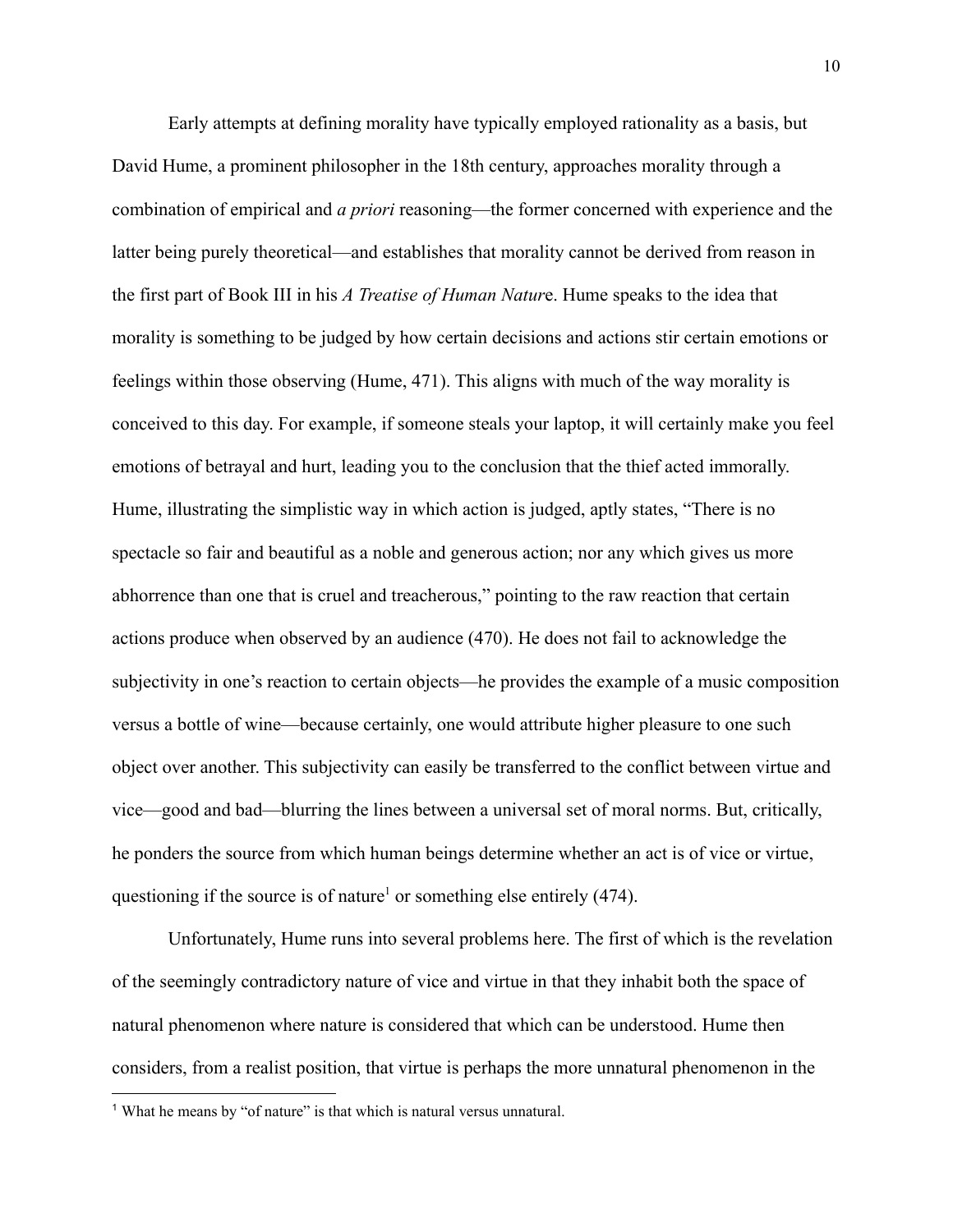Early attempts at defining morality have typically employed rationality as a basis, but David Hume, a prominent philosopher in the 18th century, approaches morality through a combination of empirical and *a priori* reasoning—the former concerned with experience and the latter being purely theoretical—and establishes that morality cannot be derived from reason in the first part of Book III in his *A Treatise of Human Natur*e. Hume speaks to the idea that morality is something to be judged by how certain decisions and actions stir certain emotions or feelings within those observing (Hume, 471). This aligns with much of the way morality is conceived to this day. For example, if someone steals your laptop, it will certainly make you feel emotions of betrayal and hurt, leading you to the conclusion that the thief acted immorally. Hume, illustrating the simplistic way in which action is judged, aptly states, "There is no spectacle so fair and beautiful as a noble and generous action; nor any which gives us more abhorrence than one that is cruel and treacherous," pointing to the raw reaction that certain actions produce when observed by an audience (470). He does not fail to acknowledge the subjectivity in one's reaction to certain objects—he provides the example of a music composition versus a bottle of wine—because certainly, one would attribute higher pleasure to one such object over another. This subjectivity can easily be transferred to the conflict between virtue and vice—good and bad—blurring the lines between a universal set of moral norms. But, critically, he ponders the source from which human beings determine whether an act is of vice or virtue, questioning if the source is of nature<sup>1</sup> or something else entirely (474).

Unfortunately, Hume runs into several problems here. The first of which is the revelation of the seemingly contradictory nature of vice and virtue in that they inhabit both the space of natural phenomenon where nature is considered that which can be understood. Hume then considers, from a realist position, that virtue is perhaps the more unnatural phenomenon in the

<sup>&</sup>lt;sup>1</sup> What he means by "of nature" is that which is natural versus unnatural.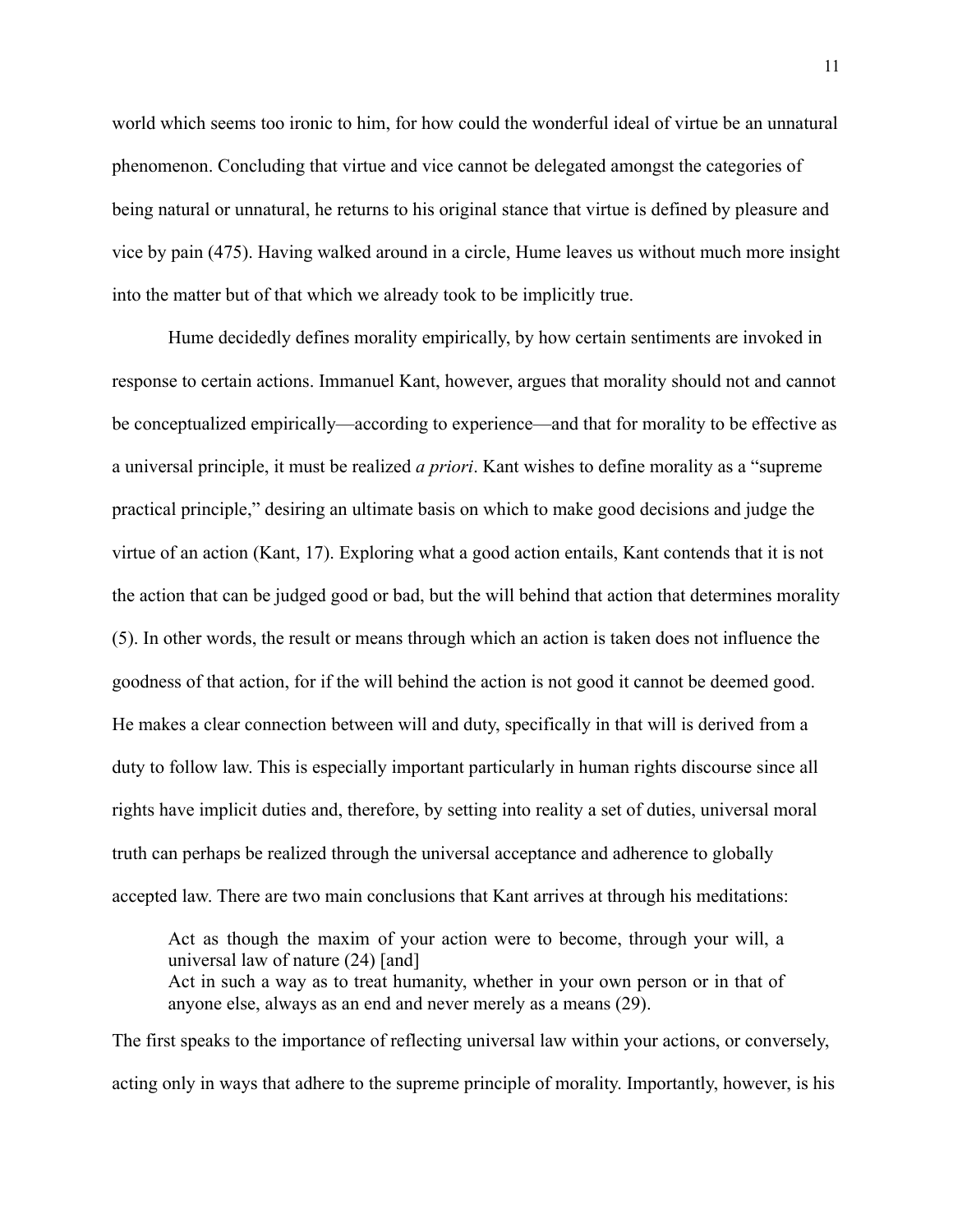world which seems too ironic to him, for how could the wonderful ideal of virtue be an unnatural phenomenon. Concluding that virtue and vice cannot be delegated amongst the categories of being natural or unnatural, he returns to his original stance that virtue is defined by pleasure and vice by pain (475). Having walked around in a circle, Hume leaves us without much more insight into the matter but of that which we already took to be implicitly true.

Hume decidedly defines morality empirically, by how certain sentiments are invoked in response to certain actions. Immanuel Kant, however, argues that morality should not and cannot be conceptualized empirically—according to experience—and that for morality to be effective as a universal principle, it must be realized *a priori*. Kant wishes to define morality as a "supreme practical principle," desiring an ultimate basis on which to make good decisions and judge the virtue of an action (Kant, 17). Exploring what a good action entails, Kant contends that it is not the action that can be judged good or bad, but the will behind that action that determines morality (5). In other words, the result or means through which an action is taken does not influence the goodness of that action, for if the will behind the action is not good it cannot be deemed good. He makes a clear connection between will and duty, specifically in that will is derived from a duty to follow law. This is especially important particularly in human rights discourse since all rights have implicit duties and, therefore, by setting into reality a set of duties, universal moral truth can perhaps be realized through the universal acceptance and adherence to globally accepted law. There are two main conclusions that Kant arrives at through his meditations:

Act as though the maxim of your action were to become, through your will, a universal law of nature (24) [and] Act in such a way as to treat humanity, whether in your own person or in that of anyone else, always as an end and never merely as a means (29).

The first speaks to the importance of reflecting universal law within your actions, or conversely, acting only in ways that adhere to the supreme principle of morality. Importantly, however, is his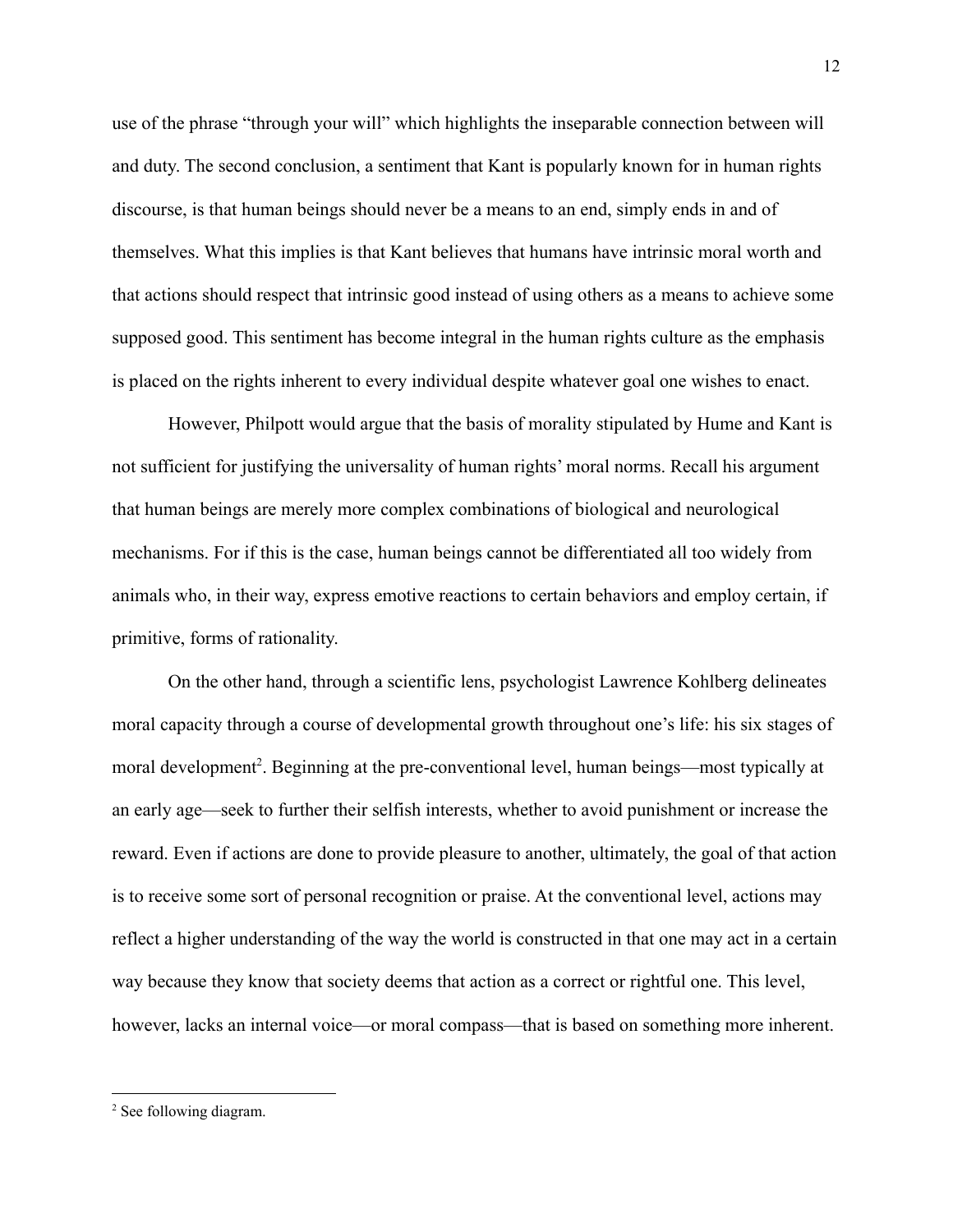use of the phrase "through your will" which highlights the inseparable connection between will and duty. The second conclusion, a sentiment that Kant is popularly known for in human rights discourse, is that human beings should never be a means to an end, simply ends in and of themselves. What this implies is that Kant believes that humans have intrinsic moral worth and that actions should respect that intrinsic good instead of using others as a means to achieve some supposed good. This sentiment has become integral in the human rights culture as the emphasis is placed on the rights inherent to every individual despite whatever goal one wishes to enact.

However, Philpott would argue that the basis of morality stipulated by Hume and Kant is not sufficient for justifying the universality of human rights' moral norms. Recall his argument that human beings are merely more complex combinations of biological and neurological mechanisms. For if this is the case, human beings cannot be differentiated all too widely from animals who, in their way, express emotive reactions to certain behaviors and employ certain, if primitive, forms of rationality.

On the other hand, through a scientific lens, psychologist Lawrence Kohlberg delineates moral capacity through a course of developmental growth throughout one's life: his six stages of moral development<sup>2</sup>. Beginning at the pre-conventional level, human beings—most typically at an early age—seek to further their selfish interests, whether to avoid punishment or increase the reward. Even if actions are done to provide pleasure to another, ultimately, the goal of that action is to receive some sort of personal recognition or praise. At the conventional level, actions may reflect a higher understanding of the way the world is constructed in that one may act in a certain way because they know that society deems that action as a correct or rightful one. This level, however, lacks an internal voice—or moral compass—that is based on something more inherent.

<sup>&</sup>lt;sup>2</sup> See following diagram.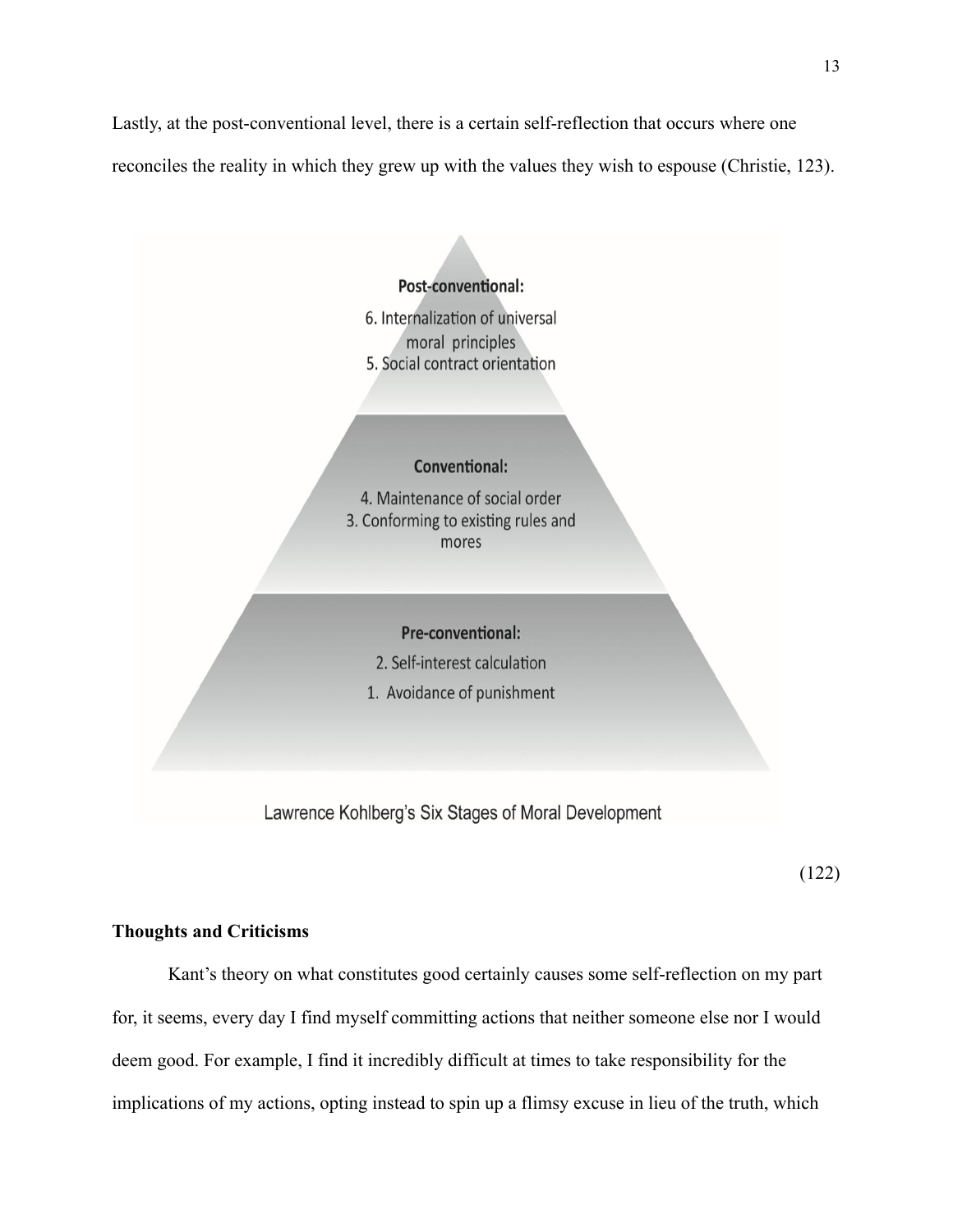Lastly, at the post-conventional level, there is a certain self-reflection that occurs where one reconciles the reality in which they grew up with the values they wish to espouse (Christie, 123).



Lawrence Kohlberg's Six Stages of Moral Development

(122)

### **Thoughts and Criticisms**

Kant's theory on what constitutes good certainly causes some self-reflection on my part for, it seems, every day I find myself committing actions that neither someone else nor I would deem good. For example, I find it incredibly difficult at times to take responsibility for the implications of my actions, opting instead to spin up a flimsy excuse in lieu of the truth, which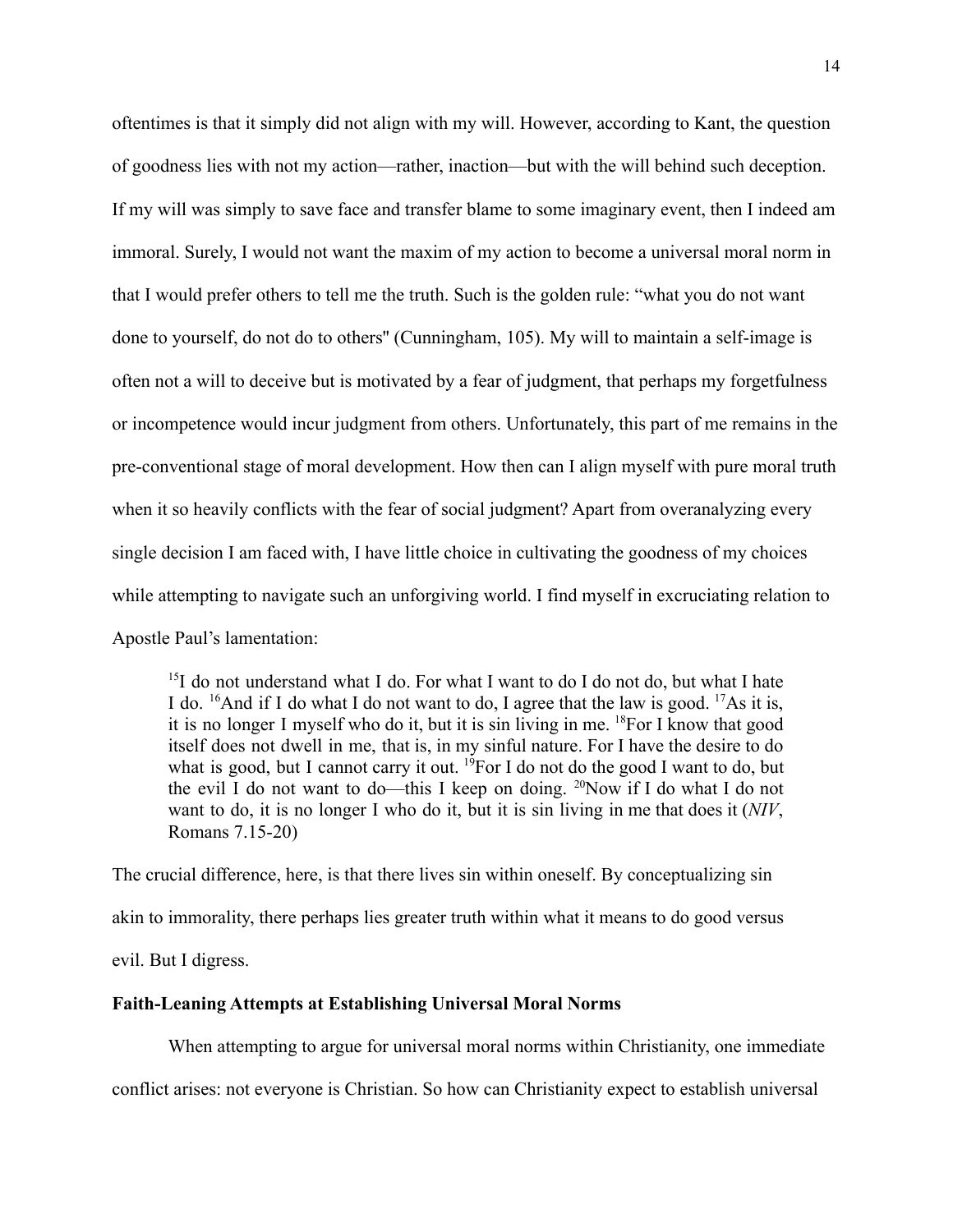oftentimes is that it simply did not align with my will. However, according to Kant, the question of goodness lies with not my action—rather, inaction—but with the will behind such deception. If my will was simply to save face and transfer blame to some imaginary event, then I indeed am immoral. Surely, I would not want the maxim of my action to become a universal moral norm in that I would prefer others to tell me the truth. Such is the golden rule: "what you do not want done to yourself, do not do to others'' (Cunningham, 105). My will to maintain a self-image is often not a will to deceive but is motivated by a fear of judgment, that perhaps my forgetfulness or incompetence would incur judgment from others. Unfortunately, this part of me remains in the pre-conventional stage of moral development. How then can I align myself with pure moral truth when it so heavily conflicts with the fear of social judgment? Apart from overanalyzing every single decision I am faced with, I have little choice in cultivating the goodness of my choices while attempting to navigate such an unforgiving world. I find myself in excruciating relation to Apostle Paul's lamentation:

 $15$ I do not understand what I do. For what I want to do I do not do, but what I hate I do.  $^{16}$ And if I do what I do not want to do, I agree that the law is good.  $^{17}$ As it is, it is no longer I myself who do it, but it is sin living in me. <sup>18</sup>For I know that good itself does not dwell in me, that is, in my sinful nature. For I have the desire to do what is good, but I cannot carry it out.  $^{19}$ For I do not do the good I want to do, but the evil I do not want to do—this I keep on doing.  $^{20}$ Now if I do what I do not want to do, it is no longer I who do it, but it is sin living in me that does it (*NIV*, Romans 7.15-20)

The crucial difference, here, is that there lives sin within oneself. By conceptualizing sin akin to immorality, there perhaps lies greater truth within what it means to do good versus evil. But I digress.

### **Faith-Leaning Attempts at Establishing Universal Moral Norms**

When attempting to argue for universal moral norms within Christianity, one immediate

conflict arises: not everyone is Christian. So how can Christianity expect to establish universal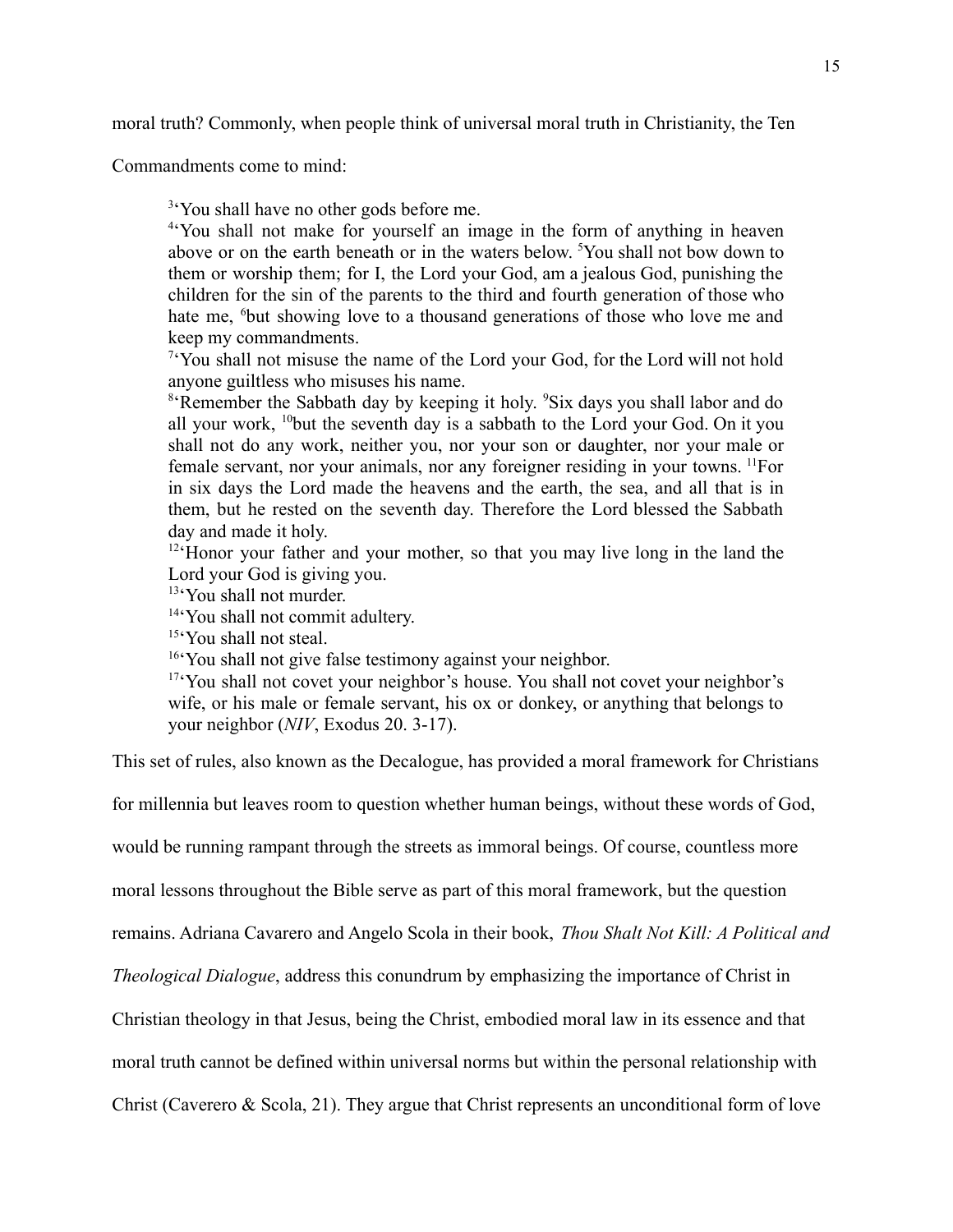moral truth? Commonly, when people think of universal moral truth in Christianity, the Ten

Commandments come to mind:

<sup>3</sup>'You shall have no other gods before me.

4 'You shall not make for yourself an image in the form of anything in heaven above or on the earth beneath or in the waters below. <sup>5</sup>You shall not bow down to them or worship them; for I, the Lord your God, am a jealous God, punishing the children for the sin of the parents to the third and fourth generation of those who hate me, <sup>6</sup>but showing love to a thousand generations of those who love me and keep my commandments.

 $7$ <sup>t</sup>You shall not misuse the name of the Lord your God, for the Lord will not hold anyone guiltless who misuses his name.

<sup>8</sup>'Remember the Sabbath day by keeping it holy. <sup>9</sup>Six days you shall labor and do all your work,  $10$ but the seventh day is a sabbath to the Lord your God. On it you shall not do any work, neither you, nor your son or daughter, nor your male or female servant, nor your animals, nor any foreigner residing in your towns. <sup>11</sup>For in six days the Lord made the heavens and the earth, the sea, and all that is in them, but he rested on the seventh day. Therefore the Lord blessed the Sabbath day and made it holy.

<sup>12</sup> Honor your father and your mother, so that you may live long in the land the Lord your God is giving you.

<sup>13</sup>'You shall not murder.

14 'You shall not commit adultery.

<sup>15</sup>'You shall not steal.

<sup>16</sup>'You shall not give false testimony against your neighbor.

<sup>17</sup>'You shall not covet your neighbor's house. You shall not covet your neighbor's wife, or his male or female servant, his ox or donkey, or anything that belongs to your neighbor (*NIV*, Exodus 20. 3-17).

This set of rules, also known as the Decalogue, has provided a moral framework for Christians

for millennia but leaves room to question whether human beings, without these words of God,

would be running rampant through the streets as immoral beings. Of course, countless more

moral lessons throughout the Bible serve as part of this moral framework, but the question

remains. Adriana Cavarero and Angelo Scola in their book, *Thou Shalt Not Kill: A Political and*

*Theological Dialogue*, address this conundrum by emphasizing the importance of Christ in

Christian theology in that Jesus, being the Christ, embodied moral law in its essence and that

moral truth cannot be defined within universal norms but within the personal relationship with

Christ (Caverero & Scola, 21). They argue that Christ represents an unconditional form of love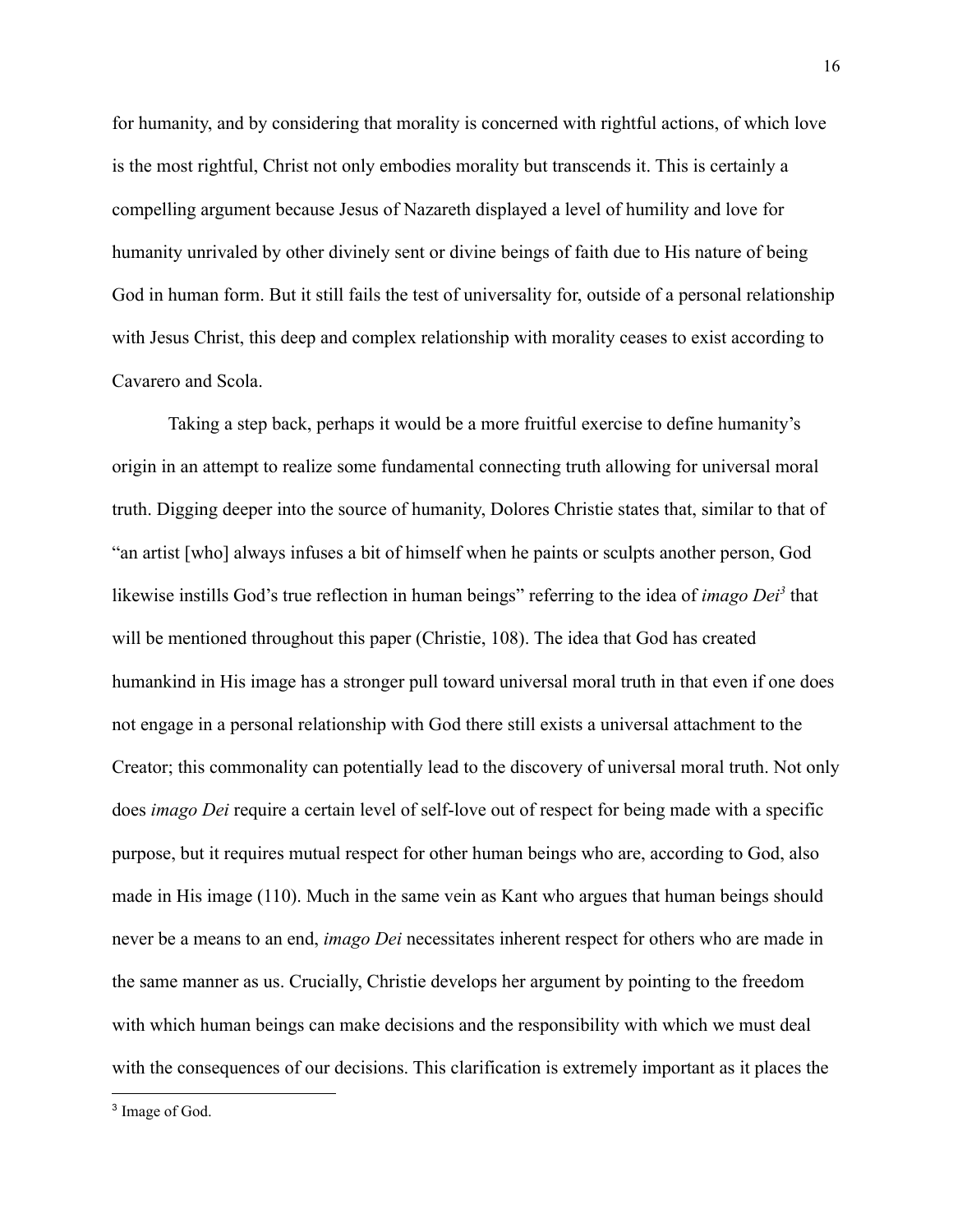for humanity, and by considering that morality is concerned with rightful actions, of which love is the most rightful, Christ not only embodies morality but transcends it. This is certainly a compelling argument because Jesus of Nazareth displayed a level of humility and love for humanity unrivaled by other divinely sent or divine beings of faith due to His nature of being God in human form. But it still fails the test of universality for, outside of a personal relationship with Jesus Christ, this deep and complex relationship with morality ceases to exist according to Cavarero and Scola.

Taking a step back, perhaps it would be a more fruitful exercise to define humanity's origin in an attempt to realize some fundamental connecting truth allowing for universal moral truth. Digging deeper into the source of humanity, Dolores Christie states that, similar to that of "an artist [who] always infuses a bit of himself when he paints or sculpts another person, God likewise instills God's true reflection in human beings" referring to the idea of *imago Dei<sup>3</sup>* that will be mentioned throughout this paper (Christie, 108). The idea that God has created humankind in His image has a stronger pull toward universal moral truth in that even if one does not engage in a personal relationship with God there still exists a universal attachment to the Creator; this commonality can potentially lead to the discovery of universal moral truth. Not only does *imago Dei* require a certain level of self-love out of respect for being made with a specific purpose, but it requires mutual respect for other human beings who are, according to God, also made in His image (110). Much in the same vein as Kant who argues that human beings should never be a means to an end, *imago Dei* necessitates inherent respect for others who are made in the same manner as us. Crucially, Christie develops her argument by pointing to the freedom with which human beings can make decisions and the responsibility with which we must deal with the consequences of our decisions. This clarification is extremely important as it places the

<sup>3</sup> Image of God.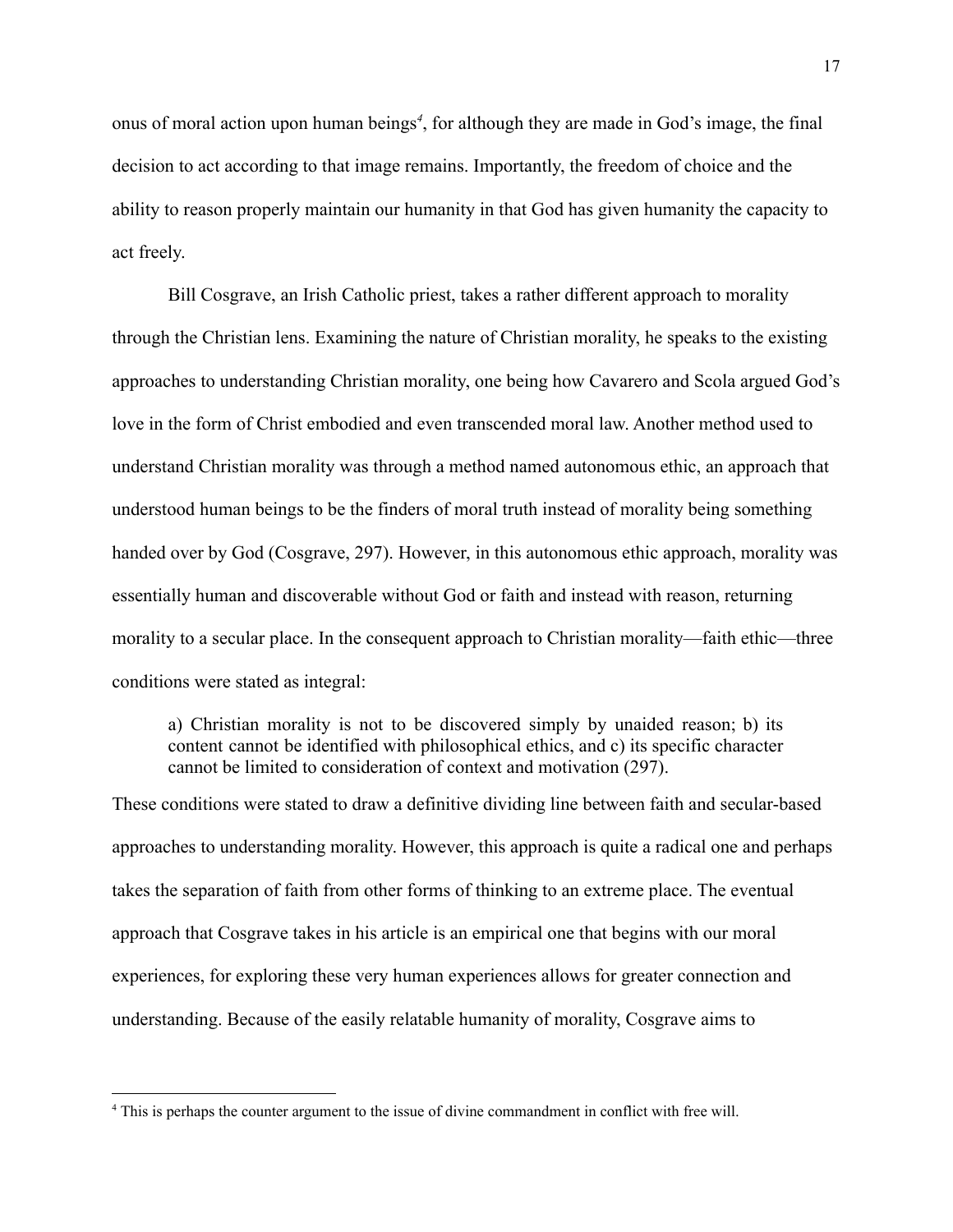onus of moral action upon human beings*<sup>4</sup>* , for although they are made in God's image, the final decision to act according to that image remains. Importantly, the freedom of choice and the ability to reason properly maintain our humanity in that God has given humanity the capacity to act freely.

Bill Cosgrave, an Irish Catholic priest, takes a rather different approach to morality through the Christian lens. Examining the nature of Christian morality, he speaks to the existing approaches to understanding Christian morality, one being how Cavarero and Scola argued God's love in the form of Christ embodied and even transcended moral law. Another method used to understand Christian morality was through a method named autonomous ethic, an approach that understood human beings to be the finders of moral truth instead of morality being something handed over by God (Cosgrave, 297). However, in this autonomous ethic approach, morality was essentially human and discoverable without God or faith and instead with reason, returning morality to a secular place. In the consequent approach to Christian morality—faith ethic—three conditions were stated as integral:

a) Christian morality is not to be discovered simply by unaided reason; b) its content cannot be identified with philosophical ethics, and c) its specific character cannot be limited to consideration of context and motivation (297).

These conditions were stated to draw a definitive dividing line between faith and secular-based approaches to understanding morality. However, this approach is quite a radical one and perhaps takes the separation of faith from other forms of thinking to an extreme place. The eventual approach that Cosgrave takes in his article is an empirical one that begins with our moral experiences, for exploring these very human experiences allows for greater connection and understanding. Because of the easily relatable humanity of morality, Cosgrave aims to

<sup>4</sup> This is perhaps the counter argument to the issue of divine commandment in conflict with free will.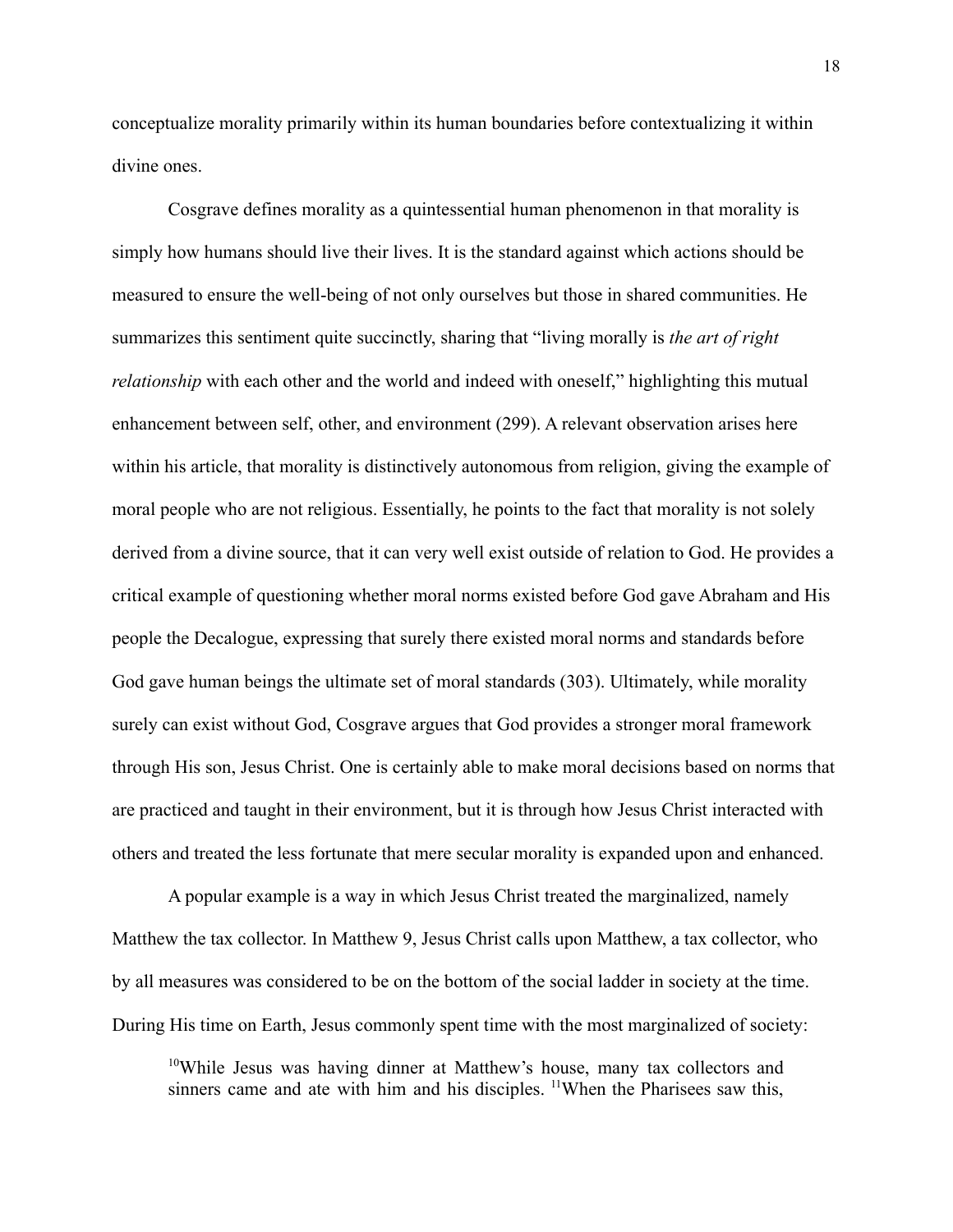conceptualize morality primarily within its human boundaries before contextualizing it within divine ones.

Cosgrave defines morality as a quintessential human phenomenon in that morality is simply how humans should live their lives. It is the standard against which actions should be measured to ensure the well-being of not only ourselves but those in shared communities. He summarizes this sentiment quite succinctly, sharing that "living morally is *the art of right relationship* with each other and the world and indeed with oneself," highlighting this mutual enhancement between self, other, and environment (299). A relevant observation arises here within his article, that morality is distinctively autonomous from religion, giving the example of moral people who are not religious. Essentially, he points to the fact that morality is not solely derived from a divine source, that it can very well exist outside of relation to God. He provides a critical example of questioning whether moral norms existed before God gave Abraham and His people the Decalogue, expressing that surely there existed moral norms and standards before God gave human beings the ultimate set of moral standards (303). Ultimately, while morality surely can exist without God, Cosgrave argues that God provides a stronger moral framework through His son, Jesus Christ. One is certainly able to make moral decisions based on norms that are practiced and taught in their environment, but it is through how Jesus Christ interacted with others and treated the less fortunate that mere secular morality is expanded upon and enhanced.

A popular example is a way in which Jesus Christ treated the marginalized, namely Matthew the tax collector. In Matthew 9, Jesus Christ calls upon Matthew, a tax collector, who by all measures was considered to be on the bottom of the social ladder in society at the time. During His time on Earth, Jesus commonly spent time with the most marginalized of society:

 $10$ While Jesus was having dinner at Matthew's house, many tax collectors and sinners came and ate with him and his disciples. <sup>11</sup>When the Pharisees saw this,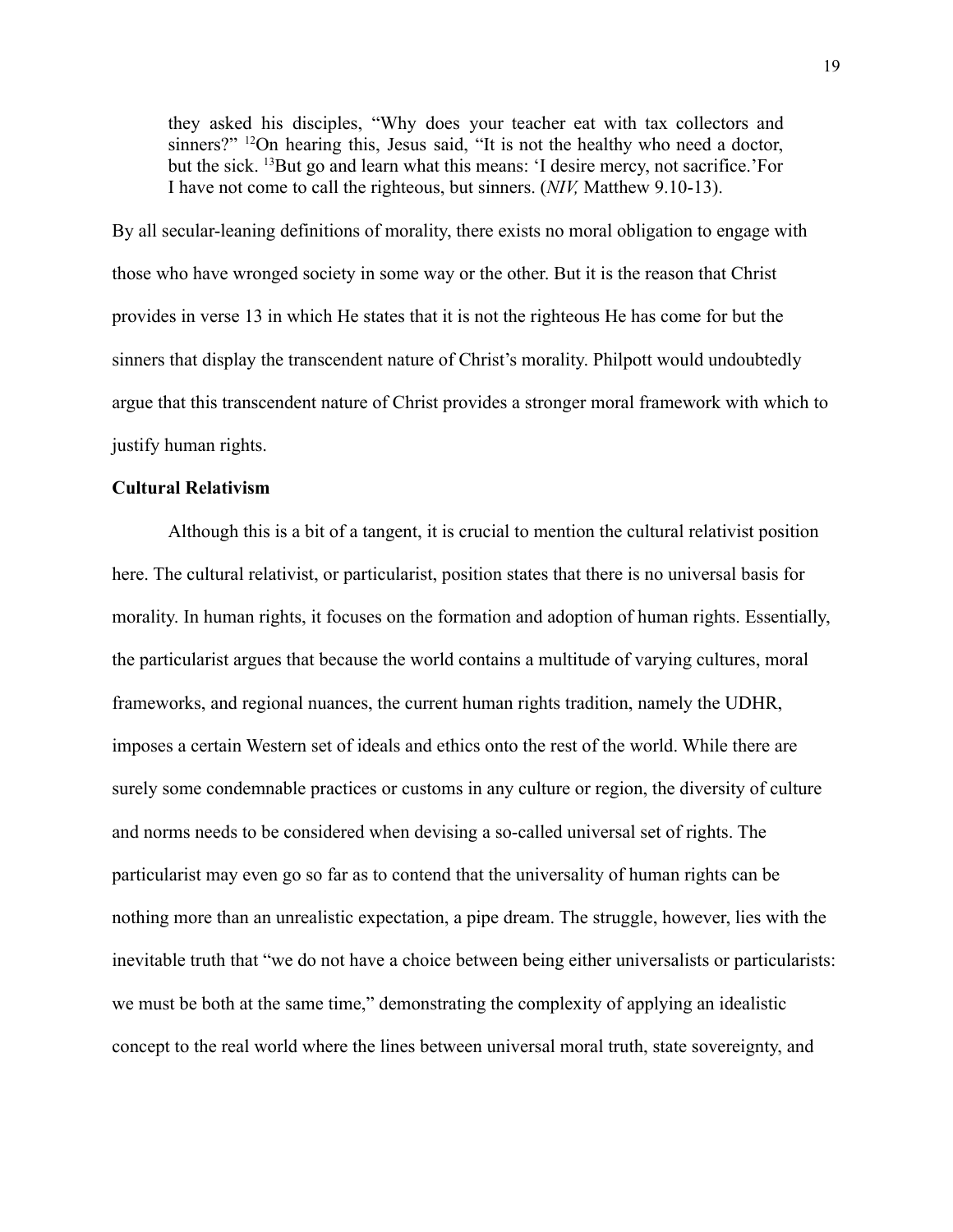they asked his disciples, "Why does your teacher eat with tax collectors and sinners?" <sup>12</sup>On hearing this, Jesus said, "It is not the healthy who need a doctor, but the sick. <sup>13</sup>But go and learn what this means: 'I desire mercy, not sacrifice.'For I have not come to call the righteous, but sinners. (*NIV,* Matthew 9.10-13).

By all secular-leaning definitions of morality, there exists no moral obligation to engage with those who have wronged society in some way or the other. But it is the reason that Christ provides in verse 13 in which He states that it is not the righteous He has come for but the sinners that display the transcendent nature of Christ's morality. Philpott would undoubtedly argue that this transcendent nature of Christ provides a stronger moral framework with which to justify human rights.

### **Cultural Relativism**

Although this is a bit of a tangent, it is crucial to mention the cultural relativist position here. The cultural relativist, or particularist, position states that there is no universal basis for morality. In human rights, it focuses on the formation and adoption of human rights. Essentially, the particularist argues that because the world contains a multitude of varying cultures, moral frameworks, and regional nuances, the current human rights tradition, namely the UDHR, imposes a certain Western set of ideals and ethics onto the rest of the world. While there are surely some condemnable practices or customs in any culture or region, the diversity of culture and norms needs to be considered when devising a so-called universal set of rights. The particularist may even go so far as to contend that the universality of human rights can be nothing more than an unrealistic expectation, a pipe dream. The struggle, however, lies with the inevitable truth that "we do not have a choice between being either universalists or particularists: we must be both at the same time," demonstrating the complexity of applying an idealistic concept to the real world where the lines between universal moral truth, state sovereignty, and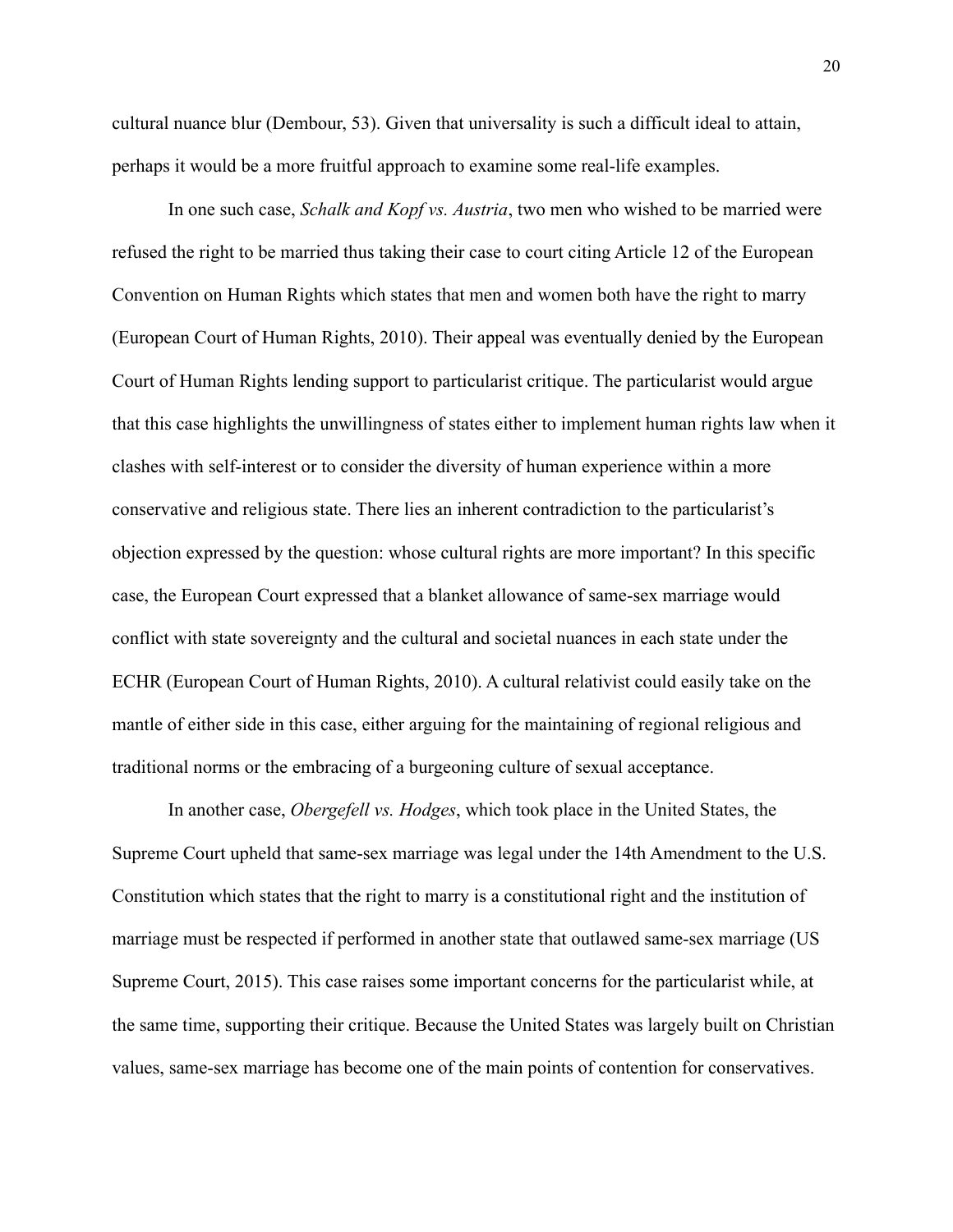cultural nuance blur (Dembour, 53). Given that universality is such a difficult ideal to attain, perhaps it would be a more fruitful approach to examine some real-life examples.

In one such case, *Schalk and Kopf vs. Austria*, two men who wished to be married were refused the right to be married thus taking their case to court citing Article 12 of the European Convention on Human Rights which states that men and women both have the right to marry (European Court of Human Rights, 2010). Their appeal was eventually denied by the European Court of Human Rights lending support to particularist critique. The particularist would argue that this case highlights the unwillingness of states either to implement human rights law when it clashes with self-interest or to consider the diversity of human experience within a more conservative and religious state. There lies an inherent contradiction to the particularist's objection expressed by the question: whose cultural rights are more important? In this specific case, the European Court expressed that a blanket allowance of same-sex marriage would conflict with state sovereignty and the cultural and societal nuances in each state under the ECHR (European Court of Human Rights, 2010). A cultural relativist could easily take on the mantle of either side in this case, either arguing for the maintaining of regional religious and traditional norms or the embracing of a burgeoning culture of sexual acceptance.

In another case, *Obergefell vs. Hodges*, which took place in the United States, the Supreme Court upheld that same-sex marriage was legal under the 14th Amendment to the U.S. Constitution which states that the right to marry is a constitutional right and the institution of marriage must be respected if performed in another state that outlawed same-sex marriage (US Supreme Court, 2015). This case raises some important concerns for the particularist while, at the same time, supporting their critique. Because the United States was largely built on Christian values, same-sex marriage has become one of the main points of contention for conservatives.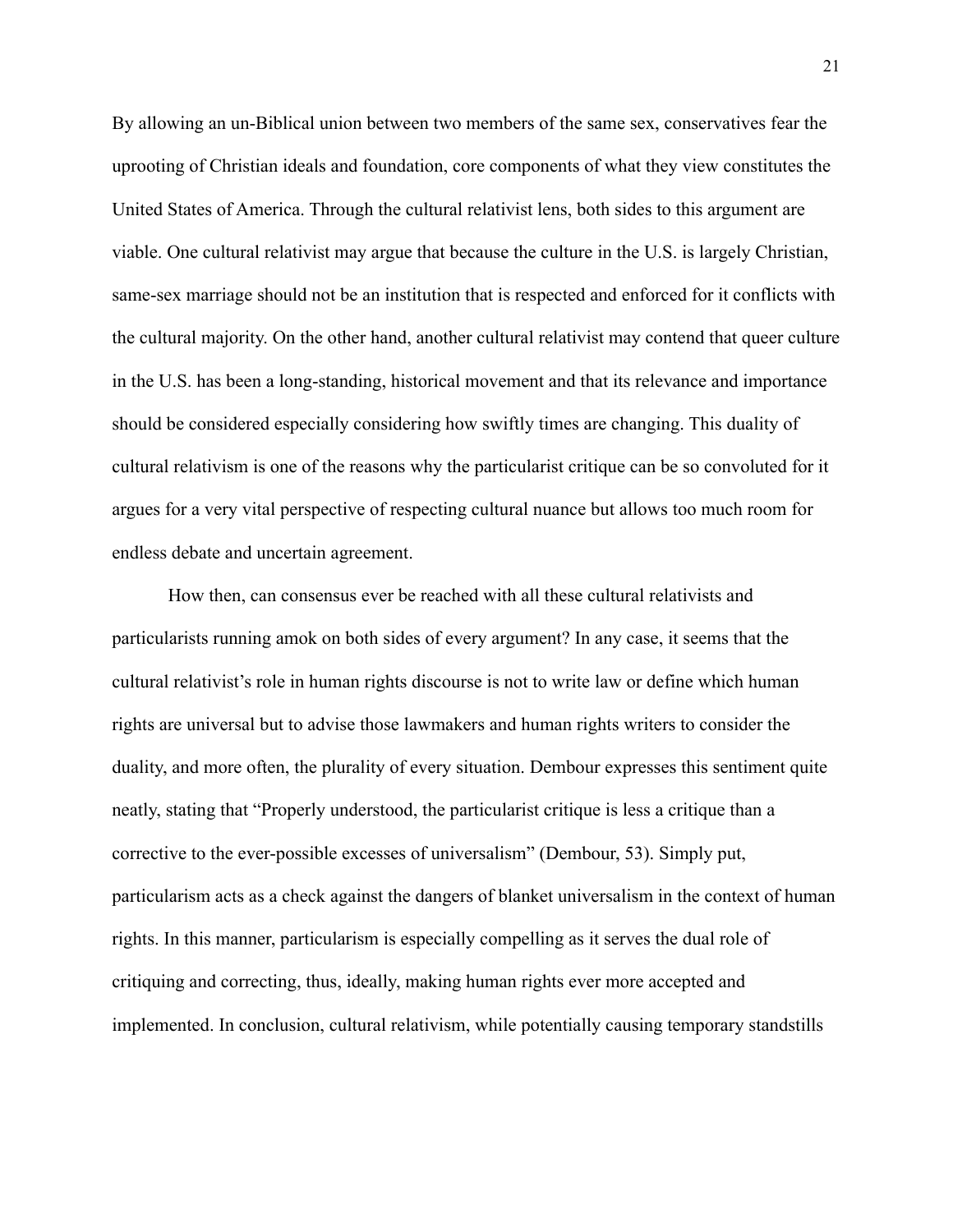By allowing an un-Biblical union between two members of the same sex, conservatives fear the uprooting of Christian ideals and foundation, core components of what they view constitutes the United States of America. Through the cultural relativist lens, both sides to this argument are viable. One cultural relativist may argue that because the culture in the U.S. is largely Christian, same-sex marriage should not be an institution that is respected and enforced for it conflicts with the cultural majority. On the other hand, another cultural relativist may contend that queer culture in the U.S. has been a long-standing, historical movement and that its relevance and importance should be considered especially considering how swiftly times are changing. This duality of cultural relativism is one of the reasons why the particularist critique can be so convoluted for it argues for a very vital perspective of respecting cultural nuance but allows too much room for endless debate and uncertain agreement.

How then, can consensus ever be reached with all these cultural relativists and particularists running amok on both sides of every argument? In any case, it seems that the cultural relativist's role in human rights discourse is not to write law or define which human rights are universal but to advise those lawmakers and human rights writers to consider the duality, and more often, the plurality of every situation. Dembour expresses this sentiment quite neatly, stating that "Properly understood, the particularist critique is less a critique than a corrective to the ever-possible excesses of universalism" (Dembour, 53). Simply put, particularism acts as a check against the dangers of blanket universalism in the context of human rights. In this manner, particularism is especially compelling as it serves the dual role of critiquing and correcting, thus, ideally, making human rights ever more accepted and implemented. In conclusion, cultural relativism, while potentially causing temporary standstills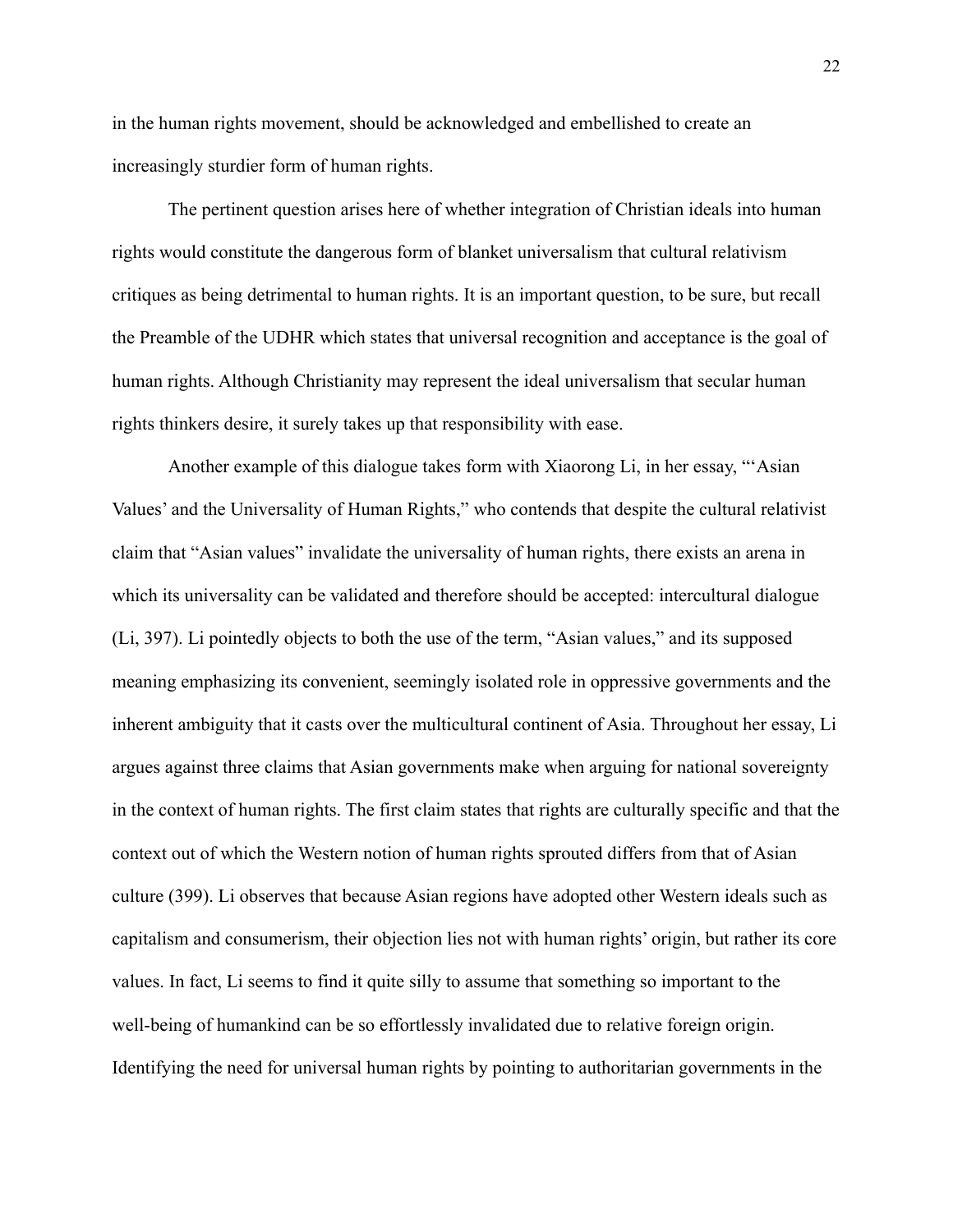in the human rights movement, should be acknowledged and embellished to create an increasingly sturdier form of human rights.

The pertinent question arises here of whether integration of Christian ideals into human rights would constitute the dangerous form of blanket universalism that cultural relativism critiques as being detrimental to human rights. It is an important question, to be sure, but recall the Preamble of the UDHR which states that universal recognition and acceptance is the goal of human rights. Although Christianity may represent the ideal universalism that secular human rights thinkers desire, it surely takes up that responsibility with ease.

Another example of this dialogue takes form with Xiaorong Li, in her essay, "'Asian Values' and the Universality of Human Rights," who contends that despite the cultural relativist claim that "Asian values" invalidate the universality of human rights, there exists an arena in which its universality can be validated and therefore should be accepted: intercultural dialogue (Li, 397). Li pointedly objects to both the use of the term, "Asian values," and its supposed meaning emphasizing its convenient, seemingly isolated role in oppressive governments and the inherent ambiguity that it casts over the multicultural continent of Asia. Throughout her essay, Li argues against three claims that Asian governments make when arguing for national sovereignty in the context of human rights. The first claim states that rights are culturally specific and that the context out of which the Western notion of human rights sprouted differs from that of Asian culture (399). Li observes that because Asian regions have adopted other Western ideals such as capitalism and consumerism, their objection lies not with human rights' origin, but rather its core values. In fact, Li seems to find it quite silly to assume that something so important to the well-being of humankind can be so effortlessly invalidated due to relative foreign origin. Identifying the need for universal human rights by pointing to authoritarian governments in the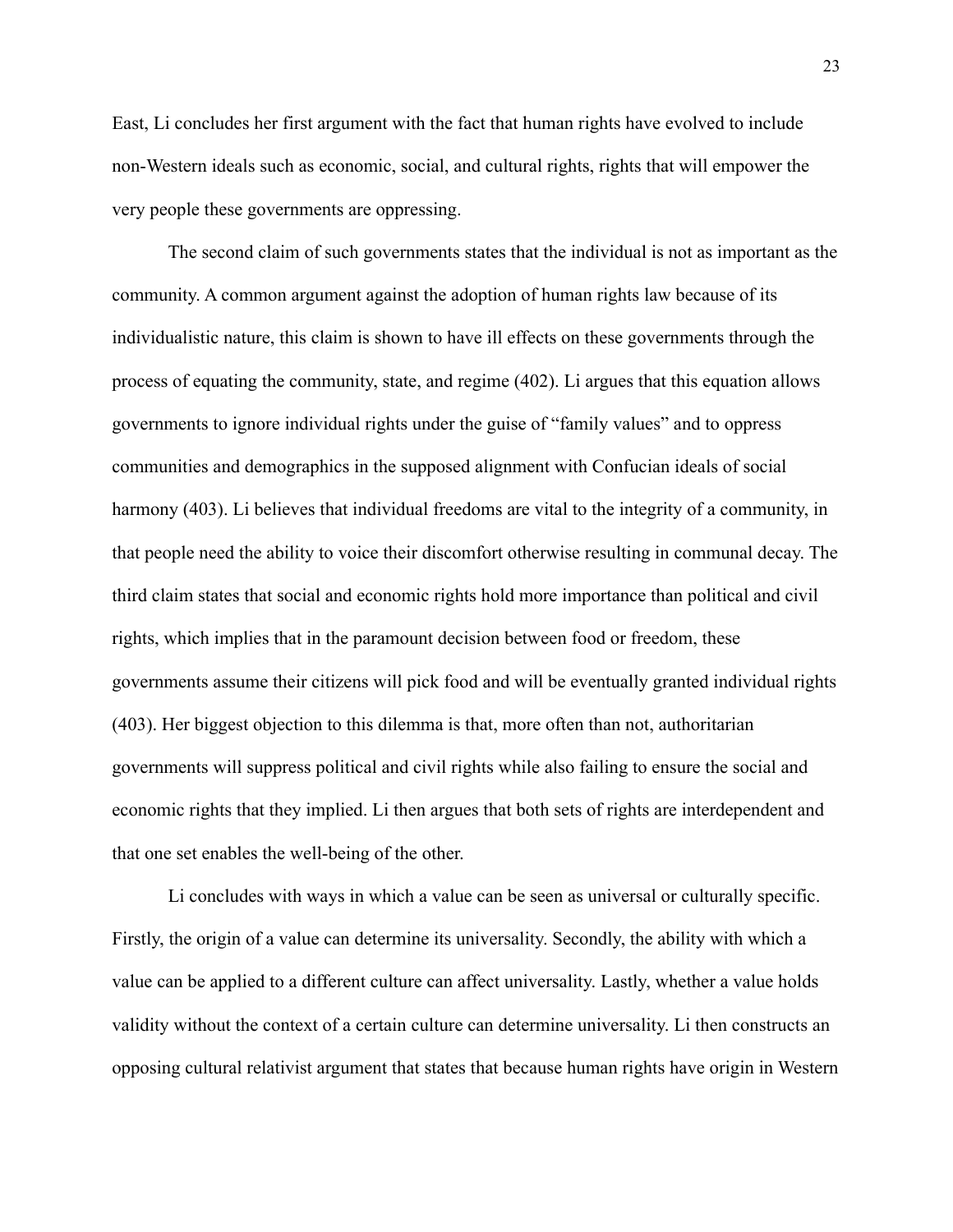East, Li concludes her first argument with the fact that human rights have evolved to include non-Western ideals such as economic, social, and cultural rights, rights that will empower the very people these governments are oppressing.

The second claim of such governments states that the individual is not as important as the community. A common argument against the adoption of human rights law because of its individualistic nature, this claim is shown to have ill effects on these governments through the process of equating the community, state, and regime (402). Li argues that this equation allows governments to ignore individual rights under the guise of "family values" and to oppress communities and demographics in the supposed alignment with Confucian ideals of social harmony (403). Li believes that individual freedoms are vital to the integrity of a community, in that people need the ability to voice their discomfort otherwise resulting in communal decay. The third claim states that social and economic rights hold more importance than political and civil rights, which implies that in the paramount decision between food or freedom, these governments assume their citizens will pick food and will be eventually granted individual rights (403). Her biggest objection to this dilemma is that, more often than not, authoritarian governments will suppress political and civil rights while also failing to ensure the social and economic rights that they implied. Li then argues that both sets of rights are interdependent and that one set enables the well-being of the other.

Li concludes with ways in which a value can be seen as universal or culturally specific. Firstly, the origin of a value can determine its universality. Secondly, the ability with which a value can be applied to a different culture can affect universality. Lastly, whether a value holds validity without the context of a certain culture can determine universality. Li then constructs an opposing cultural relativist argument that states that because human rights have origin in Western

23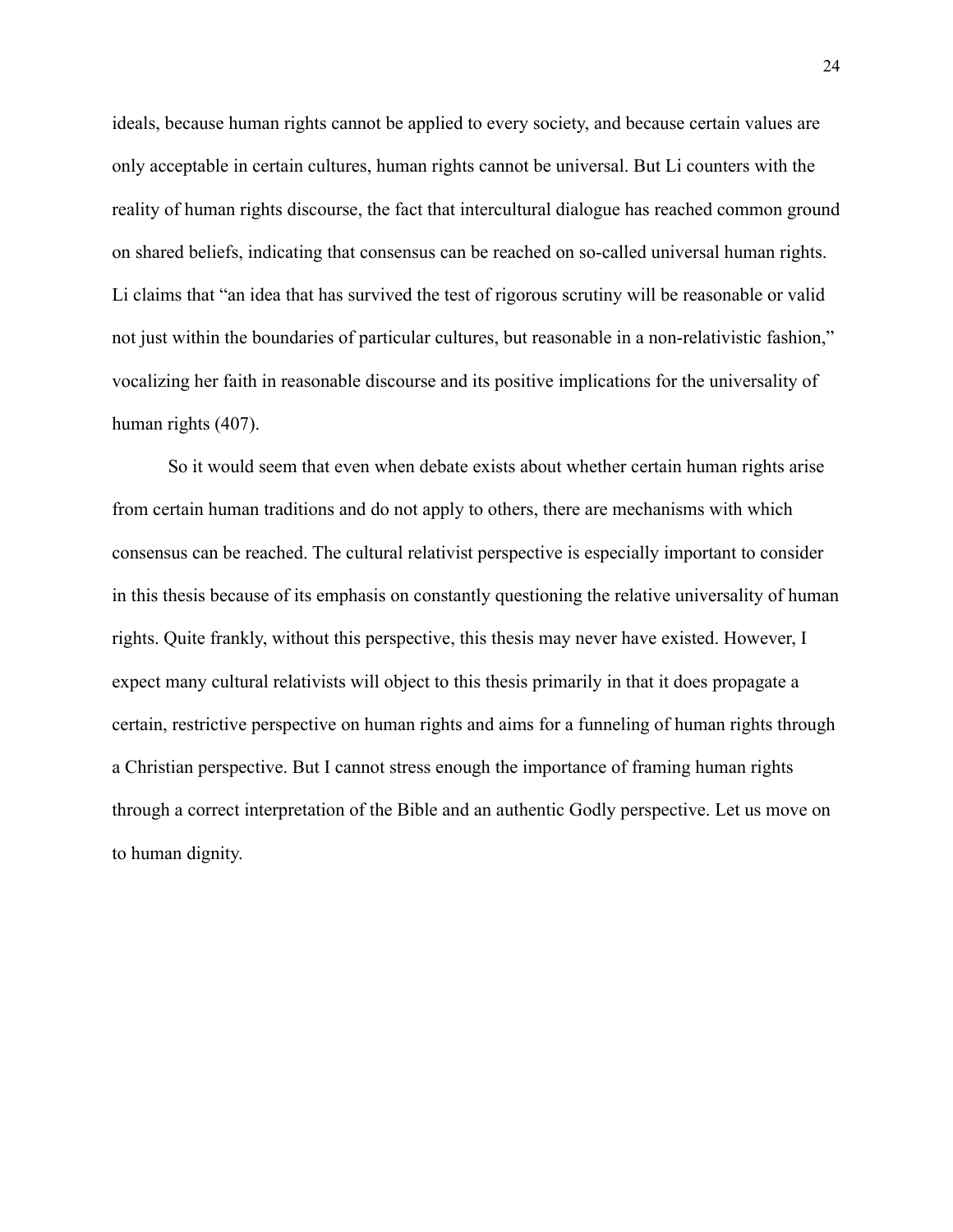ideals, because human rights cannot be applied to every society, and because certain values are only acceptable in certain cultures, human rights cannot be universal. But Li counters with the reality of human rights discourse, the fact that intercultural dialogue has reached common ground on shared beliefs, indicating that consensus can be reached on so-called universal human rights. Li claims that "an idea that has survived the test of rigorous scrutiny will be reasonable or valid not just within the boundaries of particular cultures, but reasonable in a non-relativistic fashion," vocalizing her faith in reasonable discourse and its positive implications for the universality of human rights (407).

So it would seem that even when debate exists about whether certain human rights arise from certain human traditions and do not apply to others, there are mechanisms with which consensus can be reached. The cultural relativist perspective is especially important to consider in this thesis because of its emphasis on constantly questioning the relative universality of human rights. Quite frankly, without this perspective, this thesis may never have existed. However, I expect many cultural relativists will object to this thesis primarily in that it does propagate a certain, restrictive perspective on human rights and aims for a funneling of human rights through a Christian perspective. But I cannot stress enough the importance of framing human rights through a correct interpretation of the Bible and an authentic Godly perspective. Let us move on to human dignity.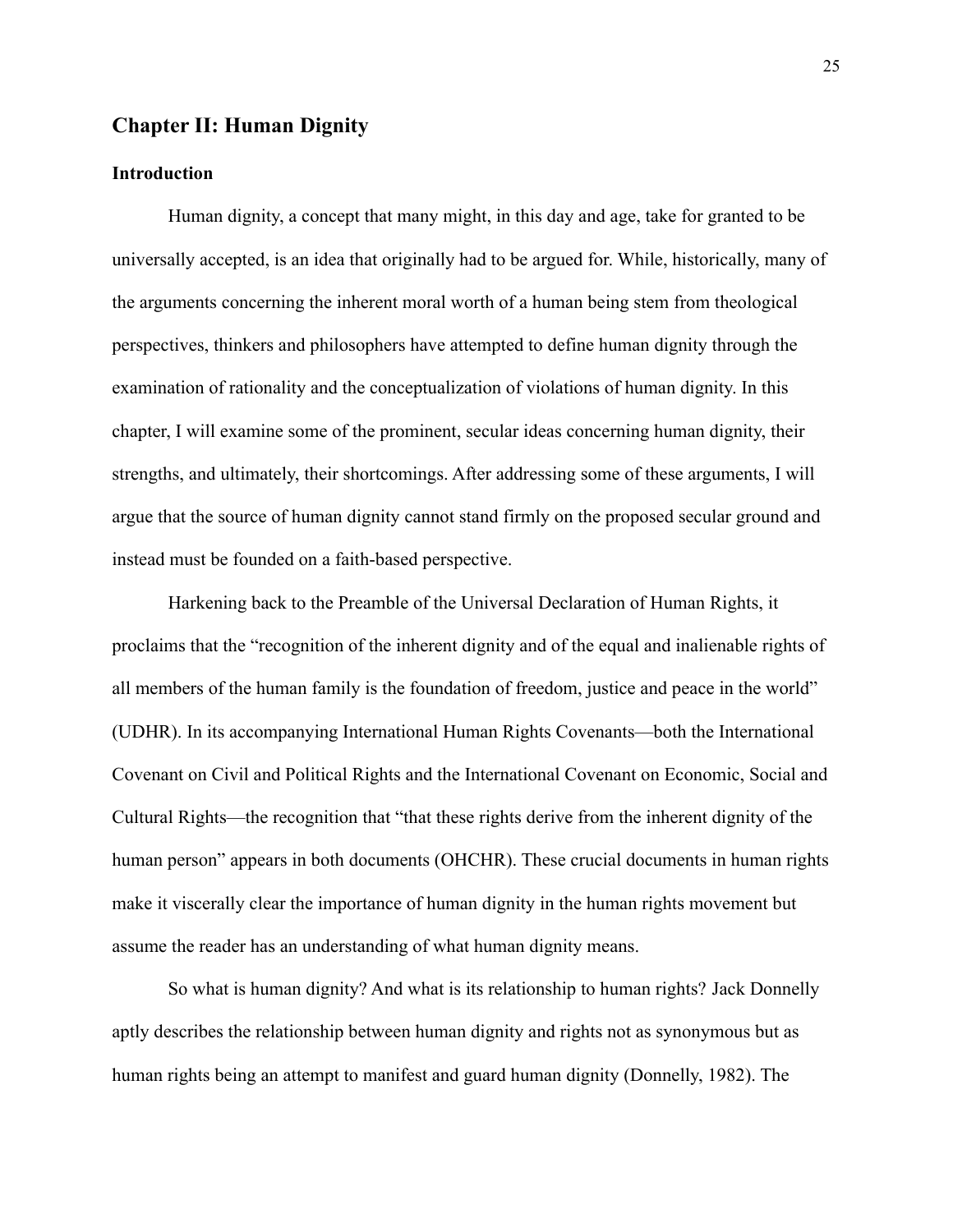### **Chapter II: Human Dignity**

### **Introduction**

Human dignity, a concept that many might, in this day and age, take for granted to be universally accepted, is an idea that originally had to be argued for. While, historically, many of the arguments concerning the inherent moral worth of a human being stem from theological perspectives, thinkers and philosophers have attempted to define human dignity through the examination of rationality and the conceptualization of violations of human dignity. In this chapter, I will examine some of the prominent, secular ideas concerning human dignity, their strengths, and ultimately, their shortcomings. After addressing some of these arguments, I will argue that the source of human dignity cannot stand firmly on the proposed secular ground and instead must be founded on a faith-based perspective.

Harkening back to the Preamble of the Universal Declaration of Human Rights, it proclaims that the "recognition of the inherent dignity and of the equal and inalienable rights of all members of the human family is the foundation of freedom, justice and peace in the world" (UDHR). In its accompanying International Human Rights Covenants—both the International Covenant on Civil and Political Rights and the International Covenant on Economic, Social and Cultural Rights—the recognition that "that these rights derive from the inherent dignity of the human person" appears in both documents (OHCHR). These crucial documents in human rights make it viscerally clear the importance of human dignity in the human rights movement but assume the reader has an understanding of what human dignity means.

So what is human dignity? And what is its relationship to human rights? Jack Donnelly aptly describes the relationship between human dignity and rights not as synonymous but as human rights being an attempt to manifest and guard human dignity (Donnelly, 1982). The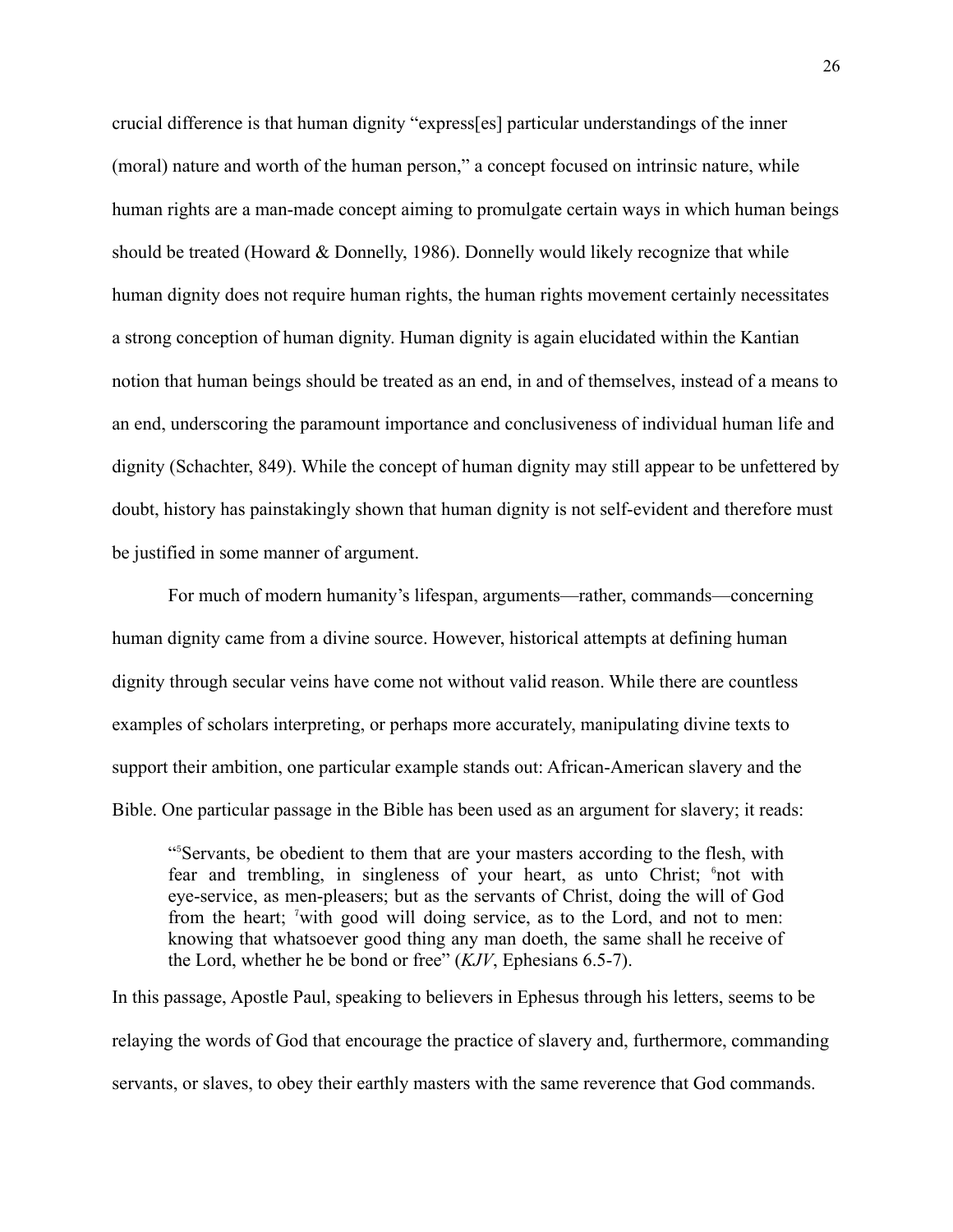crucial difference is that human dignity "express[es] particular understandings of the inner (moral) nature and worth of the human person," a concept focused on intrinsic nature, while human rights are a man-made concept aiming to promulgate certain ways in which human beings should be treated (Howard & Donnelly, 1986). Donnelly would likely recognize that while human dignity does not require human rights, the human rights movement certainly necessitates a strong conception of human dignity. Human dignity is again elucidated within the Kantian notion that human beings should be treated as an end, in and of themselves, instead of a means to an end, underscoring the paramount importance and conclusiveness of individual human life and dignity (Schachter, 849). While the concept of human dignity may still appear to be unfettered by doubt, history has painstakingly shown that human dignity is not self-evident and therefore must be justified in some manner of argument.

For much of modern humanity's lifespan, arguments—rather, commands—concerning human dignity came from a divine source. However, historical attempts at defining human dignity through secular veins have come not without valid reason. While there are countless examples of scholars interpreting, or perhaps more accurately, manipulating divine texts to support their ambition, one particular example stands out: African-American slavery and the Bible. One particular passage in the Bible has been used as an argument for slavery; it reads:

"⁵Servants, be obedient to them that are your masters according to the flesh, with fear and trembling, in singleness of your heart, as unto Christ; <sup>6</sup>not with eye-service, as men-pleasers; but as the servants of Christ, doing the will of God from the heart; 'with good will doing service, as to the Lord, and not to men: knowing that whatsoever good thing any man doeth, the same shall he receive of the Lord, whether he be bond or free" (*KJV*, Ephesians 6.5-7).

In this passage, Apostle Paul, speaking to believers in Ephesus through his letters, seems to be relaying the words of God that encourage the practice of slavery and, furthermore, commanding servants, or slaves, to obey their earthly masters with the same reverence that God commands.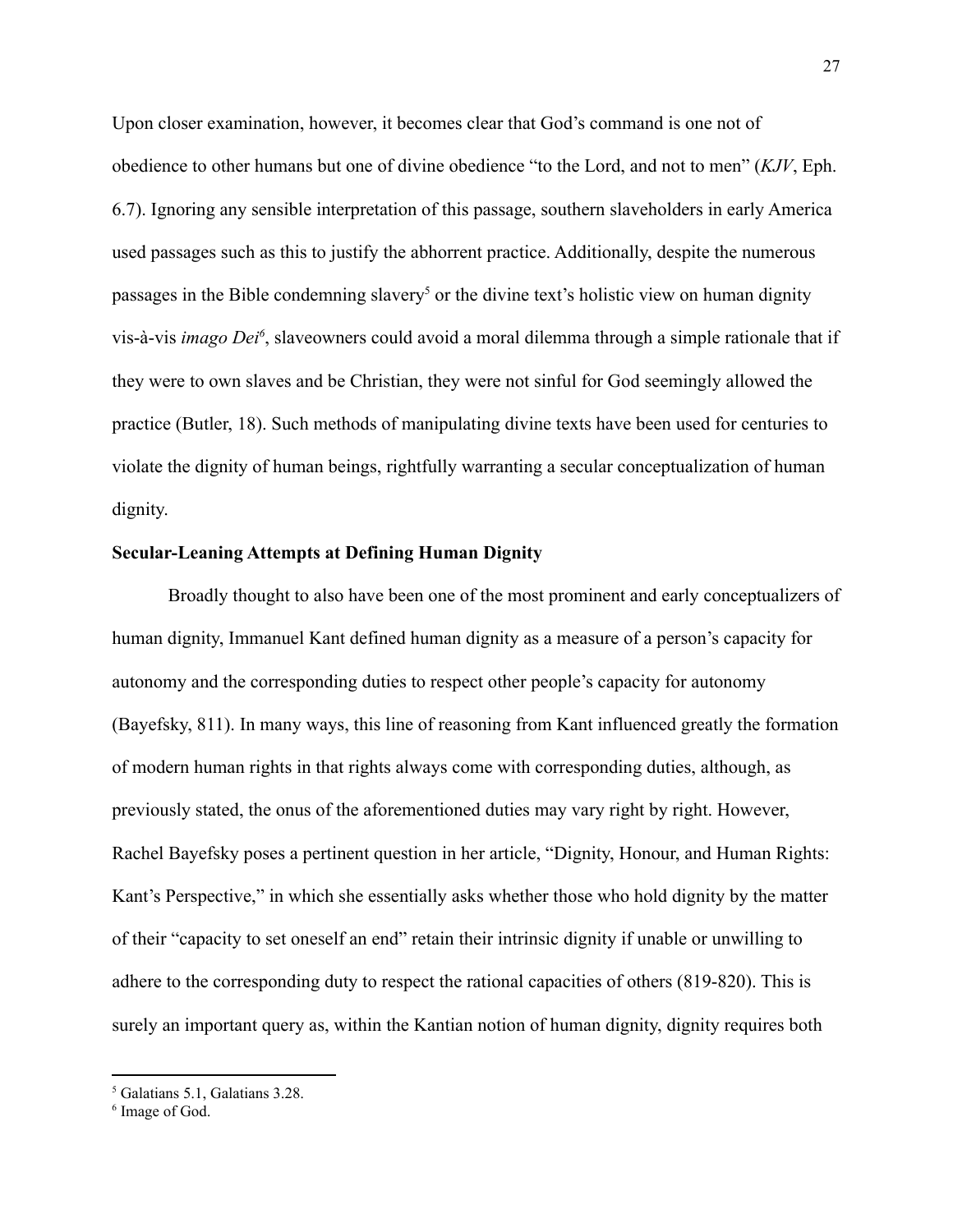Upon closer examination, however, it becomes clear that God's command is one not of obedience to other humans but one of divine obedience "to the Lord, and not to men" (*KJV*, Eph. 6.7). Ignoring any sensible interpretation of this passage, southern slaveholders in early America used passages such as this to justify the abhorrent practice. Additionally, despite the numerous passages in the Bible condemning slavery<sup>5</sup> or the divine text's holistic view on human dignity vis-à-vis *imago Dei<sup>6</sup>*, slaveowners could avoid a moral dilemma through a simple rationale that if they were to own slaves and be Christian, they were not sinful for God seemingly allowed the practice (Butler, 18). Such methods of manipulating divine texts have been used for centuries to violate the dignity of human beings, rightfully warranting a secular conceptualization of human dignity.

#### **Secular-Leaning Attempts at Defining Human Dignity**

Broadly thought to also have been one of the most prominent and early conceptualizers of human dignity, Immanuel Kant defined human dignity as a measure of a person's capacity for autonomy and the corresponding duties to respect other people's capacity for autonomy (Bayefsky, 811). In many ways, this line of reasoning from Kant influenced greatly the formation of modern human rights in that rights always come with corresponding duties, although, as previously stated, the onus of the aforementioned duties may vary right by right. However, Rachel Bayefsky poses a pertinent question in her article, "Dignity, Honour, and Human Rights: Kant's Perspective," in which she essentially asks whether those who hold dignity by the matter of their "capacity to set oneself an end" retain their intrinsic dignity if unable or unwilling to adhere to the corresponding duty to respect the rational capacities of others (819-820). This is surely an important query as, within the Kantian notion of human dignity, dignity requires both

<sup>5</sup> Galatians 5.1, Galatians 3.28.

<sup>6</sup> Image of God.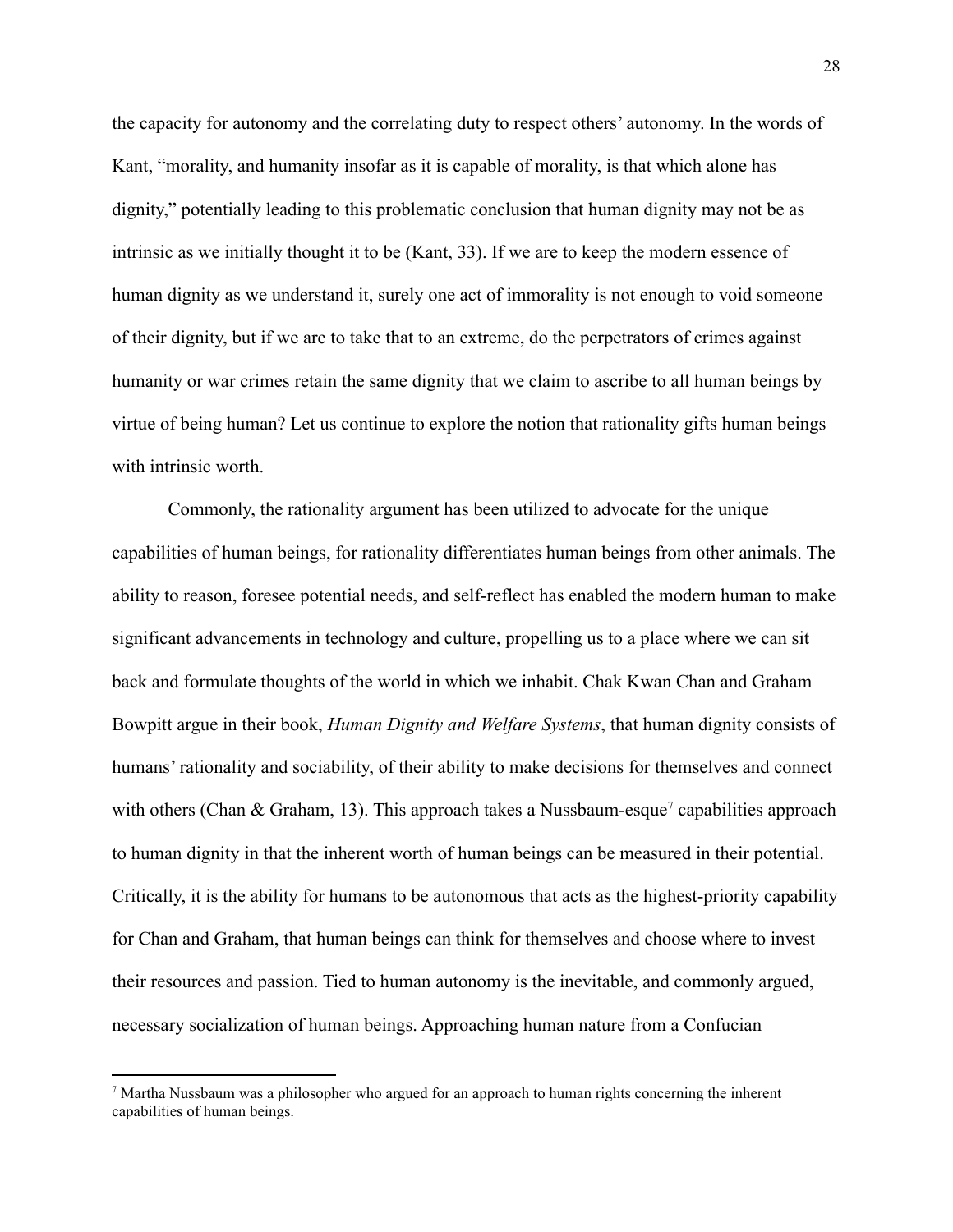the capacity for autonomy and the correlating duty to respect others' autonomy. In the words of Kant, "morality, and humanity insofar as it is capable of morality, is that which alone has dignity," potentially leading to this problematic conclusion that human dignity may not be as intrinsic as we initially thought it to be (Kant, 33). If we are to keep the modern essence of human dignity as we understand it, surely one act of immorality is not enough to void someone of their dignity, but if we are to take that to an extreme, do the perpetrators of crimes against humanity or war crimes retain the same dignity that we claim to ascribe to all human beings by virtue of being human? Let us continue to explore the notion that rationality gifts human beings with intrinsic worth.

Commonly, the rationality argument has been utilized to advocate for the unique capabilities of human beings, for rationality differentiates human beings from other animals. The ability to reason, foresee potential needs, and self-reflect has enabled the modern human to make significant advancements in technology and culture, propelling us to a place where we can sit back and formulate thoughts of the world in which we inhabit. Chak Kwan Chan and Graham Bowpitt argue in their book, *Human Dignity and Welfare Systems*, that human dignity consists of humans' rationality and sociability, of their ability to make decisions for themselves and connect with others (Chan & Graham, 13). This approach takes a Nussbaum-esque<sup>7</sup> capabilities approach to human dignity in that the inherent worth of human beings can be measured in their potential. Critically, it is the ability for humans to be autonomous that acts as the highest-priority capability for Chan and Graham, that human beings can think for themselves and choose where to invest their resources and passion. Tied to human autonomy is the inevitable, and commonly argued, necessary socialization of human beings. Approaching human nature from a Confucian

 $<sup>7</sup>$  Martha Nussbaum was a philosopher who argued for an approach to human rights concerning the inherent</sup> capabilities of human beings.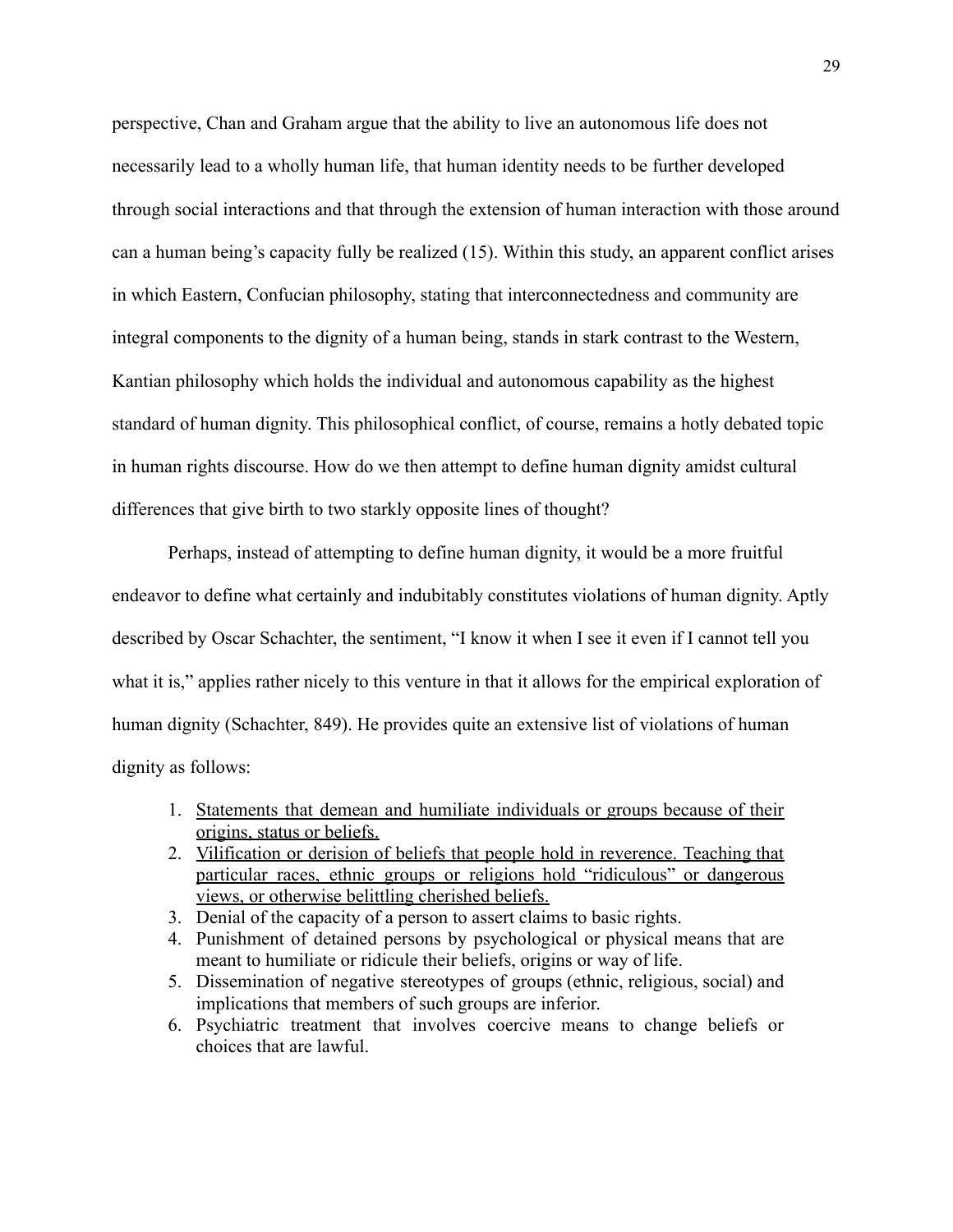perspective, Chan and Graham argue that the ability to live an autonomous life does not necessarily lead to a wholly human life, that human identity needs to be further developed through social interactions and that through the extension of human interaction with those around can a human being's capacity fully be realized (15). Within this study, an apparent conflict arises in which Eastern, Confucian philosophy, stating that interconnectedness and community are integral components to the dignity of a human being, stands in stark contrast to the Western, Kantian philosophy which holds the individual and autonomous capability as the highest standard of human dignity. This philosophical conflict, of course, remains a hotly debated topic in human rights discourse. How do we then attempt to define human dignity amidst cultural differences that give birth to two starkly opposite lines of thought?

Perhaps, instead of attempting to define human dignity, it would be a more fruitful endeavor to define what certainly and indubitably constitutes violations of human dignity. Aptly described by Oscar Schachter, the sentiment, "I know it when I see it even if I cannot tell you what it is," applies rather nicely to this venture in that it allows for the empirical exploration of human dignity (Schachter, 849). He provides quite an extensive list of violations of human dignity as follows:

- 1. Statements that demean and humiliate individuals or groups because of their origins, status or beliefs.
- 2. Vilification or derision of beliefs that people hold in reverence. Teaching that particular races, ethnic groups or religions hold "ridiculous" or dangerous views, or otherwise belittling cherished beliefs.
- 3. Denial of the capacity of a person to assert claims to basic rights.
- 4. Punishment of detained persons by psychological or physical means that are meant to humiliate or ridicule their beliefs, origins or way of life.
- 5. Dissemination of negative stereotypes of groups (ethnic, religious, social) and implications that members of such groups are inferior.
- 6. Psychiatric treatment that involves coercive means to change beliefs or choices that are lawful.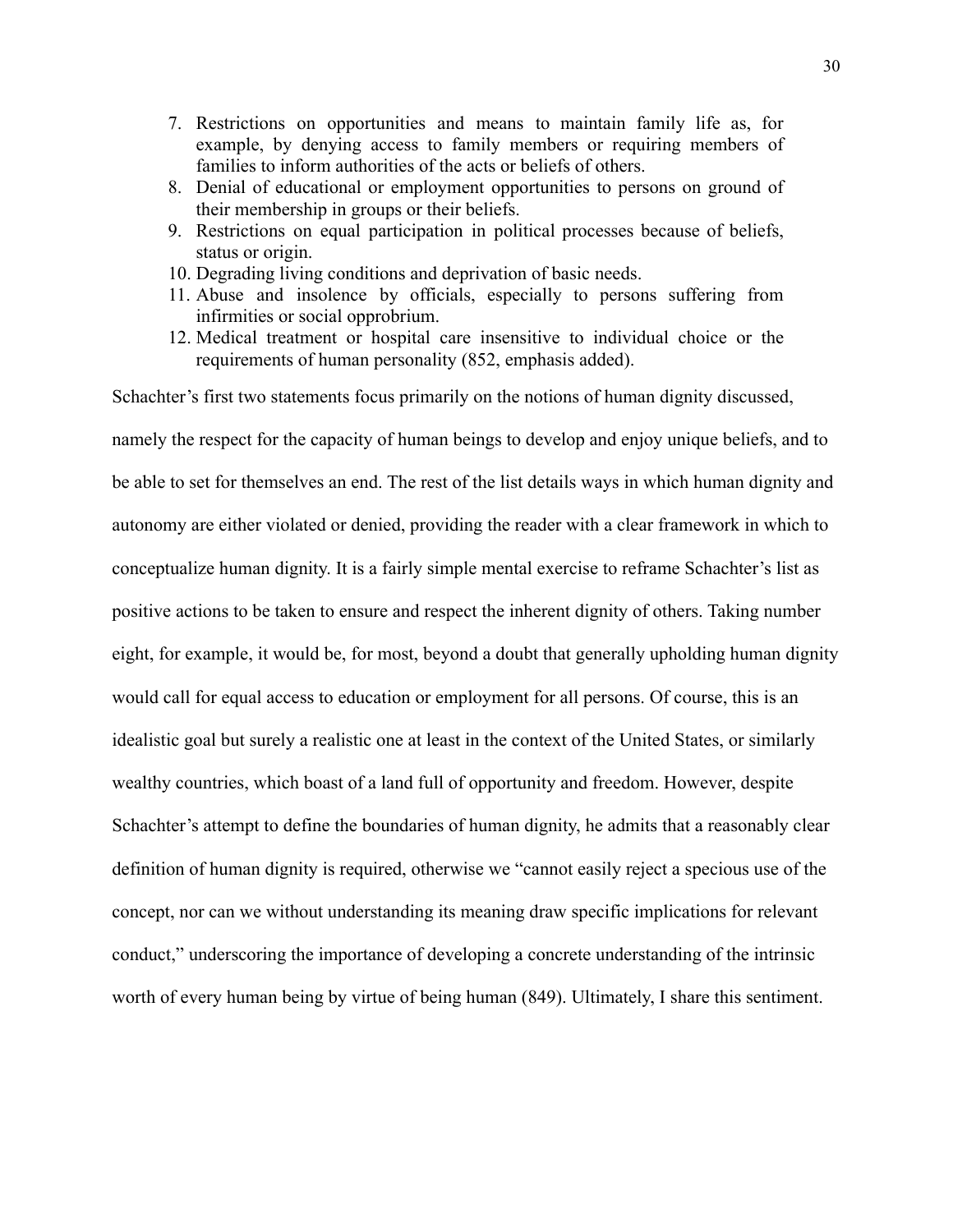- 7. Restrictions on opportunities and means to maintain family life as, for example, by denying access to family members or requiring members of families to inform authorities of the acts or beliefs of others.
- 8. Denial of educational or employment opportunities to persons on ground of their membership in groups or their beliefs.
- 9. Restrictions on equal participation in political processes because of beliefs, status or origin.
- 10. Degrading living conditions and deprivation of basic needs.
- 11. Abuse and insolence by officials, especially to persons suffering from infirmities or social opprobrium.
- 12. Medical treatment or hospital care insensitive to individual choice or the requirements of human personality (852, emphasis added).

Schachter's first two statements focus primarily on the notions of human dignity discussed, namely the respect for the capacity of human beings to develop and enjoy unique beliefs, and to be able to set for themselves an end. The rest of the list details ways in which human dignity and autonomy are either violated or denied, providing the reader with a clear framework in which to conceptualize human dignity. It is a fairly simple mental exercise to reframe Schachter's list as positive actions to be taken to ensure and respect the inherent dignity of others. Taking number eight, for example, it would be, for most, beyond a doubt that generally upholding human dignity would call for equal access to education or employment for all persons. Of course, this is an idealistic goal but surely a realistic one at least in the context of the United States, or similarly wealthy countries, which boast of a land full of opportunity and freedom. However, despite Schachter's attempt to define the boundaries of human dignity, he admits that a reasonably clear definition of human dignity is required, otherwise we "cannot easily reject a specious use of the concept, nor can we without understanding its meaning draw specific implications for relevant conduct," underscoring the importance of developing a concrete understanding of the intrinsic worth of every human being by virtue of being human (849). Ultimately, I share this sentiment.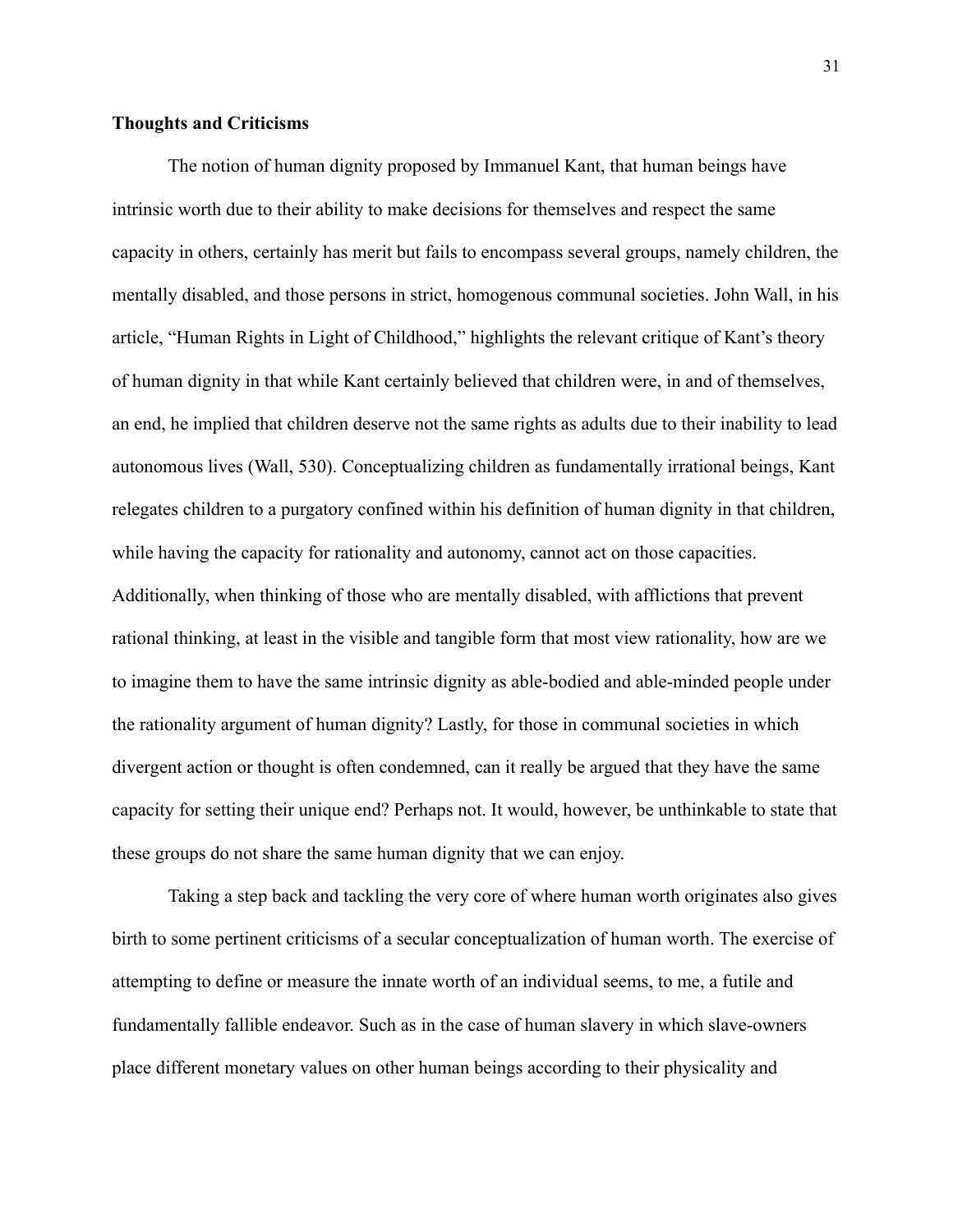### **Thoughts and Criticisms**

The notion of human dignity proposed by Immanuel Kant, that human beings have intrinsic worth due to their ability to make decisions for themselves and respect the same capacity in others, certainly has merit but fails to encompass several groups, namely children, the mentally disabled, and those persons in strict, homogenous communal societies. John Wall, in his article, "Human Rights in Light of Childhood," highlights the relevant critique of Kant's theory of human dignity in that while Kant certainly believed that children were, in and of themselves, an end, he implied that children deserve not the same rights as adults due to their inability to lead autonomous lives (Wall, 530). Conceptualizing children as fundamentally irrational beings, Kant relegates children to a purgatory confined within his definition of human dignity in that children, while having the capacity for rationality and autonomy, cannot act on those capacities. Additionally, when thinking of those who are mentally disabled, with afflictions that prevent rational thinking, at least in the visible and tangible form that most view rationality, how are we to imagine them to have the same intrinsic dignity as able-bodied and able-minded people under the rationality argument of human dignity? Lastly, for those in communal societies in which divergent action or thought is often condemned, can it really be argued that they have the same capacity for setting their unique end? Perhaps not. It would, however, be unthinkable to state that these groups do not share the same human dignity that we can enjoy.

Taking a step back and tackling the very core of where human worth originates also gives birth to some pertinent criticisms of a secular conceptualization of human worth. The exercise of attempting to define or measure the innate worth of an individual seems, to me, a futile and fundamentally fallible endeavor. Such as in the case of human slavery in which slave-owners place different monetary values on other human beings according to their physicality and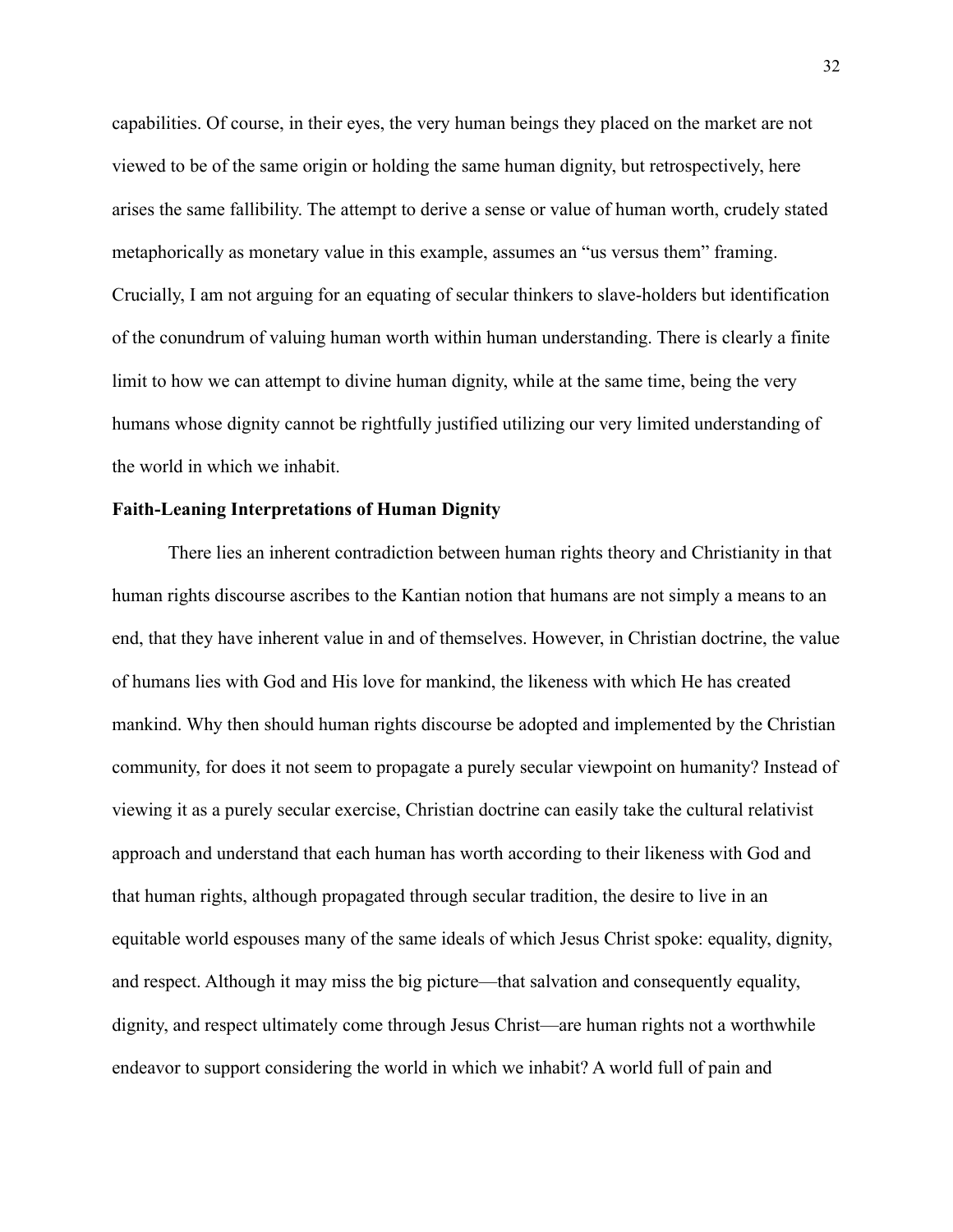capabilities. Of course, in their eyes, the very human beings they placed on the market are not viewed to be of the same origin or holding the same human dignity, but retrospectively, here arises the same fallibility. The attempt to derive a sense or value of human worth, crudely stated metaphorically as monetary value in this example, assumes an "us versus them" framing. Crucially, I am not arguing for an equating of secular thinkers to slave-holders but identification of the conundrum of valuing human worth within human understanding. There is clearly a finite limit to how we can attempt to divine human dignity, while at the same time, being the very humans whose dignity cannot be rightfully justified utilizing our very limited understanding of the world in which we inhabit.

### **Faith-Leaning Interpretations of Human Dignity**

There lies an inherent contradiction between human rights theory and Christianity in that human rights discourse ascribes to the Kantian notion that humans are not simply a means to an end, that they have inherent value in and of themselves. However, in Christian doctrine, the value of humans lies with God and His love for mankind, the likeness with which He has created mankind. Why then should human rights discourse be adopted and implemented by the Christian community, for does it not seem to propagate a purely secular viewpoint on humanity? Instead of viewing it as a purely secular exercise, Christian doctrine can easily take the cultural relativist approach and understand that each human has worth according to their likeness with God and that human rights, although propagated through secular tradition, the desire to live in an equitable world espouses many of the same ideals of which Jesus Christ spoke: equality, dignity, and respect. Although it may miss the big picture—that salvation and consequently equality, dignity, and respect ultimately come through Jesus Christ—are human rights not a worthwhile endeavor to support considering the world in which we inhabit? A world full of pain and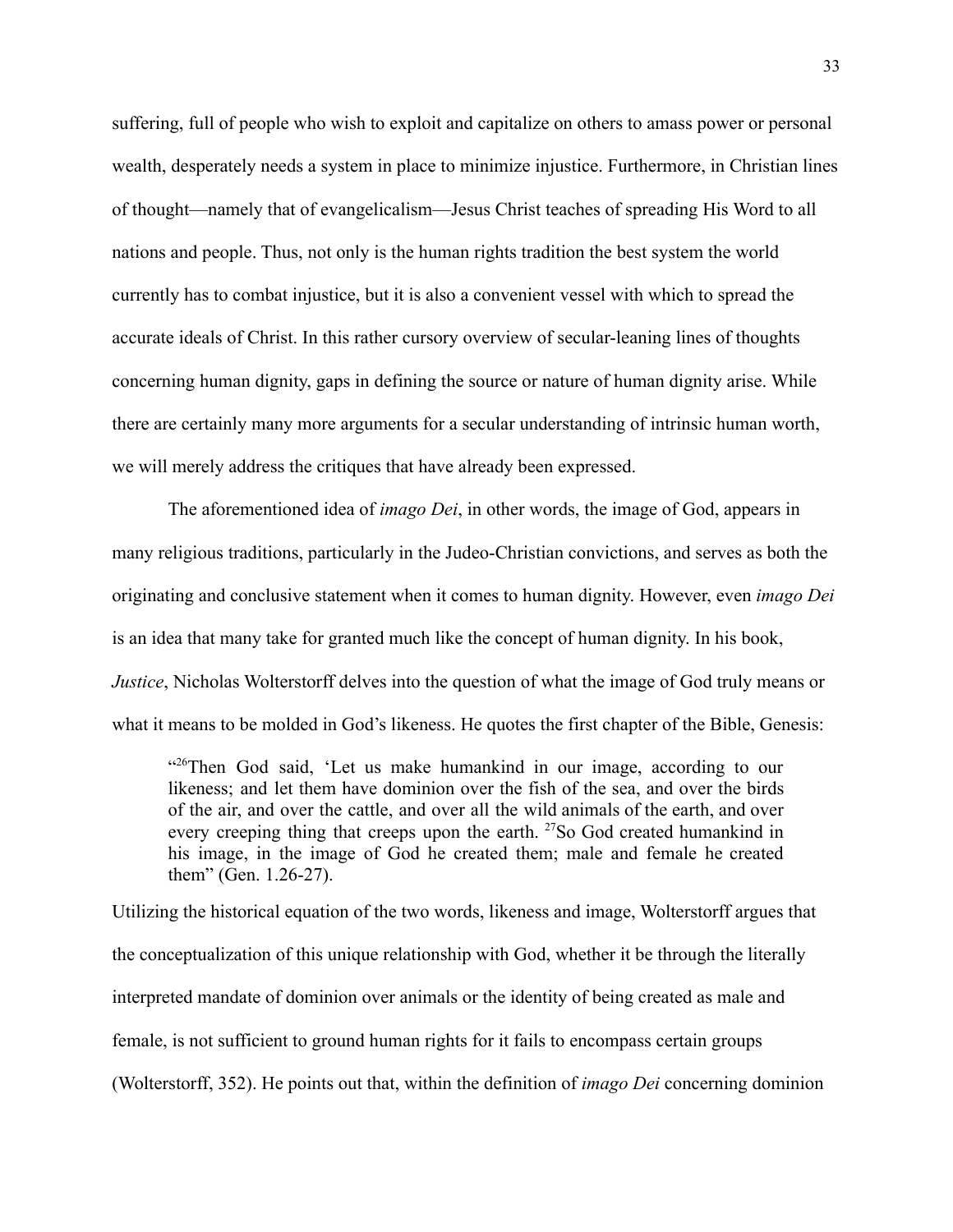suffering, full of people who wish to exploit and capitalize on others to amass power or personal wealth, desperately needs a system in place to minimize injustice. Furthermore, in Christian lines of thought—namely that of evangelicalism—Jesus Christ teaches of spreading His Word to all nations and people. Thus, not only is the human rights tradition the best system the world currently has to combat injustice, but it is also a convenient vessel with which to spread the accurate ideals of Christ. In this rather cursory overview of secular-leaning lines of thoughts concerning human dignity, gaps in defining the source or nature of human dignity arise. While there are certainly many more arguments for a secular understanding of intrinsic human worth, we will merely address the critiques that have already been expressed.

The aforementioned idea of *imago Dei*, in other words, the image of God, appears in many religious traditions, particularly in the Judeo-Christian convictions, and serves as both the originating and conclusive statement when it comes to human dignity. However, even *imago Dei* is an idea that many take for granted much like the concept of human dignity. In his book, *Justice*, Nicholas Wolterstorff delves into the question of what the image of God truly means or what it means to be molded in God's likeness. He quotes the first chapter of the Bible, Genesis:

"<sup>26</sup>Then God said, 'Let us make humankind in our image, according to our likeness; and let them have dominion over the fish of the sea, and over the birds of the air, and over the cattle, and over all the wild animals of the earth, and over every creeping thing that creeps upon the earth. <sup>27</sup>So God created humankind in his image, in the image of God he created them; male and female he created them" (Gen. 1.26-27).

Utilizing the historical equation of the two words, likeness and image, Wolterstorff argues that the conceptualization of this unique relationship with God, whether it be through the literally interpreted mandate of dominion over animals or the identity of being created as male and female, is not sufficient to ground human rights for it fails to encompass certain groups (Wolterstorff, 352). He points out that, within the definition of *imago Dei* concerning dominion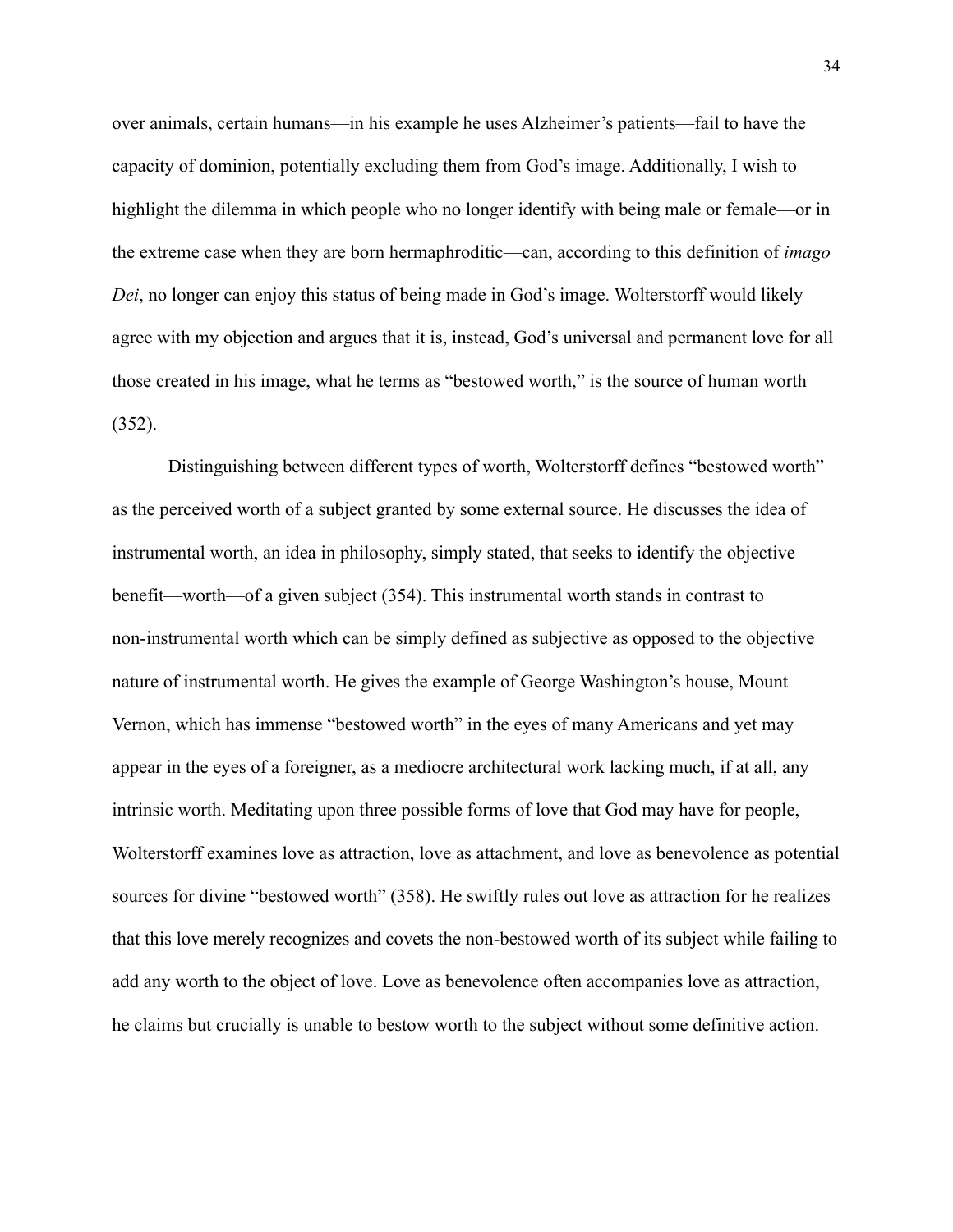over animals, certain humans—in his example he uses Alzheimer's patients—fail to have the capacity of dominion, potentially excluding them from God's image. Additionally, I wish to highlight the dilemma in which people who no longer identify with being male or female—or in the extreme case when they are born hermaphroditic—can, according to this definition of *imago Dei*, no longer can enjoy this status of being made in God's image. Wolterstorff would likely agree with my objection and argues that it is, instead, God's universal and permanent love for all those created in his image, what he terms as "bestowed worth," is the source of human worth (352).

Distinguishing between different types of worth, Wolterstorff defines "bestowed worth" as the perceived worth of a subject granted by some external source. He discusses the idea of instrumental worth, an idea in philosophy, simply stated, that seeks to identify the objective benefit—worth—of a given subject (354). This instrumental worth stands in contrast to non-instrumental worth which can be simply defined as subjective as opposed to the objective nature of instrumental worth. He gives the example of George Washington's house, Mount Vernon, which has immense "bestowed worth" in the eyes of many Americans and yet may appear in the eyes of a foreigner, as a mediocre architectural work lacking much, if at all, any intrinsic worth. Meditating upon three possible forms of love that God may have for people, Wolterstorff examines love as attraction, love as attachment, and love as benevolence as potential sources for divine "bestowed worth" (358). He swiftly rules out love as attraction for he realizes that this love merely recognizes and covets the non-bestowed worth of its subject while failing to add any worth to the object of love. Love as benevolence often accompanies love as attraction, he claims but crucially is unable to bestow worth to the subject without some definitive action.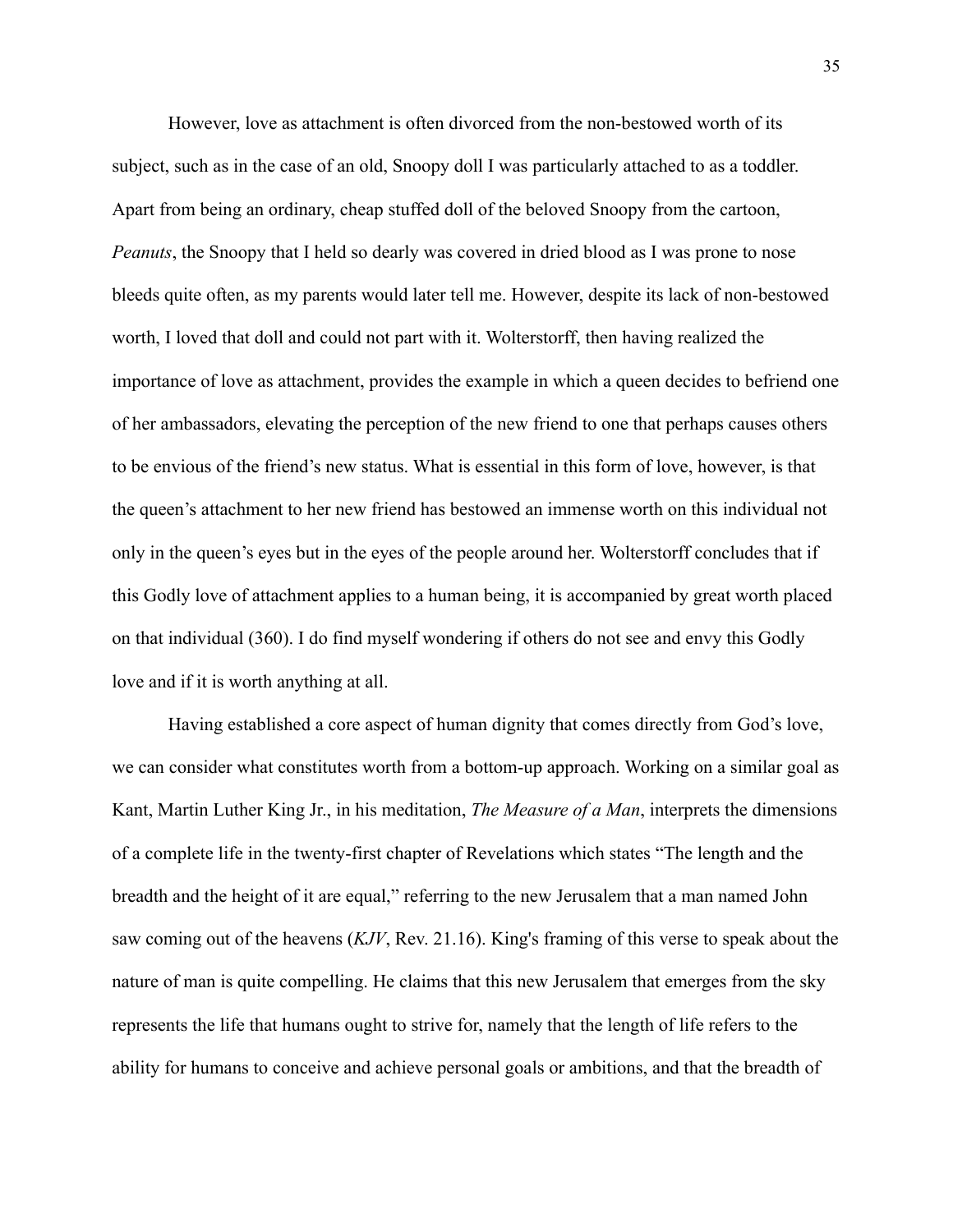However, love as attachment is often divorced from the non-bestowed worth of its subject, such as in the case of an old, Snoopy doll I was particularly attached to as a toddler. Apart from being an ordinary, cheap stuffed doll of the beloved Snoopy from the cartoon, *Peanuts*, the Snoopy that I held so dearly was covered in dried blood as I was prone to nose bleeds quite often, as my parents would later tell me. However, despite its lack of non-bestowed worth, I loved that doll and could not part with it. Wolterstorff, then having realized the importance of love as attachment, provides the example in which a queen decides to befriend one of her ambassadors, elevating the perception of the new friend to one that perhaps causes others to be envious of the friend's new status. What is essential in this form of love, however, is that the queen's attachment to her new friend has bestowed an immense worth on this individual not only in the queen's eyes but in the eyes of the people around her. Wolterstorff concludes that if this Godly love of attachment applies to a human being, it is accompanied by great worth placed on that individual (360). I do find myself wondering if others do not see and envy this Godly love and if it is worth anything at all.

Having established a core aspect of human dignity that comes directly from God's love, we can consider what constitutes worth from a bottom-up approach. Working on a similar goal as Kant, Martin Luther King Jr., in his meditation, *The Measure of a Man*, interprets the dimensions of a complete life in the twenty-first chapter of Revelations which states "The length and the breadth and the height of it are equal," referring to the new Jerusalem that a man named John saw coming out of the heavens (*KJV*, Rev. 21.16). King's framing of this verse to speak about the nature of man is quite compelling. He claims that this new Jerusalem that emerges from the sky represents the life that humans ought to strive for, namely that the length of life refers to the ability for humans to conceive and achieve personal goals or ambitions, and that the breadth of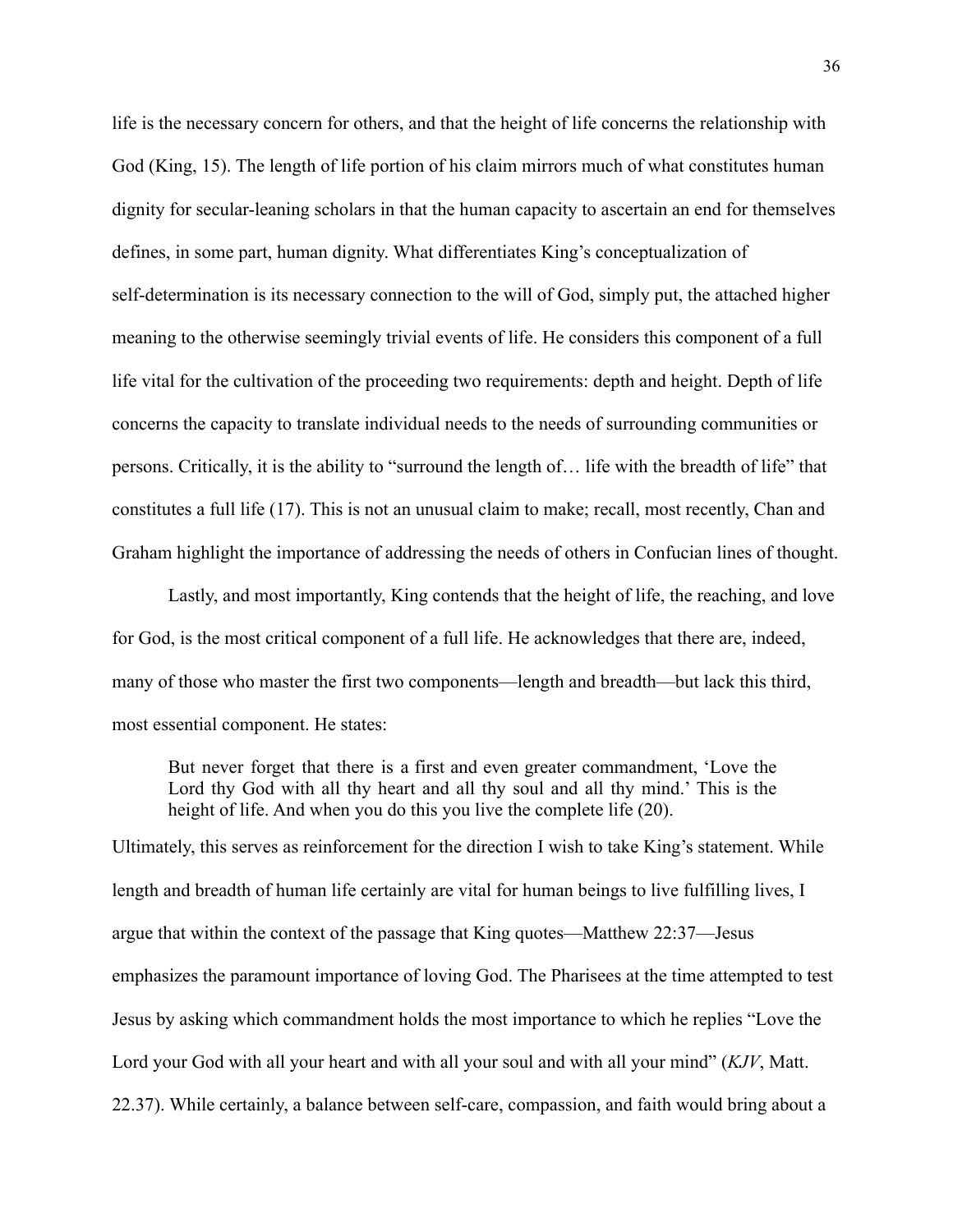life is the necessary concern for others, and that the height of life concerns the relationship with God (King, 15). The length of life portion of his claim mirrors much of what constitutes human dignity for secular-leaning scholars in that the human capacity to ascertain an end for themselves defines, in some part, human dignity. What differentiates King's conceptualization of self-determination is its necessary connection to the will of God, simply put, the attached higher meaning to the otherwise seemingly trivial events of life. He considers this component of a full life vital for the cultivation of the proceeding two requirements: depth and height. Depth of life concerns the capacity to translate individual needs to the needs of surrounding communities or persons. Critically, it is the ability to "surround the length of… life with the breadth of life" that constitutes a full life (17). This is not an unusual claim to make; recall, most recently, Chan and Graham highlight the importance of addressing the needs of others in Confucian lines of thought.

Lastly, and most importantly, King contends that the height of life, the reaching, and love for God, is the most critical component of a full life. He acknowledges that there are, indeed, many of those who master the first two components—length and breadth—but lack this third, most essential component. He states:

But never forget that there is a first and even greater commandment, 'Love the Lord thy God with all thy heart and all thy soul and all thy mind.' This is the height of life. And when you do this you live the complete life (20).

Ultimately, this serves as reinforcement for the direction I wish to take King's statement. While length and breadth of human life certainly are vital for human beings to live fulfilling lives, I argue that within the context of the passage that King quotes—Matthew 22:37—Jesus emphasizes the paramount importance of loving God. The Pharisees at the time attempted to test Jesus by asking which commandment holds the most importance to which he replies "Love the Lord your God with all your heart and with all your soul and with all your mind" (*KJV*, Matt. 22.37). While certainly, a balance between self-care, compassion, and faith would bring about a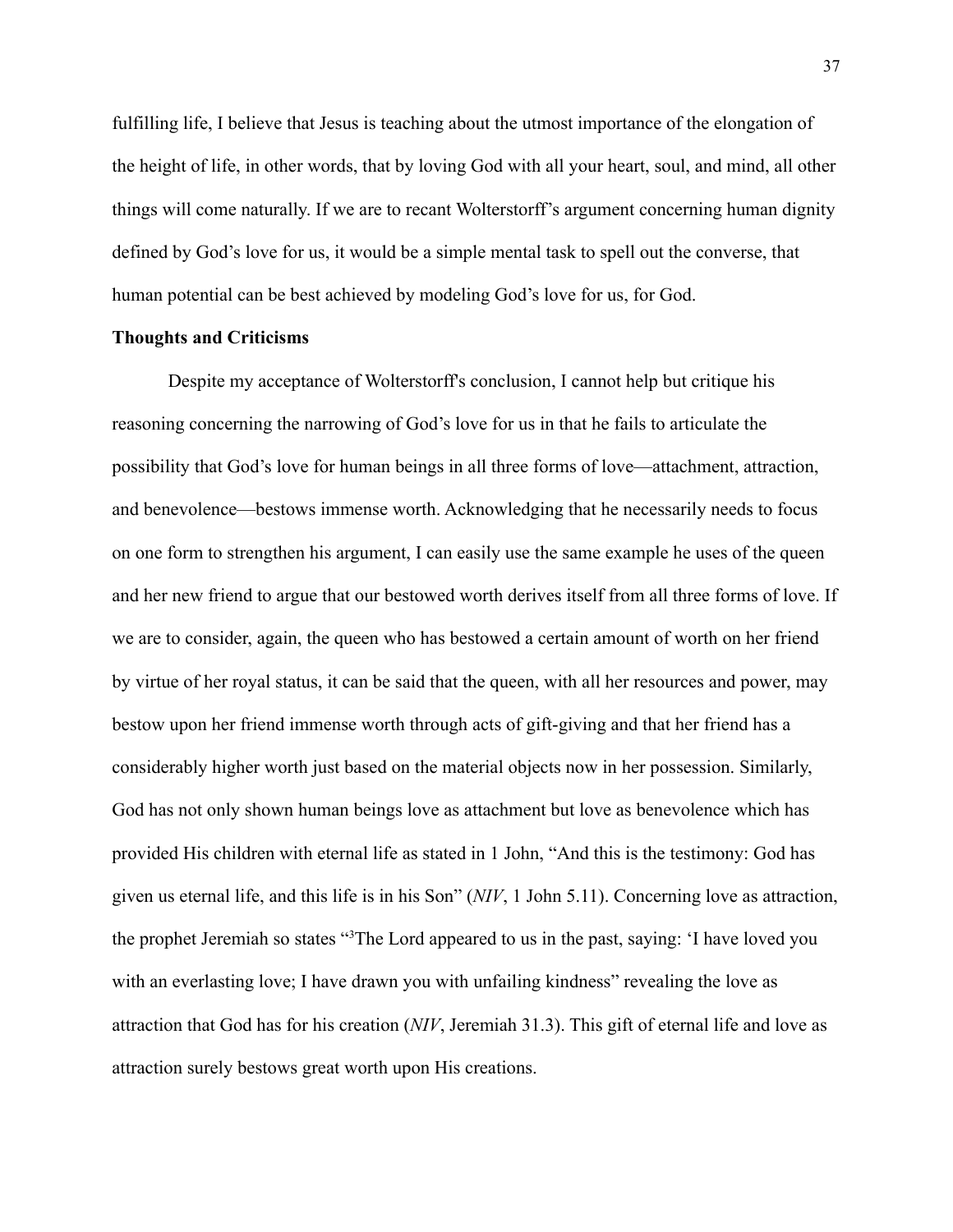fulfilling life, I believe that Jesus is teaching about the utmost importance of the elongation of the height of life, in other words, that by loving God with all your heart, soul, and mind, all other things will come naturally. If we are to recant Wolterstorff's argument concerning human dignity defined by God's love for us, it would be a simple mental task to spell out the converse, that human potential can be best achieved by modeling God's love for us, for God.

### **Thoughts and Criticisms**

Despite my acceptance of Wolterstorff's conclusion, I cannot help but critique his reasoning concerning the narrowing of God's love for us in that he fails to articulate the possibility that God's love for human beings in all three forms of love—attachment, attraction, and benevolence—bestows immense worth. Acknowledging that he necessarily needs to focus on one form to strengthen his argument, I can easily use the same example he uses of the queen and her new friend to argue that our bestowed worth derives itself from all three forms of love. If we are to consider, again, the queen who has bestowed a certain amount of worth on her friend by virtue of her royal status, it can be said that the queen, with all her resources and power, may bestow upon her friend immense worth through acts of gift-giving and that her friend has a considerably higher worth just based on the material objects now in her possession. Similarly, God has not only shown human beings love as attachment but love as benevolence which has provided His children with eternal life as stated in 1 John, "And this is the testimony: God has given us eternal life, and this life is in his Son" (*NIV*, 1 John 5.11). Concerning love as attraction, the prophet Jeremiah so states "<sup>3</sup>The Lord appeared to us in the past, saying: 'I have loved you with an everlasting love; I have drawn you with unfailing kindness" revealing the love as attraction that God has for his creation (*NIV*, Jeremiah 31.3). This gift of eternal life and love as attraction surely bestows great worth upon His creations.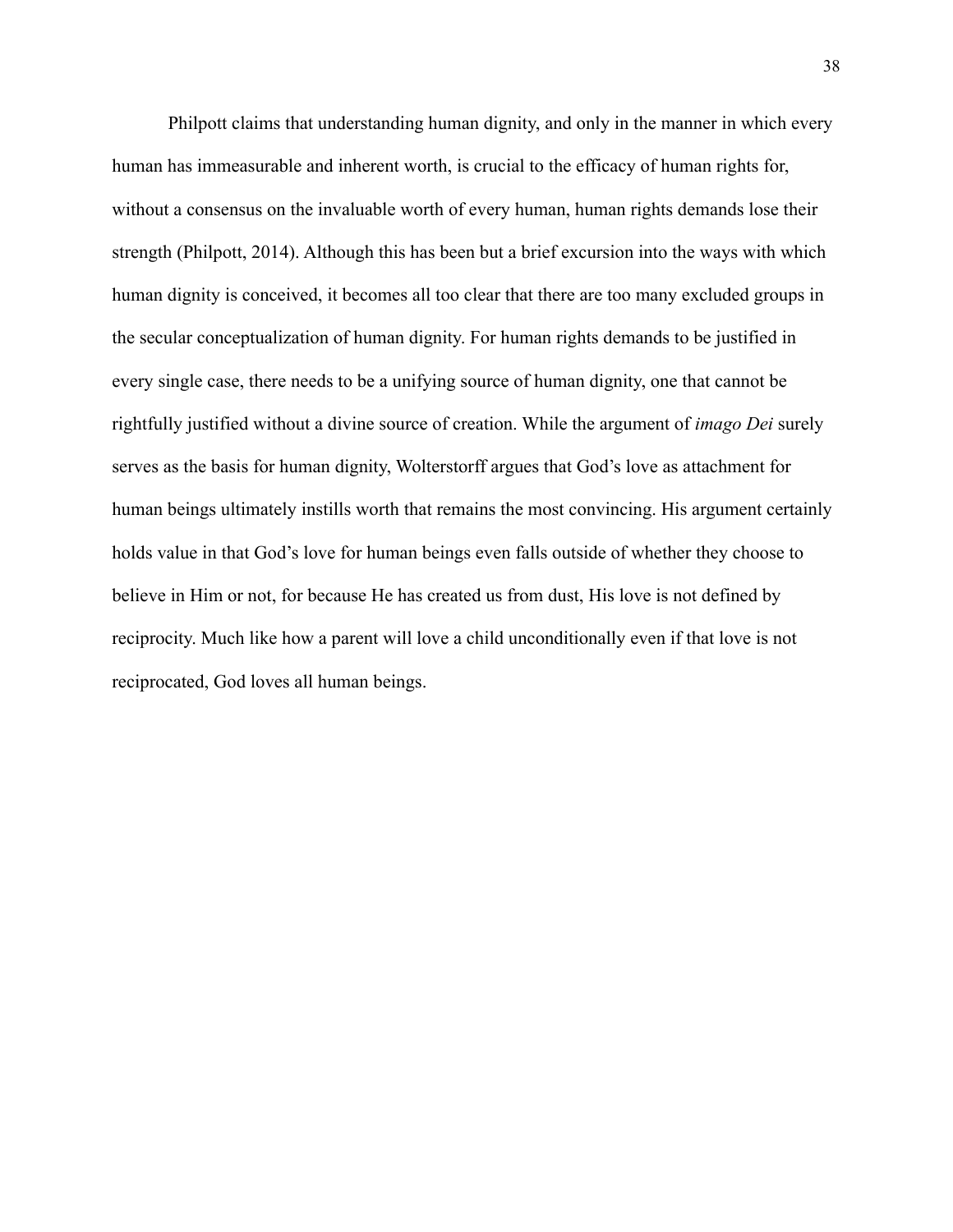Philpott claims that understanding human dignity, and only in the manner in which every human has immeasurable and inherent worth, is crucial to the efficacy of human rights for, without a consensus on the invaluable worth of every human, human rights demands lose their strength (Philpott, 2014). Although this has been but a brief excursion into the ways with which human dignity is conceived, it becomes all too clear that there are too many excluded groups in the secular conceptualization of human dignity. For human rights demands to be justified in every single case, there needs to be a unifying source of human dignity, one that cannot be rightfully justified without a divine source of creation. While the argument of *imago Dei* surely serves as the basis for human dignity, Wolterstorff argues that God's love as attachment for human beings ultimately instills worth that remains the most convincing. His argument certainly holds value in that God's love for human beings even falls outside of whether they choose to believe in Him or not, for because He has created us from dust, His love is not defined by reciprocity. Much like how a parent will love a child unconditionally even if that love is not reciprocated, God loves all human beings.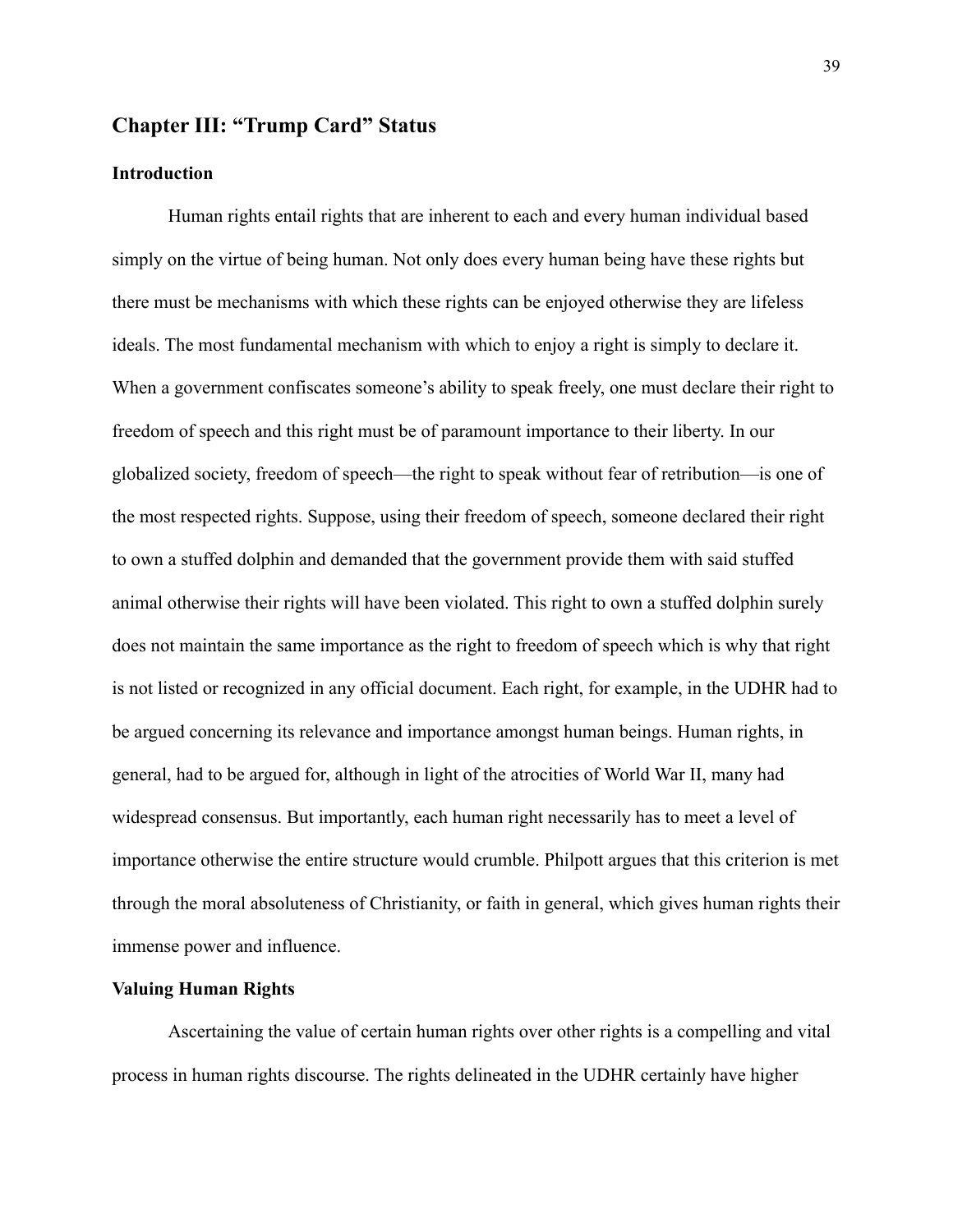### **Chapter III: "Trump Card" Status**

### **Introduction**

Human rights entail rights that are inherent to each and every human individual based simply on the virtue of being human. Not only does every human being have these rights but there must be mechanisms with which these rights can be enjoyed otherwise they are lifeless ideals. The most fundamental mechanism with which to enjoy a right is simply to declare it. When a government confiscates someone's ability to speak freely, one must declare their right to freedom of speech and this right must be of paramount importance to their liberty. In our globalized society, freedom of speech—the right to speak without fear of retribution—is one of the most respected rights. Suppose, using their freedom of speech, someone declared their right to own a stuffed dolphin and demanded that the government provide them with said stuffed animal otherwise their rights will have been violated. This right to own a stuffed dolphin surely does not maintain the same importance as the right to freedom of speech which is why that right is not listed or recognized in any official document. Each right, for example, in the UDHR had to be argued concerning its relevance and importance amongst human beings. Human rights, in general, had to be argued for, although in light of the atrocities of World War II, many had widespread consensus. But importantly, each human right necessarily has to meet a level of importance otherwise the entire structure would crumble. Philpott argues that this criterion is met through the moral absoluteness of Christianity, or faith in general, which gives human rights their immense power and influence.

### **Valuing Human Rights**

Ascertaining the value of certain human rights over other rights is a compelling and vital process in human rights discourse. The rights delineated in the UDHR certainly have higher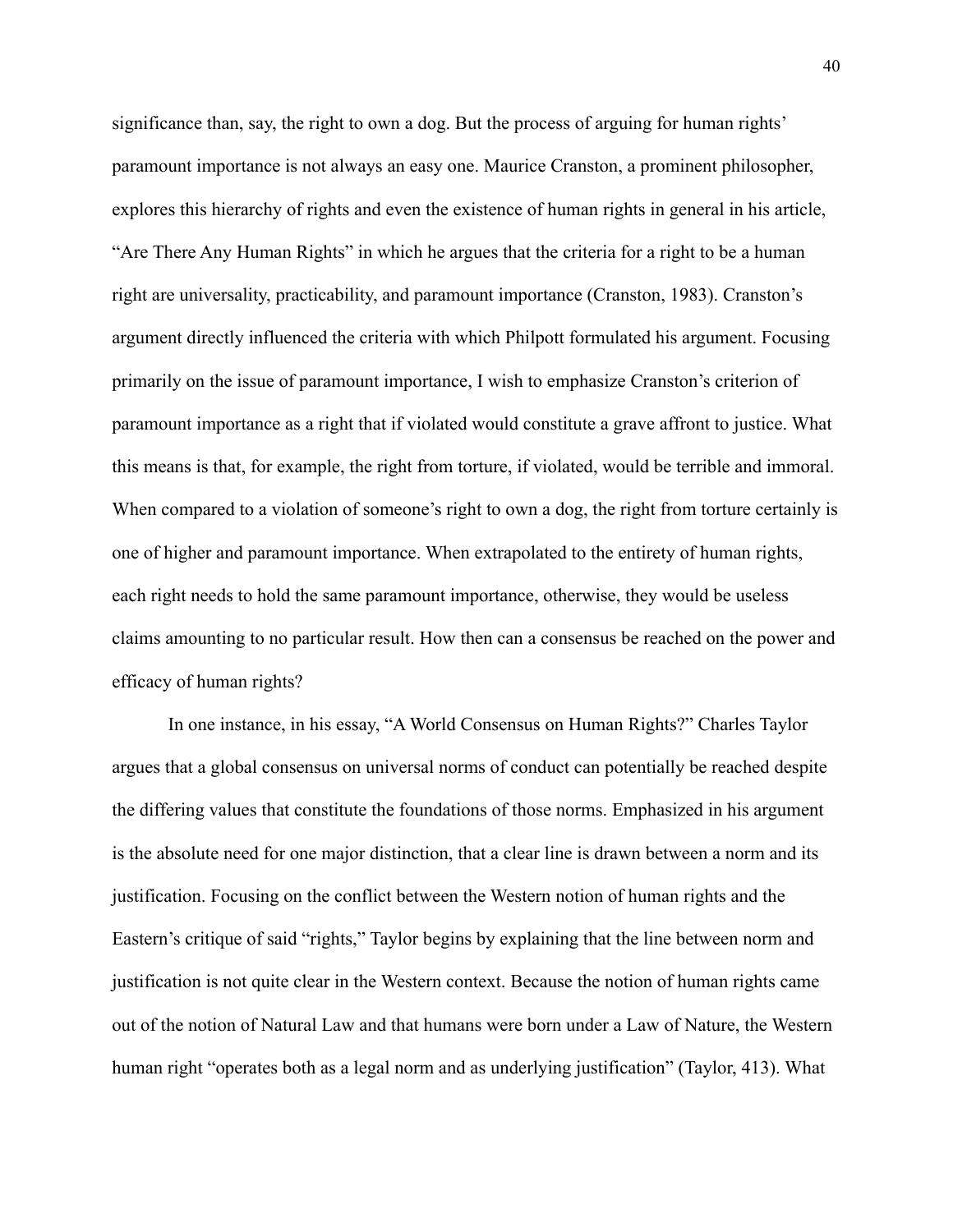significance than, say, the right to own a dog. But the process of arguing for human rights' paramount importance is not always an easy one. Maurice Cranston, a prominent philosopher, explores this hierarchy of rights and even the existence of human rights in general in his article, "Are There Any Human Rights" in which he argues that the criteria for a right to be a human right are universality, practicability, and paramount importance (Cranston, 1983). Cranston's argument directly influenced the criteria with which Philpott formulated his argument. Focusing primarily on the issue of paramount importance, I wish to emphasize Cranston's criterion of paramount importance as a right that if violated would constitute a grave affront to justice. What this means is that, for example, the right from torture, if violated, would be terrible and immoral. When compared to a violation of someone's right to own a dog, the right from torture certainly is one of higher and paramount importance. When extrapolated to the entirety of human rights, each right needs to hold the same paramount importance, otherwise, they would be useless claims amounting to no particular result. How then can a consensus be reached on the power and efficacy of human rights?

In one instance, in his essay, "A World Consensus on Human Rights?" Charles Taylor argues that a global consensus on universal norms of conduct can potentially be reached despite the differing values that constitute the foundations of those norms. Emphasized in his argument is the absolute need for one major distinction, that a clear line is drawn between a norm and its justification. Focusing on the conflict between the Western notion of human rights and the Eastern's critique of said "rights," Taylor begins by explaining that the line between norm and justification is not quite clear in the Western context. Because the notion of human rights came out of the notion of Natural Law and that humans were born under a Law of Nature, the Western human right "operates both as a legal norm and as underlying justification" (Taylor, 413). What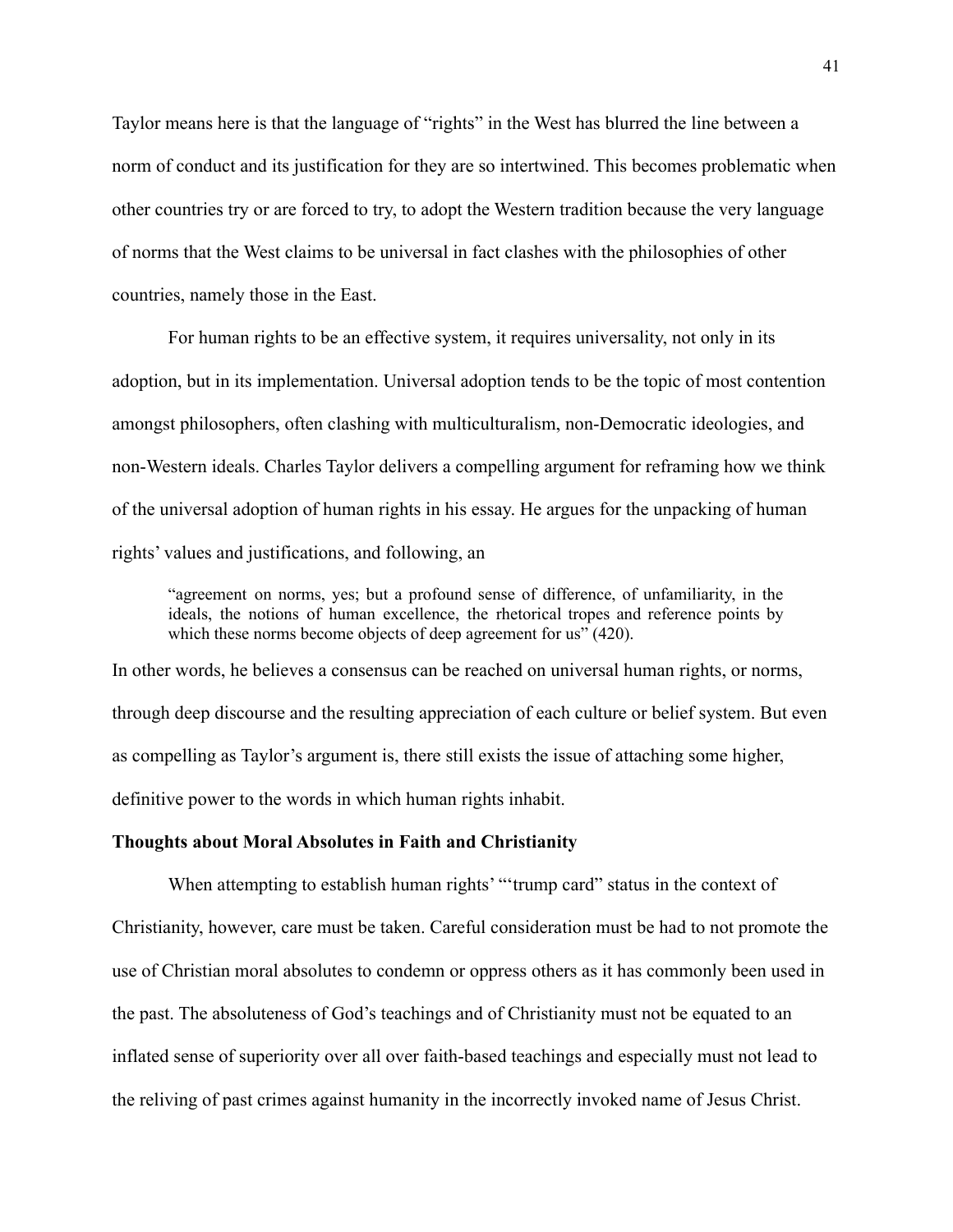Taylor means here is that the language of "rights" in the West has blurred the line between a norm of conduct and its justification for they are so intertwined. This becomes problematic when other countries try or are forced to try, to adopt the Western tradition because the very language of norms that the West claims to be universal in fact clashes with the philosophies of other countries, namely those in the East.

For human rights to be an effective system, it requires universality, not only in its adoption, but in its implementation. Universal adoption tends to be the topic of most contention amongst philosophers, often clashing with multiculturalism, non-Democratic ideologies, and non-Western ideals. Charles Taylor delivers a compelling argument for reframing how we think of the universal adoption of human rights in his essay. He argues for the unpacking of human rights' values and justifications, and following, an

"agreement on norms, yes; but a profound sense of difference, of unfamiliarity, in the ideals, the notions of human excellence, the rhetorical tropes and reference points by which these norms become objects of deep agreement for us"  $(420)$ .

In other words, he believes a consensus can be reached on universal human rights, or norms, through deep discourse and the resulting appreciation of each culture or belief system. But even as compelling as Taylor's argument is, there still exists the issue of attaching some higher, definitive power to the words in which human rights inhabit.

#### **Thoughts about Moral Absolutes in Faith and Christianity**

When attempting to establish human rights' "'trump card'' status in the context of Christianity, however, care must be taken. Careful consideration must be had to not promote the use of Christian moral absolutes to condemn or oppress others as it has commonly been used in the past. The absoluteness of God's teachings and of Christianity must not be equated to an inflated sense of superiority over all over faith-based teachings and especially must not lead to the reliving of past crimes against humanity in the incorrectly invoked name of Jesus Christ.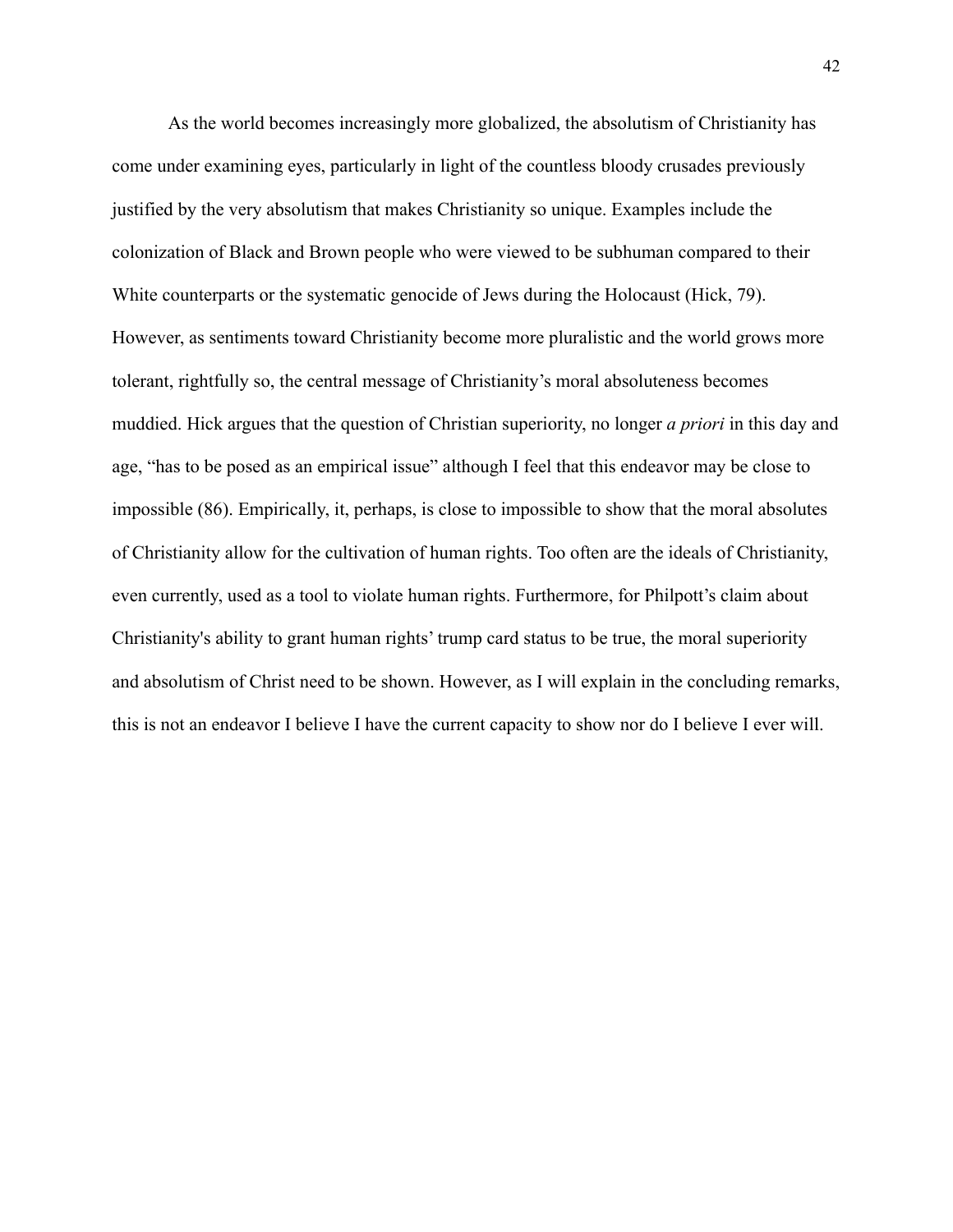As the world becomes increasingly more globalized, the absolutism of Christianity has come under examining eyes, particularly in light of the countless bloody crusades previously justified by the very absolutism that makes Christianity so unique. Examples include the colonization of Black and Brown people who were viewed to be subhuman compared to their White counterparts or the systematic genocide of Jews during the Holocaust (Hick, 79). However, as sentiments toward Christianity become more pluralistic and the world grows more tolerant, rightfully so, the central message of Christianity's moral absoluteness becomes muddied. Hick argues that the question of Christian superiority, no longer *a priori* in this day and age, "has to be posed as an empirical issue" although I feel that this endeavor may be close to impossible (86). Empirically, it, perhaps, is close to impossible to show that the moral absolutes of Christianity allow for the cultivation of human rights. Too often are the ideals of Christianity, even currently, used as a tool to violate human rights. Furthermore, for Philpott's claim about Christianity's ability to grant human rights' trump card status to be true, the moral superiority and absolutism of Christ need to be shown. However, as I will explain in the concluding remarks, this is not an endeavor I believe I have the current capacity to show nor do I believe I ever will.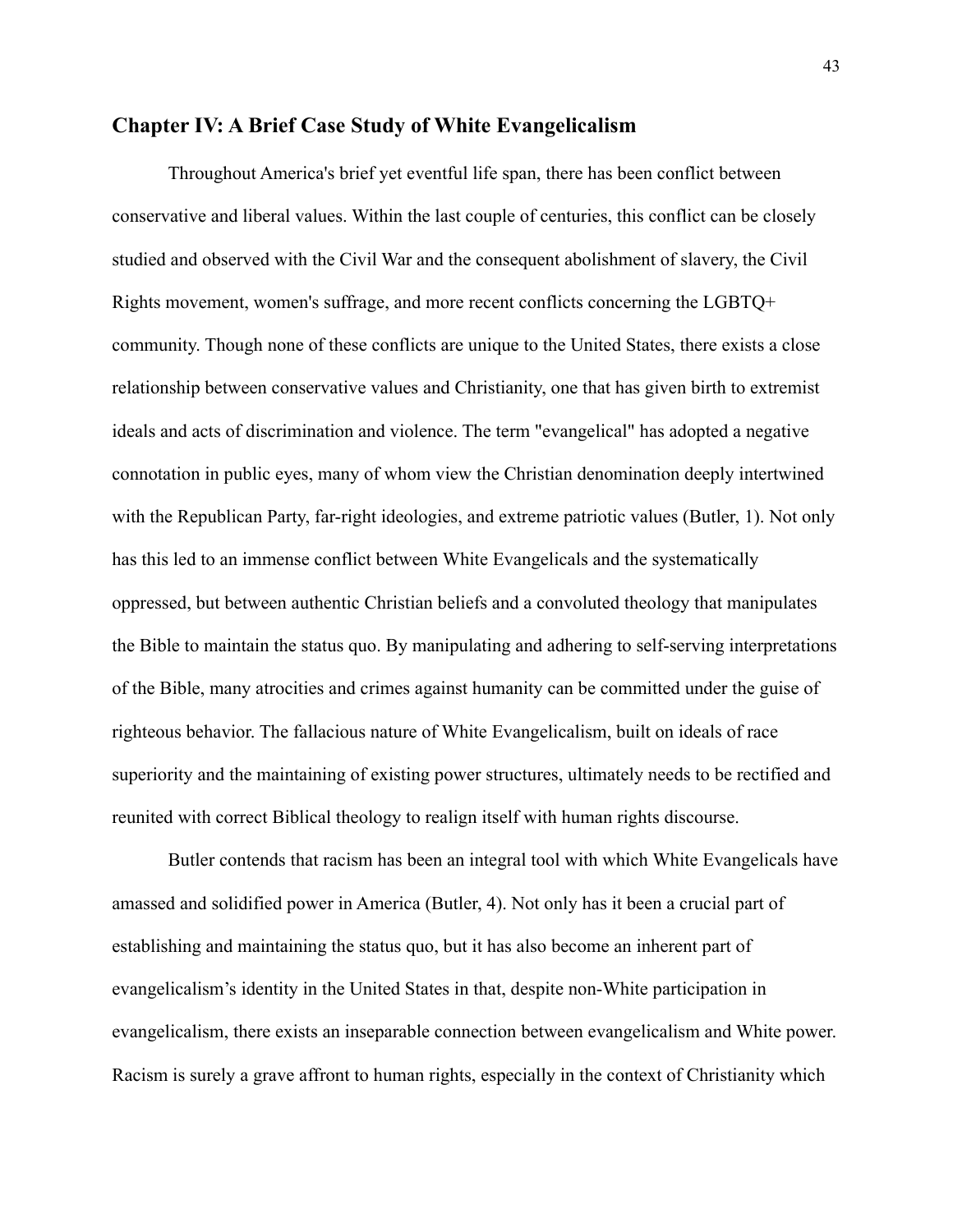### **Chapter IV: A Brief Case Study of White Evangelicalism**

Throughout America's brief yet eventful life span, there has been conflict between conservative and liberal values. Within the last couple of centuries, this conflict can be closely studied and observed with the Civil War and the consequent abolishment of slavery, the Civil Rights movement, women's suffrage, and more recent conflicts concerning the LGBTQ+ community. Though none of these conflicts are unique to the United States, there exists a close relationship between conservative values and Christianity, one that has given birth to extremist ideals and acts of discrimination and violence. The term "evangelical" has adopted a negative connotation in public eyes, many of whom view the Christian denomination deeply intertwined with the Republican Party, far-right ideologies, and extreme patriotic values (Butler, 1). Not only has this led to an immense conflict between White Evangelicals and the systematically oppressed, but between authentic Christian beliefs and a convoluted theology that manipulates the Bible to maintain the status quo. By manipulating and adhering to self-serving interpretations of the Bible, many atrocities and crimes against humanity can be committed under the guise of righteous behavior. The fallacious nature of White Evangelicalism, built on ideals of race superiority and the maintaining of existing power structures, ultimately needs to be rectified and reunited with correct Biblical theology to realign itself with human rights discourse.

Butler contends that racism has been an integral tool with which White Evangelicals have amassed and solidified power in America (Butler, 4). Not only has it been a crucial part of establishing and maintaining the status quo, but it has also become an inherent part of evangelicalism's identity in the United States in that, despite non-White participation in evangelicalism, there exists an inseparable connection between evangelicalism and White power. Racism is surely a grave affront to human rights, especially in the context of Christianity which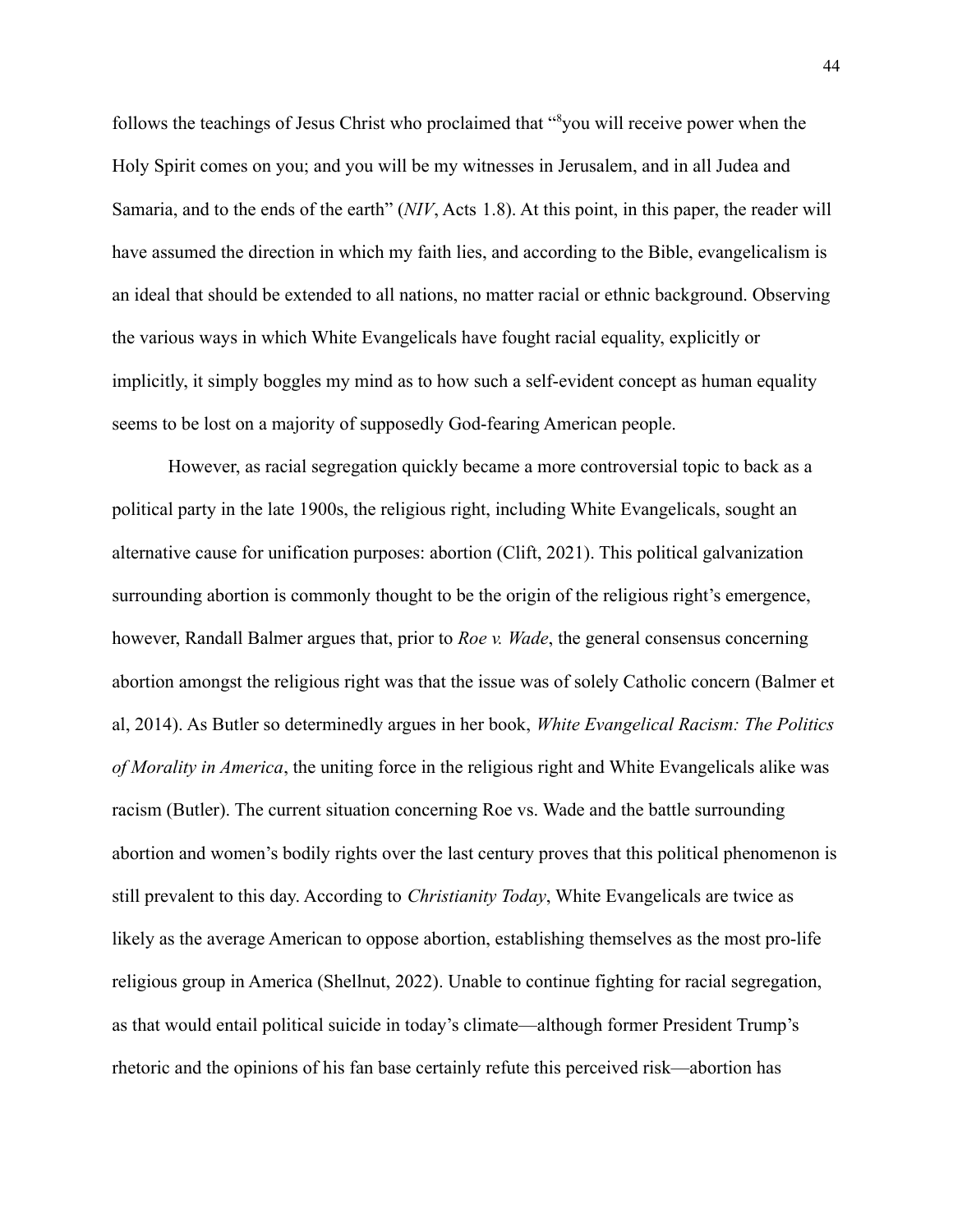follows the teachings of Jesus Christ who proclaimed that "<sup>8</sup>you will receive power when the Holy Spirit comes on you; and you will be my witnesses in Jerusalem, and in all Judea and Samaria, and to the ends of the earth" (*NIV*, Acts 1.8). At this point, in this paper, the reader will have assumed the direction in which my faith lies, and according to the Bible, evangelicalism is an ideal that should be extended to all nations, no matter racial or ethnic background. Observing the various ways in which White Evangelicals have fought racial equality, explicitly or implicitly, it simply boggles my mind as to how such a self-evident concept as human equality seems to be lost on a majority of supposedly God-fearing American people.

However, as racial segregation quickly became a more controversial topic to back as a political party in the late 1900s, the religious right, including White Evangelicals, sought an alternative cause for unification purposes: abortion (Clift, 2021). This political galvanization surrounding abortion is commonly thought to be the origin of the religious right's emergence, however, Randall Balmer argues that, prior to *Roe v. Wade*, the general consensus concerning abortion amongst the religious right was that the issue was of solely Catholic concern (Balmer et al, 2014). As Butler so determinedly argues in her book, *White Evangelical Racism: The Politics of Morality in America*, the uniting force in the religious right and White Evangelicals alike was racism (Butler). The current situation concerning Roe vs. Wade and the battle surrounding abortion and women's bodily rights over the last century proves that this political phenomenon is still prevalent to this day. According to *Christianity Today*, White Evangelicals are twice as likely as the average American to oppose abortion, establishing themselves as the most pro-life religious group in America (Shellnut, 2022). Unable to continue fighting for racial segregation, as that would entail political suicide in today's climate—although former President Trump's rhetoric and the opinions of his fan base certainly refute this perceived risk—abortion has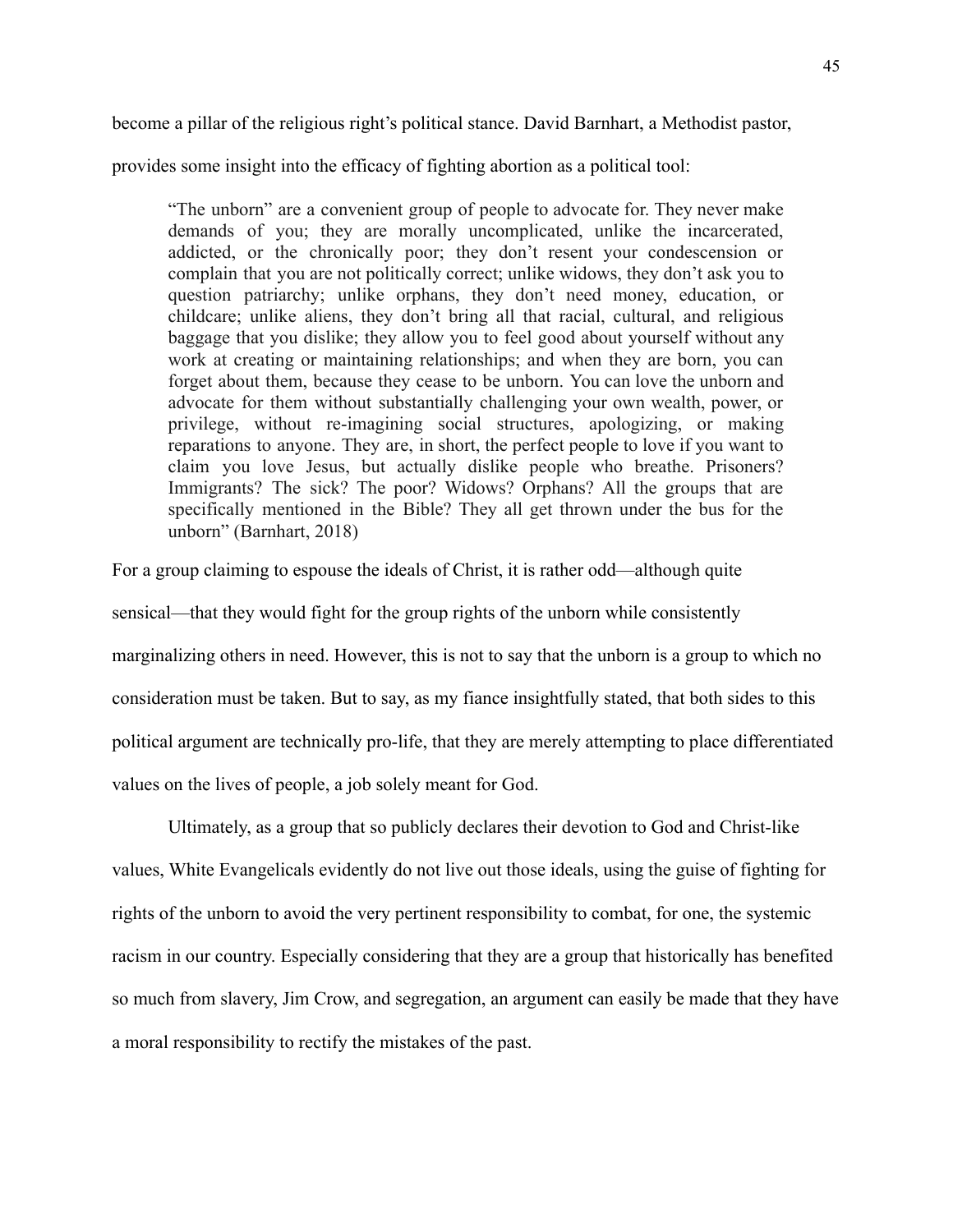become a pillar of the religious right's political stance. David Barnhart, a Methodist pastor,

provides some insight into the efficacy of fighting abortion as a political tool:

"The unborn" are a convenient group of people to advocate for. They never make demands of you; they are morally uncomplicated, unlike the incarcerated, addicted, or the chronically poor; they don't resent your condescension or complain that you are not politically correct; unlike widows, they don't ask you to question patriarchy; unlike orphans, they don't need money, education, or childcare; unlike aliens, they don't bring all that racial, cultural, and religious baggage that you dislike; they allow you to feel good about yourself without any work at creating or maintaining relationships; and when they are born, you can forget about them, because they cease to be unborn. You can love the unborn and advocate for them without substantially challenging your own wealth, power, or privilege, without re-imagining social structures, apologizing, or making reparations to anyone. They are, in short, the perfect people to love if you want to claim you love Jesus, but actually dislike people who breathe. Prisoners? Immigrants? The sick? The poor? Widows? Orphans? All the groups that are specifically mentioned in the Bible? They all get thrown under the bus for the unborn" (Barnhart, 2018)

For a group claiming to espouse the ideals of Christ, it is rather odd—although quite sensical—that they would fight for the group rights of the unborn while consistently marginalizing others in need. However, this is not to say that the unborn is a group to which no consideration must be taken. But to say, as my fiance insightfully stated, that both sides to this political argument are technically pro-life, that they are merely attempting to place differentiated values on the lives of people, a job solely meant for God.

Ultimately, as a group that so publicly declares their devotion to God and Christ-like values, White Evangelicals evidently do not live out those ideals, using the guise of fighting for rights of the unborn to avoid the very pertinent responsibility to combat, for one, the systemic racism in our country. Especially considering that they are a group that historically has benefited so much from slavery, Jim Crow, and segregation, an argument can easily be made that they have a moral responsibility to rectify the mistakes of the past.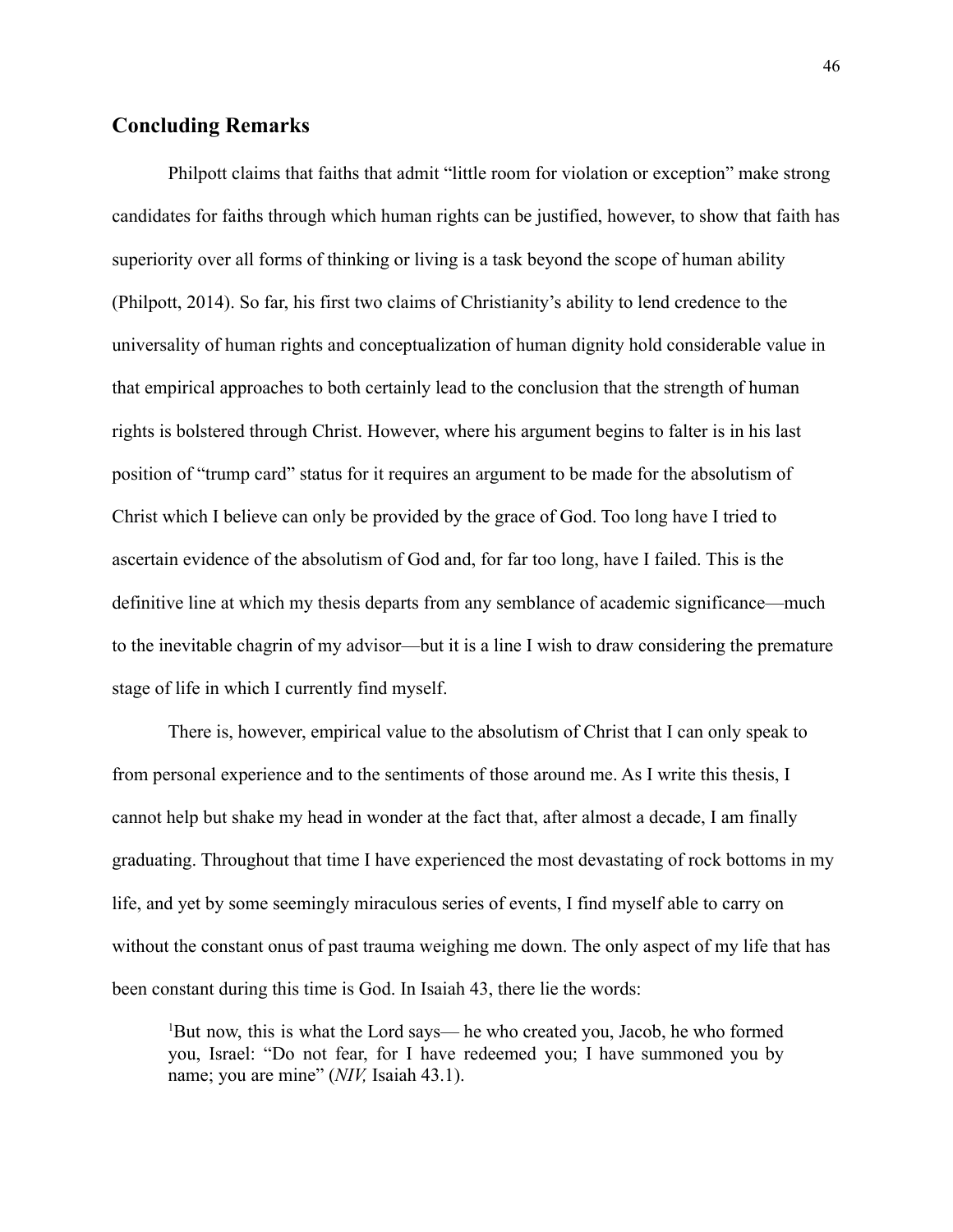### **Concluding Remarks**

Philpott claims that faiths that admit "little room for violation or exception" make strong candidates for faiths through which human rights can be justified, however, to show that faith has superiority over all forms of thinking or living is a task beyond the scope of human ability (Philpott, 2014). So far, his first two claims of Christianity's ability to lend credence to the universality of human rights and conceptualization of human dignity hold considerable value in that empirical approaches to both certainly lead to the conclusion that the strength of human rights is bolstered through Christ. However, where his argument begins to falter is in his last position of "trump card" status for it requires an argument to be made for the absolutism of Christ which I believe can only be provided by the grace of God. Too long have I tried to ascertain evidence of the absolutism of God and, for far too long, have I failed. This is the definitive line at which my thesis departs from any semblance of academic significance—much to the inevitable chagrin of my advisor—but it is a line I wish to draw considering the premature stage of life in which I currently find myself.

There is, however, empirical value to the absolutism of Christ that I can only speak to from personal experience and to the sentiments of those around me. As I write this thesis, I cannot help but shake my head in wonder at the fact that, after almost a decade, I am finally graduating. Throughout that time I have experienced the most devastating of rock bottoms in my life, and yet by some seemingly miraculous series of events, I find myself able to carry on without the constant onus of past trauma weighing me down. The only aspect of my life that has been constant during this time is God. In Isaiah 43, there lie the words:

<sup>1</sup>But now, this is what the Lord says— he who created you, Jacob, he who formed you, Israel: "Do not fear, for I have redeemed you; I have summoned you by name; you are mine" (*NIV,* Isaiah 43.1).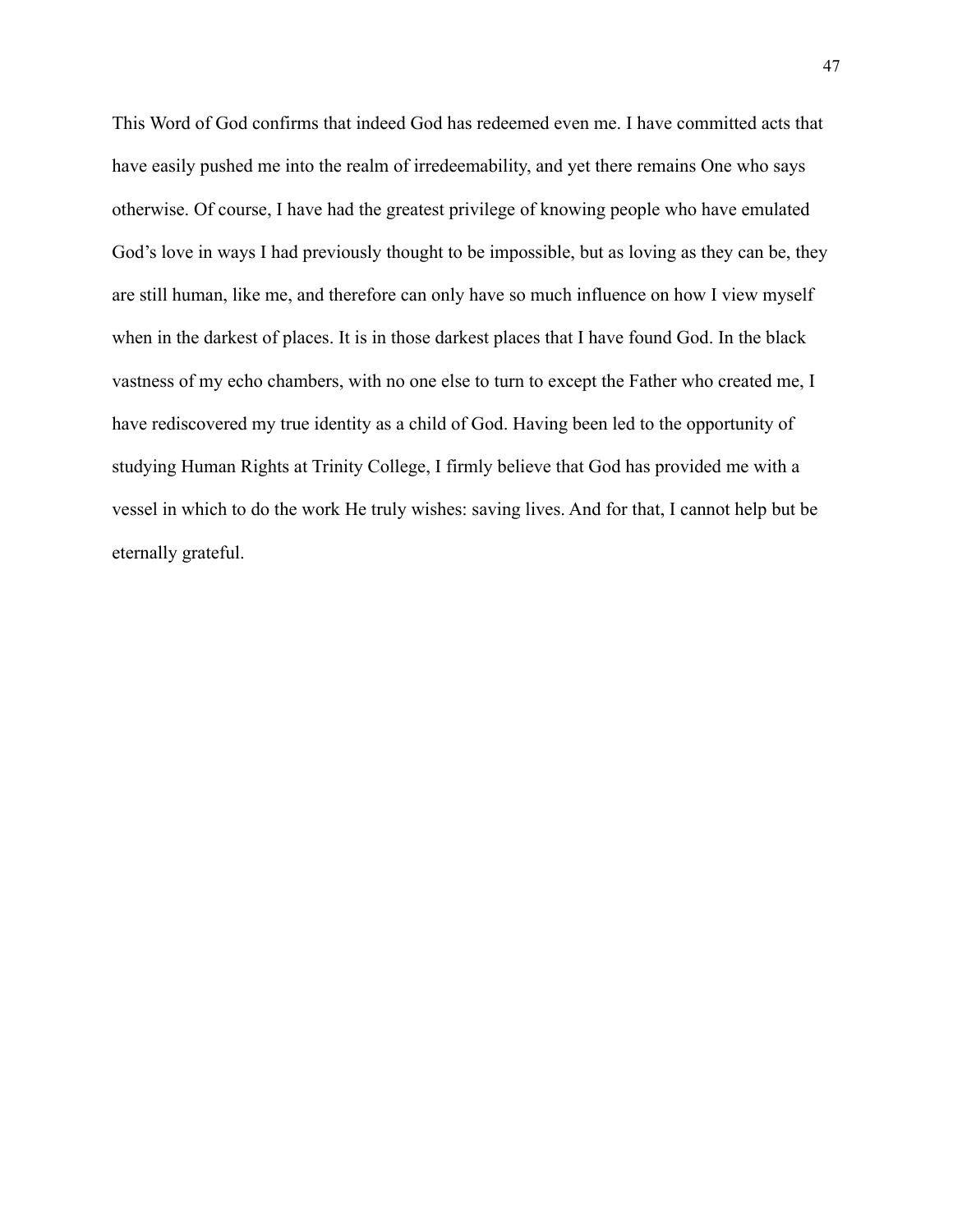This Word of God confirms that indeed God has redeemed even me. I have committed acts that have easily pushed me into the realm of irredeemability, and yet there remains One who says otherwise. Of course, I have had the greatest privilege of knowing people who have emulated God's love in ways I had previously thought to be impossible, but as loving as they can be, they are still human, like me, and therefore can only have so much influence on how I view myself when in the darkest of places. It is in those darkest places that I have found God. In the black vastness of my echo chambers, with no one else to turn to except the Father who created me, I have rediscovered my true identity as a child of God. Having been led to the opportunity of studying Human Rights at Trinity College, I firmly believe that God has provided me with a vessel in which to do the work He truly wishes: saving lives. And for that, I cannot help but be eternally grateful.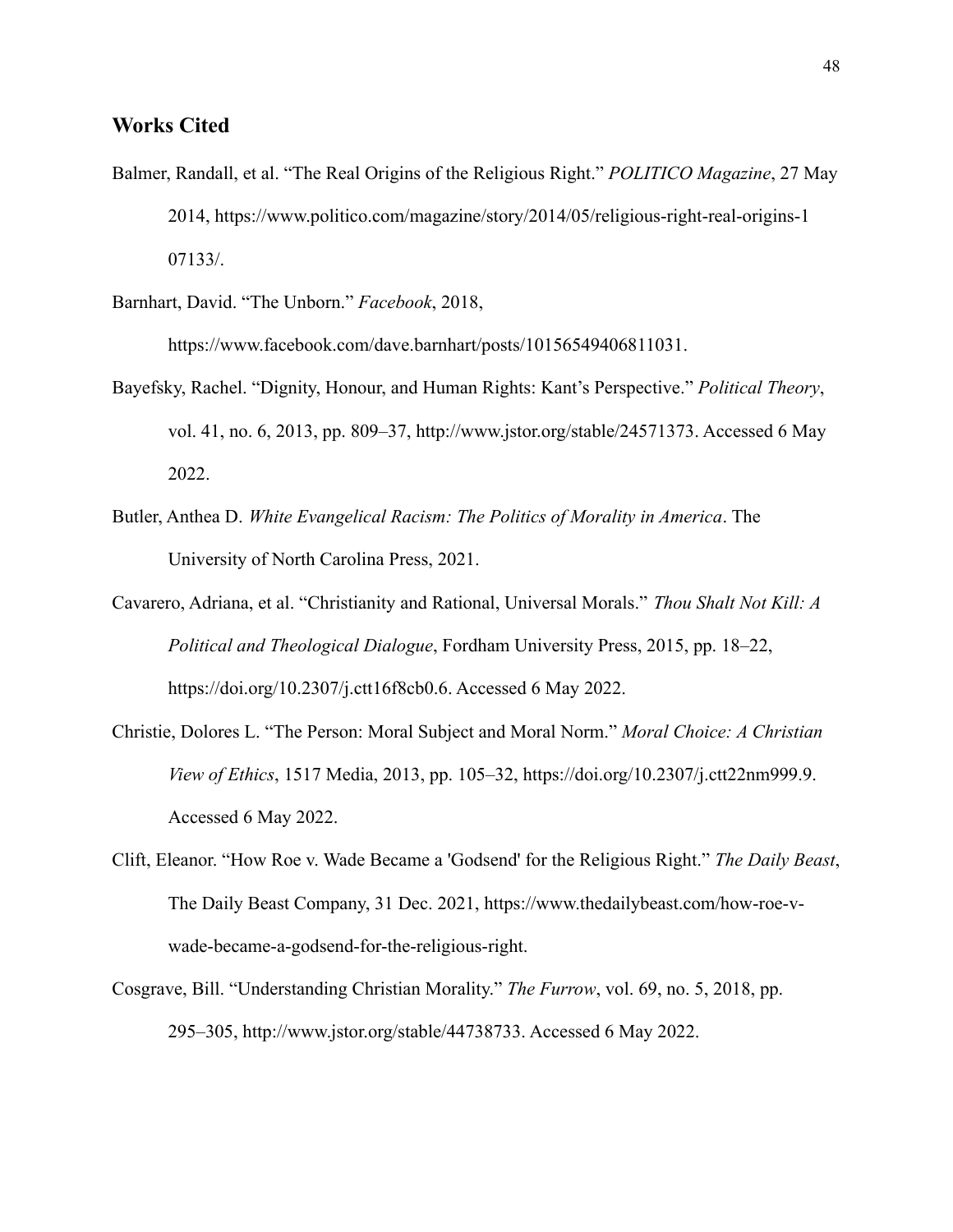### **Works Cited**

- Balmer, Randall, et al. "The Real Origins of the Religious Right." *POLITICO Magazine*, 27 May 2014, https://www.politico.com/magazine/story/2014/05/religious-right-real-origins-1 07133/.
- Barnhart, David. "The Unborn." *Facebook*, 2018,

https://www.facebook.com/dave.barnhart/posts/10156549406811031.

- Bayefsky, Rachel. "Dignity, Honour, and Human Rights: Kant's Perspective." *Political Theory*, vol. 41, no. 6, 2013, pp. 809–37, http://www.jstor.org/stable/24571373. Accessed 6 May 2022.
- Butler, Anthea D. *White Evangelical Racism: The Politics of Morality in America*. The University of North Carolina Press, 2021.
- Cavarero, Adriana, et al. "Christianity and Rational, Universal Morals." *Thou Shalt Not Kill: A Political and Theological Dialogue*, Fordham University Press, 2015, pp. 18–22, https://doi.org/10.2307/j.ctt16f8cb0.6. Accessed 6 May 2022.
- Christie, Dolores L. "The Person: Moral Subject and Moral Norm." *Moral Choice: A Christian View of Ethics*, 1517 Media, 2013, pp. 105–32, https://doi.org/10.2307/j.ctt22nm999.9. Accessed 6 May 2022.
- Clift, Eleanor. "How Roe v. Wade Became a 'Godsend' for the Religious Right." *The Daily Beast*, The Daily Beast Company, 31 Dec. 2021, https://www.thedailybeast.com/how-roe-vwade-became-a-godsend-for-the-religious-right.
- Cosgrave, Bill. "Understanding Christian Morality." *The Furrow*, vol. 69, no. 5, 2018, pp. 295–305, http://www.jstor.org/stable/44738733. Accessed 6 May 2022.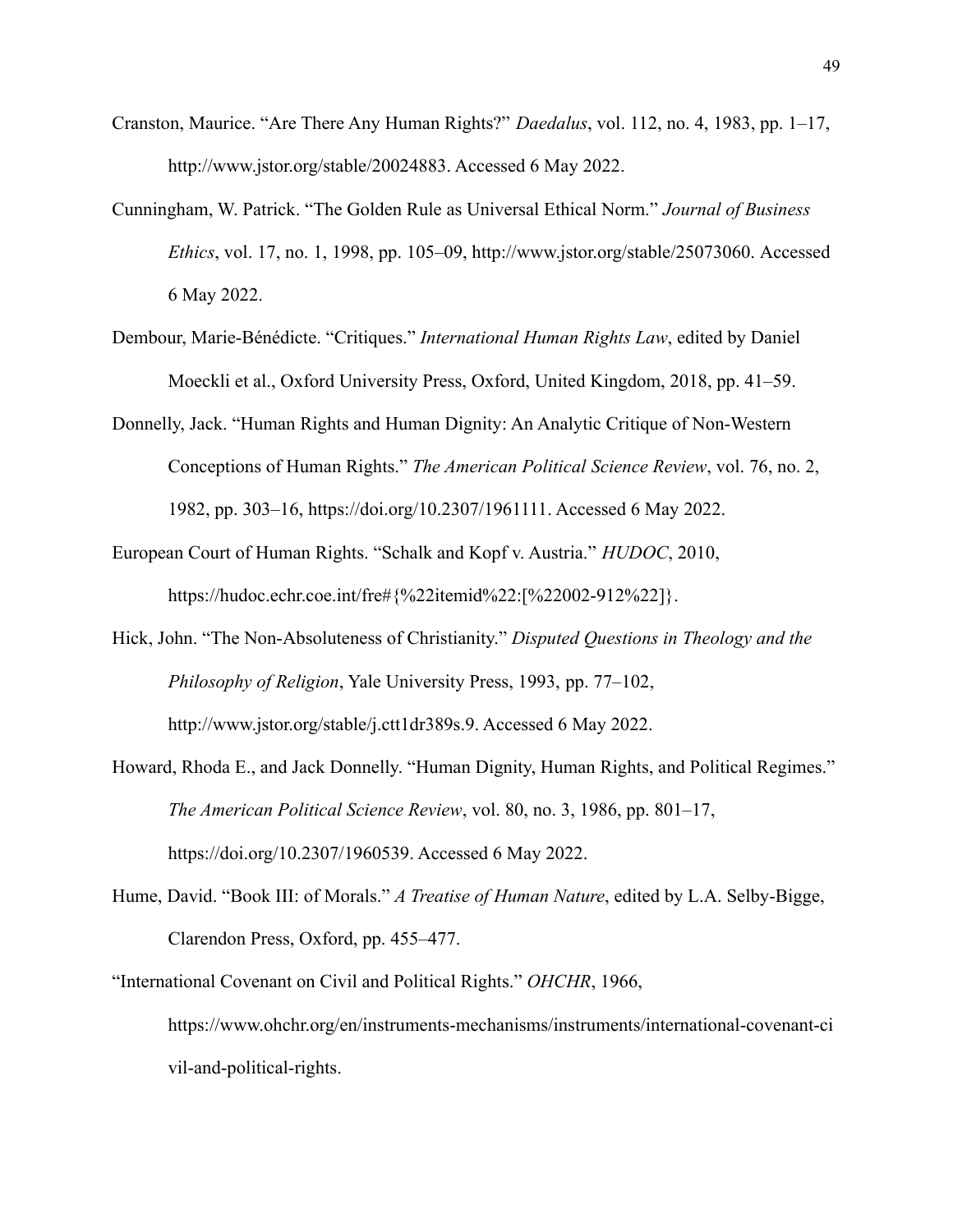- Cranston, Maurice. "Are There Any Human Rights?" *Daedalus*, vol. 112, no. 4, 1983, pp. 1–17, http://www.jstor.org/stable/20024883. Accessed 6 May 2022.
- Cunningham, W. Patrick. "The Golden Rule as Universal Ethical Norm." *Journal of Business Ethics*, vol. 17, no. 1, 1998, pp. 105–09, http://www.jstor.org/stable/25073060. Accessed 6 May 2022.
- Dembour, Marie-Bénédicte. "Critiques." *International Human Rights Law*, edited by Daniel Moeckli et al., Oxford University Press, Oxford, United Kingdom, 2018, pp. 41–59.
- Donnelly, Jack. "Human Rights and Human Dignity: An Analytic Critique of Non-Western Conceptions of Human Rights." *The American Political Science Review*, vol. 76, no. 2, 1982, pp. 303–16, https://doi.org/10.2307/1961111. Accessed 6 May 2022.
- European Court of Human Rights. "Schalk and Kopf v. Austria." *HUDOC*, 2010, https://hudoc.echr.coe.int/fre#{%22itemid%22:[%22002-912%22]}.
- Hick, John. "The Non-Absoluteness of Christianity." *Disputed Questions in Theology and the Philosophy of Religion*, Yale University Press, 1993, pp. 77–102, http://www.jstor.org/stable/j.ctt1dr389s.9. Accessed 6 May 2022.
- Howard, Rhoda E., and Jack Donnelly. "Human Dignity, Human Rights, and Political Regimes." *The American Political Science Review*, vol. 80, no. 3, 1986, pp. 801–17, https://doi.org/10.2307/1960539. Accessed 6 May 2022.
- Hume, David. "Book III: of Morals." *A Treatise of Human Nature*, edited by L.A. Selby-Bigge, Clarendon Press, Oxford, pp. 455–477.
- "International Covenant on Civil and Political Rights." *OHCHR*, 1966, https://www.ohchr.org/en/instruments-mechanisms/instruments/international-covenant-ci vil-and-political-rights.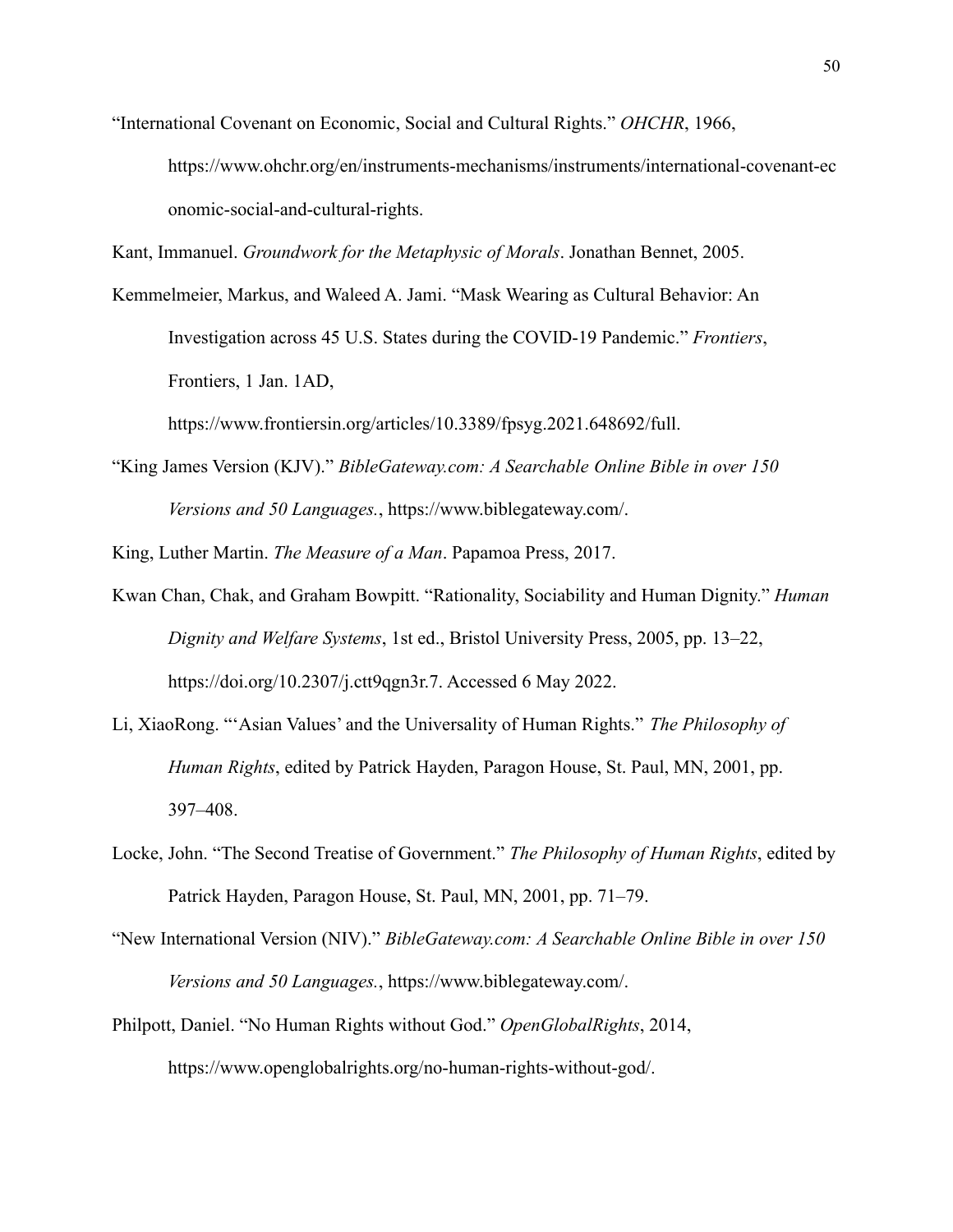"International Covenant on Economic, Social and Cultural Rights." *OHCHR*, 1966,

https://www.ohchr.org/en/instruments-mechanisms/instruments/international-covenant-ec onomic-social-and-cultural-rights.

Kant, Immanuel. *Groundwork for the Metaphysic of Morals*. Jonathan Bennet, 2005.

Kemmelmeier, Markus, and Waleed A. Jami. "Mask Wearing as Cultural Behavior: An Investigation across 45 U.S. States during the COVID-19 Pandemic." *Frontiers*, Frontiers, 1 Jan. 1AD,

https://www.frontiersin.org/articles/10.3389/fpsyg.2021.648692/full.

"King James Version (KJV)." *BibleGateway.com: A Searchable Online Bible in over 150 Versions and 50 Languages.*, https://www.biblegateway.com/.

King, Luther Martin. *The Measure of a Man*. Papamoa Press, 2017.

- Kwan Chan, Chak, and Graham Bowpitt. "Rationality, Sociability and Human Dignity." *Human Dignity and Welfare Systems*, 1st ed., Bristol University Press, 2005, pp. 13–22, https://doi.org/10.2307/j.ctt9qgn3r.7. Accessed 6 May 2022.
- Li, XiaoRong. "'Asian Values' and the Universality of Human Rights." *The Philosophy of Human Rights*, edited by Patrick Hayden, Paragon House, St. Paul, MN, 2001, pp. 397–408.
- Locke, John. "The Second Treatise of Government." *The Philosophy of Human Rights*, edited by Patrick Hayden, Paragon House, St. Paul, MN, 2001, pp. 71–79.
- "New International Version (NIV)." *BibleGateway.com: A Searchable Online Bible in over 150 Versions and 50 Languages.*, https://www.biblegateway.com/.
- Philpott, Daniel. "No Human Rights without God." *OpenGlobalRights*, 2014, https://www.openglobalrights.org/no-human-rights-without-god/.